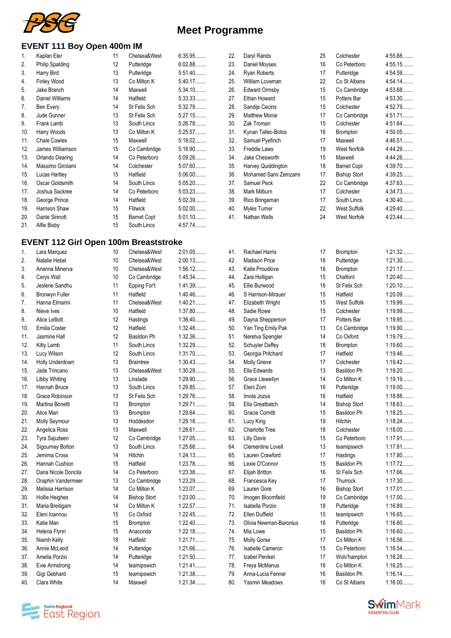

#### **EVENT 111 Boy Open 400m IM**

|     | . Р                    |    |                    |           |
|-----|------------------------|----|--------------------|-----------|
| 1.  | Kaplan Eler            | 11 | Chelsea&West       | 6:35.95   |
| 2.  | <b>Philip Spalding</b> | 12 | Putteridge         | 6:02.88   |
| 3.  | Harry Bird             | 13 | Putteridge         | $5:51.40$ |
| 4.  | Finley Wood            | 13 | Co Milton K        | 5:40.17   |
| 5.  | Jake Branch            | 14 | Maxwell            | 5:34.10   |
| 6.  | Daniel Williams        | 14 | Hatfield           | 5:33.33   |
| 7.  | Ben Every              | 14 | St Felix Sch       | 5:32.79   |
| 8.  | Jude Gunner            | 13 | St Felix Sch       | 5:27.15   |
| 9.  | Frank Lamb             | 13 | South Lincs        | 5:26.78   |
| 10. | Harry Woods            | 13 | Co Milton K        | 5:25.57   |
| 11. | <b>Chale Cowles</b>    | 15 | Maxwell            | 5:18.02   |
| 12. | James Williamson       | 15 | Co Cambridge       | 5:16.90   |
| 13. | Orlando Dearing        | 14 | Co Peterboro       | 5:09.26   |
| 14. | Massimo Girolami       | 14 | Colchester         | $5:07.60$ |
| 15. | Lucas Hartley          | 15 | Hatfield           | $5:06.00$ |
| 16. | Oscar Goldsmith        | 14 | South Lincs        | $5:05.20$ |
| 17. | Joshua Sackree         | 14 | Co Peterboro       | 5:03.23   |
| 18. | George Prince          | 14 | Hatfield           | 5:02.39   |
| 19. | Harrison Shaw          | 15 | Flitwick           | $5:02.00$ |
| 20. | Dante Sinnott          | 15 | <b>Barnet Copt</b> | 5:01.10   |
| 21. | Alfie Bisby            | 15 | South Lincs        | 4:57.74   |
|     |                        |    |                    |           |

#### **EVENT 112 Girl Open 100m Breaststroke**

| 1.  | Lara Marquez          | 10 | Chelsea&West        | 2:01.05   |
|-----|-----------------------|----|---------------------|-----------|
| 2.  | Natalie Hebel         | 10 | Chelsea&West        | 2:00.13   |
| 3.  | Arianna Minerva       | 10 | Chelsea&West        | 1:56.12   |
| 4.  | Cerys Wall            | 10 | Co Cambridge        | 1:45.34   |
| 5.  | Jeslene Sandhu        | 11 | Epping For't        | 1:41.39   |
| 6.  | <b>Bronwyn Fuller</b> | 11 | Hatfield            | 1:40.46   |
| 7.  | Hanna Elmarini        | 11 | Chelsea&West        | 1:40.21   |
| 8.  | Nieve Ives            | 10 | Hatfield            | 1:37.80   |
| 9.  | Alice Lelliott        | 12 | Hastings            | 1:36.40   |
| 10. | Emilia Coster         | 12 | Hatfield            | 1:32.48   |
| 11. | Jasmine Hall          | 12 | Basildon Ph         | 1:32.36   |
| 12. | Kitty Lamb            | 11 | South Lincs         | 1:32.29   |
| 13. | Lucy Wilson           | 12 | South Lincs         | 1:31.70   |
| 14. | Holly Underdown       | 13 | <b>Braintree</b>    | 1:30.43   |
| 15. | Jade Trincano         | 13 | Chelsea&West        | 1:30.29   |
| 16. | Libby Whiting         | 13 | Linslade            | 1:29.90   |
| 17. | Hannah Bruce          | 13 | South Lincs         | 1:29.85   |
| 18. | Grace Robinson        | 13 | St Felix Sch        | 1:29.76   |
| 19. | Martina Bonetti       | 13 | Brompton            | 1:29.71   |
| 20. | Alice Man             | 13 | Brompton            | 1:29.64   |
| 21. | Molly Seymour         | 13 | Hoddesdon           | 1:29.18   |
| 22. | Angelica Ross         | 13 | Maxwell             | 1:28.61   |
| 23. | Tyra Sajudeen         | 12 | Co Cambridge        | 1:27.05   |
| 24. | Sigourney Bolton      | 13 | South Lincs         | 1:25.66   |
| 25. | Jemima Cross          | 14 | Hitchin             | 1:24.13   |
| 26. | Hannah Cushion        | 15 | Hatfield            | 1:23.78   |
| 27. | Daria Nicole Doncila  | 14 | Co Peterboro        | 1:23.38   |
| 28. | Oraphin Vandermeer    | 13 | Co Cambridge        | 1:23.29   |
| 29. | Melissa Harrison      | 14 | Co Milton K         | 1:23.07   |
| 30. | <b>Hollie Heighes</b> | 14 | <b>Bishop Stort</b> | $1:23.00$ |
| 31. | Maria Breitigam       | 14 | Co Milton K         | 1:22.57   |
| 32. | Eleni Ioannou         | 15 | Co Oxford           | 1:22.45   |
| 33. | Katie Man             | 15 | Brompton            | 1:22.40   |
| 34. | Helena Flynn          | 15 | Anaconda            | 1:22.18   |
| 35. | Niamh Kelly           | 18 | Hatfield            | 1:21.71   |
| 36. | Annie McLeod          | 14 | Putteridge          | 1:21.66   |
| 37. | Amelia Porzio         | 14 | Putteridge          | 1:21.50   |
| 38. | Evie Armstrong        | 14 | teamipswich         | 1:21.41   |
| 39. | Gigi Gebhard          | 15 | teamipswich         | 1:21.38   |
| 40. | Clara White           | 14 | Maxwell             | 1:21.34   |
|     |                       |    |                     |           |

| 23. | Daniel Moyses           | 16 | Co Peterboro        | 4:55.15   |
|-----|-------------------------|----|---------------------|-----------|
| 24. | <b>Ryan Roberts</b>     | 17 | Putteridge          | 4:54.59   |
| 25. | William Loveman         | 22 | Co St Albans        | 4:54.14   |
| 26. | <b>Edward Ormsby</b>    | 15 | Co Cambridge        | 4:53.68   |
| 27. | Ethan Howard            | 15 | Potters Bar         | 4:53.30   |
| 28. | Sandijs Cecins          | 15 | Colchester          | 4:52.79   |
| 29. | <b>Matthew Monie</b>    | 17 | Co Cambridge        | 4:51.71   |
| 30. | Zak Troman              | 15 | Colchester          | 4:51.64   |
| 31. | Kynan Tallec-Botos      | 16 | Brompton            | 4:50.05   |
| 32. | Samuel Pyefinch         | 17 | Maxwell             | 4:46.51   |
| 33. | <b>Freddie Laws</b>     | 19 | <b>West Norfolk</b> | 4:44.29   |
| 34. | Jake Chesworth          | 15 | Maxwell             | 4:44.26   |
| 35. | Harvey Quiddington      | 18 | <b>Barnet Copt</b>  | 4:39.70   |
| 36. | Mohamed Sami Zemzami    | 17 | <b>Bishop Stort</b> | 4:39.25   |
| 37. | Samuel Peck             | 22 | Co Cambridge        | 4:37.63   |
| 38. | Mark Milburn            | 17 | Colchester          | 4:34.73   |
| 39. | Rico Bringeman          | 17 | South Lincs         | $4:30.40$ |
| 40. | Myles Turner            | 22 | West Suffolk        | 4:29.40   |
| 41. | Nathan Wells            | 24 | West Norfolk        | 4:23.44   |
|     |                         |    |                     |           |
|     |                         |    |                     |           |
|     |                         |    |                     |           |
| 41. | Rachael Harris          | 17 | <b>Brompton</b>     | 1:21.32   |
| 42. | <b>Madison Price</b>    | 16 | Putteridge          | 1:21.30   |
| 43. | Katie Proudlove         |    |                     | 1:21.17   |
|     |                         | 16 | Brompton            |           |
| 44. | Zara Holligan           | 15 | Chalfont            | $1:20.40$ |
| 45. | Ellie Burwood           | 16 | St Felix Sch        | $1:20.10$ |
| 46. | S Harrison-Mirauer      | 15 | Hatfield            | 1:20.09   |
| 47. | Elizabeth Wright        | 15 | <b>West Suffolk</b> | 1:19.99   |
| 48. | Sadie Rowe              | 15 | Colchester          | 1:19.99   |
| 49. | Dayna Shepperson        | 17 | Potters Bar         | 1:19.95   |
| 50. | Yan Ting Emily Pak      | 13 | Co Cambridge        | 1:19.90   |
| 51. | Neretva Spengler        | 14 | Co Oxford           | 1:19.79   |
| 52. | <b>Schuyler Daffey</b>  | 18 | <b>Brompton</b>     | $1:19.60$ |
| 53. | Georgia Pritchard       | 17 | Hatfield            | 1:19.46   |
| 54. | <b>Molly Grieve</b>     | 17 | Colchester          | 1:19.42   |
| 55. | Ella Edwards            | 13 | Basildon Ph         | $1:19.20$ |
| 56. | Grace Llewellyn         | 14 | Co Milton K         | 1:19.19   |
| 57. | Eleni Zorn              | 16 | Putteridge          | $1:19.00$ |
| 58. | Imola Jozsa             | 16 | Hatfield            | 1:18.88   |
| 59. | Ella Greatbatch         | 14 | <b>Bishop Stort</b> | 1:18.63   |
| 60. | Gracie Comitti          | 15 | Basildon Ph         | 1:18.25   |
| 61. | Lucy King               | 19 | Hitchin             | 1:18.24   |
| 62. | <b>Charlotte Tree</b>   | 18 | Colchester          | 1:18.00   |
| 63. | <b>Lilly Davis</b>      | 15 | Co Peterboro        | 1:17.91   |
| 64. | Clementine Lovell       | 13 | teamipswich         | 1:17.81   |
| 65. | Lauren Crawford         | 17 | Hastings            | 1:17.80   |
| 66. | Lexie O'Connor          | 15 | Basildon Ph         | 1:17.72   |
| 67. | Elijah Britton          | 16 | St Felix Sch        | 1:17.66   |
| 68. | Francesca Key           | 17 | Thurrock            | 1:17.30   |
| 69. | Lauren Gore             | 16 | <b>Bishop Stort</b> | 1:17.01   |
| 70. | Imogen Bloomfield       | 19 | Co Cambridge        | 1:17.00   |
| 71. | Isabella Porzio         | 18 | Putteridge          | 1:16.89   |
| 72. | Ellen Duffield          | 15 | teamipswich         | 1:16.65   |
| 73. | Olivia Newman-Baronius  | 16 | Putteridge          | 1:16.60   |
| 74. | Mia Lowe                | 15 | Basildon Ph         | $1:16.60$ |
| 75. | Molly Gorse             | 17 | Co Milton K         | 1:16.56   |
| 76. | <b>Isabelle Cameron</b> | 15 | Co Peterboro        | 1:16.54   |
| 77. | Izabel Peniket          | 17 | Wolv'hampton        | 1:16.28   |
| 78. | Freya McManus           | 16 | Co Milton K         | 1:16.25   |
| 79. | Anna-Lucia Fenner       | 16 | Basildon Ph         | 1:16.14   |
| 80. | Yasmin Meadows          | 16 | Co St Albans        | 1:16.00   |
|     |                         |    |                     |           |

22. Daryl Rands 25 25 Colchester 4:55.88........<br>23. Daniel Movses 26 26 Co Peterboro 4:55.15........





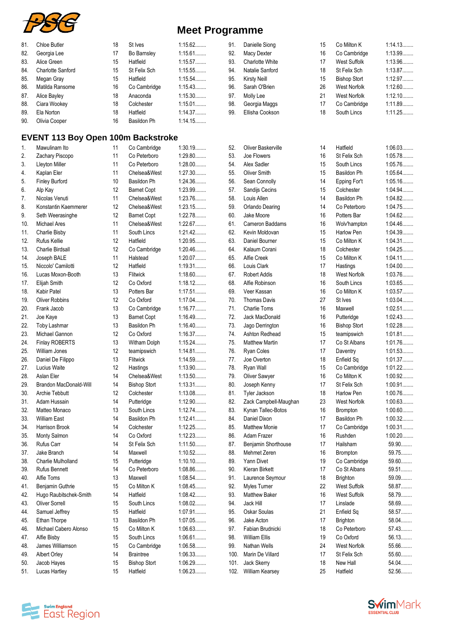

| <b>Chloe Butler</b><br>18<br>St Ives<br>1:15.62<br>91.<br>Danielle Siong<br>Co Milton K<br>81.<br>15<br>1:15.61<br>92.<br>82.<br>17<br>16<br>Georgia Lee<br>Bo Barnsley<br><b>Macy Dexter</b><br>Co Cambridge<br>Alice Green<br>15<br>Hatfield<br>1:15.57<br>93.<br>Charlotte White<br><b>West Suffolk</b><br>83.<br>17<br>Charlotte Sanford<br>1:15.55<br>St Felix Sch<br>84.<br>15<br>St Felix Sch<br>94.<br>Natalie Sanford<br>18<br>15<br>Hatfield<br>1:15.54<br>95.<br><b>Bishop Stort</b><br>85.<br>Megan Gray<br><b>Kirsty Neill</b><br>15<br>86.<br>16<br>1:15.43<br>96.<br>26<br>Matilda Ransome<br>Co Cambridge<br>Sarah O'Brien<br>West Norfolk<br>21<br>18<br>1:15.30<br>97.<br>87.<br>Alice Bayley<br>Anaconda<br>Molly Lee<br>West Norfolk<br>$1:15.01$<br>88.<br>18<br>Colchester<br>98.<br>17<br>Ciara Wookey<br>Georgia Maggs<br>Co Cambridge<br>1:14.37<br>Ela Norton<br>18<br>Hatfield<br>99.<br>Ellisha Cookson<br>18<br>South Lincs<br>89.<br>1:14.15<br>16<br>90.<br>Olivia Cooper<br>Basildon Ph<br><b>EVENT 113 Boy Open 100m Backstroke</b><br>11<br>$1:30.19$<br>Oliver Baskerville<br>Hatfield<br>Mawulinam Ito<br>Co Cambridge<br>52.<br>14<br>1.<br>Zachary Piscopo<br>11<br>Co Peterboro<br>$1:29.80$<br>53.<br>Joe Flowers<br>St Felix Sch<br>2.<br>16<br>11<br>Co Peterboro<br>$1:28.00$<br>54.<br>Alex Sadler<br>3.<br><b>Lleyton Miller</b><br>15<br>South Lincs<br>1:27.30<br>11<br>Chelsea&West<br>55.<br><b>Oliver Smith</b><br>15<br><b>Basildon Ph</b><br>4.<br>Kaplan Eler<br>1:24.36<br>14<br>10<br>Basildon Ph<br>56.<br>5.<br><b>Finley Burford</b><br>Sean Connolly<br>Epping For't<br>1:23.99<br>12<br>57.<br>15<br>6.<br>Alp Kay<br><b>Barnet Copt</b><br>Sandijs Cecins<br>Colchester<br>1:23.76<br>11<br>58.<br>14<br><b>Basildon Ph</b><br>7.<br>Nicolas Venuti<br>Chelsea&West<br>Louis Allen<br>12<br>Chelsea&West<br>1:23.15<br>59.<br>Orlando Dearing<br>14<br>Co Peterboro<br>8.<br>Konstantin Kaemmerer<br>1:22.78<br>12<br><b>Barnet Copt</b><br>60.<br>Jake Moore<br>Potters Bar<br>9.<br>Seth Weerasinghe<br>16<br>Michael Ares<br>11<br>Chelsea&West<br>1:22.67<br>61.<br>Cameron Baddams<br>10.<br>16<br>Wolv'hampton<br>1:21.42<br>62.<br>11<br>South Lincs<br>Kevin Moldovan<br>15<br><b>Harlow Pen</b><br>11.<br>Charlie Bisby<br>1:20.95<br>Rufus Kellie<br>12<br>Hatfield<br>63.<br>Daniel Bourner<br>15<br>Co Milton K<br>12.<br>12<br>1:20.46<br>13.<br>Charlie Birdsall<br>64.<br>Kalaum Corani<br>18<br>Co Cambridge<br>Colchester<br>1:20.07<br>11<br>65.<br>Alfie Creek<br>15<br>14.<br>Joseph BALE<br>Halstead<br>Co Milton K<br>1:19.31<br>Niccolo' Camilotti<br>12<br>Hatfield<br>66.<br>Louis Clark<br>17<br>Hastings<br>15.<br>Lucas Moxon-Booth<br>13<br>1:18.60<br>67.<br>Robert Addis<br>18<br><b>West Norfolk</b><br>16.<br>Flitwick<br>12<br>Co Oxford<br>1:18.12<br>68.<br>Alfie Robinson<br>South Lincs<br>17.<br>Elijah Smith<br>16<br>1:17.51<br>69.<br>18.<br>Kabir Patel<br>13<br>Potters Bar<br>Veer Kassan<br>16<br>Co Milton K<br>1:17.04<br><b>Oliver Robbins</b><br>12<br>Co Oxford<br>70.<br><b>Thomas Davis</b><br>St Ives<br>19.<br>27<br>1:16.77<br>Frank Jacob<br>13<br>Co Cambridge<br>71.<br><b>Charlie Toms</b><br>16<br>20.<br>Maxwell<br>1:16.49<br>72.<br>13<br>16<br>21.<br>Joe Kaye<br><b>Barnet Copt</b><br>Jack MacDonald<br>Putteridge<br>13<br>Basildon Ph<br>1:16.40<br>73.<br>22.<br>Toby Lashmar<br>Jago Derrington<br>16<br><b>Bishop Stort</b><br>12<br>1:16.37<br>23.<br>Michael Gannon<br>Co Oxford<br>74.<br>Ashton Redhead<br>15<br>teamipswich<br>Finlay ROBERTS<br>13<br>1:15.24<br>Co St Albans<br>24.<br>Witham Dolph<br>75.<br><b>Matthew Martin</b><br>17<br>12<br>1:14.81<br>76.<br>25.<br>William Jones<br>teamipswich<br><b>Ryan Coles</b><br>17<br>Daventry<br>1:14.59<br>13<br>Flitwick<br>Joe Overton<br>18<br>26.<br>Daniel De Filippo<br>77.<br>Enfield Sq<br>1:13.90<br><b>Lucius Waite</b><br>12<br>Hastings<br>78.<br>Ryan Wall<br>15<br>Co Cambridge<br>27.<br>1:13.50<br>Aslan Eler<br>14<br>Chelsea&West<br>79.<br>Oliver Sawyer<br>16<br>Co Milton K<br>28.<br>1:13.31<br>29.<br>Brandon MacDonald-Will<br>14<br><b>Bishop Stort</b><br>80.<br>Joseph Kenny<br>17<br>St Felix Sch<br>1:13.08<br>Tyler Jackson<br>Archie Tebbutt<br>12<br>Colchester<br>81.<br>18<br>Harlow Pen<br>30.<br>Adam Hussain<br>1:12.90<br>82.<br>23<br>31.<br>14<br>Putteridge<br>Zack Campbell-Maughan<br>West Norfolk<br>1:12.74<br>83.<br>32.<br>Matteo Monaco<br>13<br>South Lincs<br>Kynan Tallec-Botos<br>16<br>Brompton<br>1:12.41<br>33.<br><b>William East</b><br>14<br>Basildon Ph<br>84.<br>Daniel Dixon<br>17<br>Basildon Ph<br>1:12.25<br>85.<br>17<br>34.<br>Harrison Brook<br>14<br>Colchester<br><b>Matthew Monie</b><br>Co Cambridge<br>1:12.23<br>Monty Salmon<br>Co Oxford<br>86.<br>Adam Frazer<br>16<br>Rushden<br>35.<br>14<br>1:11.50<br>Hailsham<br>36.<br>Rufus Carr<br>14<br>St Felix Sch<br>87.<br>Benjamin Shorthouse<br>17<br>Jake Branch<br>Maxwell<br>1:10.52<br>88.<br>37.<br>14<br>Mehmet Zeren<br>16<br>Brompton<br>1:10.10<br>89.<br>Yann Divet<br>38.<br>Charlie Mulholland<br>15<br>Putteridge<br>19<br>Co Cambridge<br><b>Rufus Bennett</b><br>Co Peterboro<br>1:08.86<br>90.<br>Kieran Birkett<br>Co St Albans<br>39.<br>14<br>17<br>Alfie Toms<br>13<br>1:08.54<br>91.<br>40.<br>Maxwell<br>Laurence Seymour<br>18<br><b>Brighton</b><br>Benjamin Guthrie<br>Co Milton K<br>1:08.45<br>92.<br>15<br>Myles Turner<br>22<br><b>West Suffolk</b><br>41.<br>1:08.42<br>Hatfield<br>93.<br>Matthew Baker<br>16<br>West Suffolk<br>42.<br>Hugo Raubitschek-Smith<br>14<br>$1:08.02$<br>Oliver Sorrell<br>15<br>94.<br>Jack Hill<br>17<br>Linslade<br>43.<br>South Lincs<br>1:07.91<br>Samuel Jeffrey<br>15<br>Hatfield<br>95.<br>Oskar Soulas<br>21<br>Enfield Sq<br>44.<br>1:07.05<br>96.<br>Ethan Thorpe<br>13<br>Basildon Ph<br>Jake Acton<br>17<br><b>Brighton</b><br>45.<br>Michael Cabero Alonso<br>1:06.63<br>Fabian Brudnicki<br>15<br>Co Milton K<br>97.<br>18<br>Co Peterboro<br>46.<br>1:06.61<br>98.<br>Co Oxford<br>Alfie Bisby<br>15<br>South Lincs<br><b>William Ellis</b><br>19<br>47.<br>1:06.58<br>99.<br>24<br>48.<br>James Williamson<br>15<br>Co Cambridge<br>Nathan Wells<br>West Norfolk<br>1:06.33<br>Albert Orley<br>14<br><b>Braintree</b><br>100.<br>Marin De Villard<br>17<br>St Felix Sch<br>49.<br>1:06.29<br>Jacob Hayes<br>15<br><b>Bishop Stort</b><br>Jack Skerry<br>18<br>New Hall<br>101.<br>50. |     |               |    |          |         |      |                 |    |          |                    |
|---------------------------------------------------------------------------------------------------------------------------------------------------------------------------------------------------------------------------------------------------------------------------------------------------------------------------------------------------------------------------------------------------------------------------------------------------------------------------------------------------------------------------------------------------------------------------------------------------------------------------------------------------------------------------------------------------------------------------------------------------------------------------------------------------------------------------------------------------------------------------------------------------------------------------------------------------------------------------------------------------------------------------------------------------------------------------------------------------------------------------------------------------------------------------------------------------------------------------------------------------------------------------------------------------------------------------------------------------------------------------------------------------------------------------------------------------------------------------------------------------------------------------------------------------------------------------------------------------------------------------------------------------------------------------------------------------------------------------------------------------------------------------------------------------------------------------------------------------------------------------------------------------------------------------------------------------------------------------------------------------------------------------------------------------------------------------------------------------------------------------------------------------------------------------------------------------------------------------------------------------------------------------------------------------------------------------------------------------------------------------------------------------------------------------------------------------------------------------------------------------------------------------------------------------------------------------------------------------------------------------------------------------------------------------------------------------------------------------------------------------------------------------------------------------------------------------------------------------------------------------------------------------------------------------------------------------------------------------------------------------------------------------------------------------------------------------------------------------------------------------------------------------------------------------------------------------------------------------------------------------------------------------------------------------------------------------------------------------------------------------------------------------------------------------------------------------------------------------------------------------------------------------------------------------------------------------------------------------------------------------------------------------------------------------------------------------------------------------------------------------------------------------------------------------------------------------------------------------------------------------------------------------------------------------------------------------------------------------------------------------------------------------------------------------------------------------------------------------------------------------------------------------------------------------------------------------------------------------------------------------------------------------------------------------------------------------------------------------------------------------------------------------------------------------------------------------------------------------------------------------------------------------------------------------------------------------------------------------------------------------------------------------------------------------------------------------------------------------------------------------------------------------------------------------------------------------------------------------------------------------------------------------------------------------------------------------------------------------------------------------------------------------------------------------------------------------------------------------------------------------------------------------------------------------------------------------------------------------------------------------------------------------------------------------------------------------------------------------------------------------------------------------------------------------------------------------------------------------------------------------------------------------------------------------------------------------------------------------------------------------------------------------------------------------------------------------------------------------------------------------------------------------------------------------------------------------------------------------------------------------------------------------------------------------------------------------------------------------------------------------------------------------------------------------------------------------------------------------------------------------------------------------------------------------------------------------------------------------------------------------------------------------------------------------------------------------------------------------------------------------------------------------------------------------------------------------------------------------------------------|-----|---------------|----|----------|---------|------|-----------------|----|----------|--------------------|
|                                                                                                                                                                                                                                                                                                                                                                                                                                                                                                                                                                                                                                                                                                                                                                                                                                                                                                                                                                                                                                                                                                                                                                                                                                                                                                                                                                                                                                                                                                                                                                                                                                                                                                                                                                                                                                                                                                                                                                                                                                                                                                                                                                                                                                                                                                                                                                                                                                                                                                                                                                                                                                                                                                                                                                                                                                                                                                                                                                                                                                                                                                                                                                                                                                                                                                                                                                                                                                                                                                                                                                                                                                                                                                                                                                                                                                                                                                                                                                                                                                                                                                                                                                                                                                                                                                                                                                                                                                                                                                                                                                                                                                                                                                                                                                                                                                                                                                                                                                                                                                                                                                                                                                                                                                                                                                                                                                                                                                                                                                                                                                                                                                                                                                                                                                                                                                                                                                                                                                                                                                                                                                                                                                                                                                                                                                                                                                                                                                                                                             |     |               |    |          |         |      |                 |    |          | 1:14.13            |
|                                                                                                                                                                                                                                                                                                                                                                                                                                                                                                                                                                                                                                                                                                                                                                                                                                                                                                                                                                                                                                                                                                                                                                                                                                                                                                                                                                                                                                                                                                                                                                                                                                                                                                                                                                                                                                                                                                                                                                                                                                                                                                                                                                                                                                                                                                                                                                                                                                                                                                                                                                                                                                                                                                                                                                                                                                                                                                                                                                                                                                                                                                                                                                                                                                                                                                                                                                                                                                                                                                                                                                                                                                                                                                                                                                                                                                                                                                                                                                                                                                                                                                                                                                                                                                                                                                                                                                                                                                                                                                                                                                                                                                                                                                                                                                                                                                                                                                                                                                                                                                                                                                                                                                                                                                                                                                                                                                                                                                                                                                                                                                                                                                                                                                                                                                                                                                                                                                                                                                                                                                                                                                                                                                                                                                                                                                                                                                                                                                                                                             |     |               |    |          |         |      |                 |    |          | 1:13.99            |
|                                                                                                                                                                                                                                                                                                                                                                                                                                                                                                                                                                                                                                                                                                                                                                                                                                                                                                                                                                                                                                                                                                                                                                                                                                                                                                                                                                                                                                                                                                                                                                                                                                                                                                                                                                                                                                                                                                                                                                                                                                                                                                                                                                                                                                                                                                                                                                                                                                                                                                                                                                                                                                                                                                                                                                                                                                                                                                                                                                                                                                                                                                                                                                                                                                                                                                                                                                                                                                                                                                                                                                                                                                                                                                                                                                                                                                                                                                                                                                                                                                                                                                                                                                                                                                                                                                                                                                                                                                                                                                                                                                                                                                                                                                                                                                                                                                                                                                                                                                                                                                                                                                                                                                                                                                                                                                                                                                                                                                                                                                                                                                                                                                                                                                                                                                                                                                                                                                                                                                                                                                                                                                                                                                                                                                                                                                                                                                                                                                                                                             |     |               |    |          |         |      |                 |    |          | 1:13.96            |
|                                                                                                                                                                                                                                                                                                                                                                                                                                                                                                                                                                                                                                                                                                                                                                                                                                                                                                                                                                                                                                                                                                                                                                                                                                                                                                                                                                                                                                                                                                                                                                                                                                                                                                                                                                                                                                                                                                                                                                                                                                                                                                                                                                                                                                                                                                                                                                                                                                                                                                                                                                                                                                                                                                                                                                                                                                                                                                                                                                                                                                                                                                                                                                                                                                                                                                                                                                                                                                                                                                                                                                                                                                                                                                                                                                                                                                                                                                                                                                                                                                                                                                                                                                                                                                                                                                                                                                                                                                                                                                                                                                                                                                                                                                                                                                                                                                                                                                                                                                                                                                                                                                                                                                                                                                                                                                                                                                                                                                                                                                                                                                                                                                                                                                                                                                                                                                                                                                                                                                                                                                                                                                                                                                                                                                                                                                                                                                                                                                                                                             |     |               |    |          |         |      |                 |    |          | 1:13.87            |
|                                                                                                                                                                                                                                                                                                                                                                                                                                                                                                                                                                                                                                                                                                                                                                                                                                                                                                                                                                                                                                                                                                                                                                                                                                                                                                                                                                                                                                                                                                                                                                                                                                                                                                                                                                                                                                                                                                                                                                                                                                                                                                                                                                                                                                                                                                                                                                                                                                                                                                                                                                                                                                                                                                                                                                                                                                                                                                                                                                                                                                                                                                                                                                                                                                                                                                                                                                                                                                                                                                                                                                                                                                                                                                                                                                                                                                                                                                                                                                                                                                                                                                                                                                                                                                                                                                                                                                                                                                                                                                                                                                                                                                                                                                                                                                                                                                                                                                                                                                                                                                                                                                                                                                                                                                                                                                                                                                                                                                                                                                                                                                                                                                                                                                                                                                                                                                                                                                                                                                                                                                                                                                                                                                                                                                                                                                                                                                                                                                                                                             |     |               |    |          |         |      |                 |    |          | 1:12.97            |
|                                                                                                                                                                                                                                                                                                                                                                                                                                                                                                                                                                                                                                                                                                                                                                                                                                                                                                                                                                                                                                                                                                                                                                                                                                                                                                                                                                                                                                                                                                                                                                                                                                                                                                                                                                                                                                                                                                                                                                                                                                                                                                                                                                                                                                                                                                                                                                                                                                                                                                                                                                                                                                                                                                                                                                                                                                                                                                                                                                                                                                                                                                                                                                                                                                                                                                                                                                                                                                                                                                                                                                                                                                                                                                                                                                                                                                                                                                                                                                                                                                                                                                                                                                                                                                                                                                                                                                                                                                                                                                                                                                                                                                                                                                                                                                                                                                                                                                                                                                                                                                                                                                                                                                                                                                                                                                                                                                                                                                                                                                                                                                                                                                                                                                                                                                                                                                                                                                                                                                                                                                                                                                                                                                                                                                                                                                                                                                                                                                                                                             |     |               |    |          |         |      |                 |    |          | 1:12.60            |
|                                                                                                                                                                                                                                                                                                                                                                                                                                                                                                                                                                                                                                                                                                                                                                                                                                                                                                                                                                                                                                                                                                                                                                                                                                                                                                                                                                                                                                                                                                                                                                                                                                                                                                                                                                                                                                                                                                                                                                                                                                                                                                                                                                                                                                                                                                                                                                                                                                                                                                                                                                                                                                                                                                                                                                                                                                                                                                                                                                                                                                                                                                                                                                                                                                                                                                                                                                                                                                                                                                                                                                                                                                                                                                                                                                                                                                                                                                                                                                                                                                                                                                                                                                                                                                                                                                                                                                                                                                                                                                                                                                                                                                                                                                                                                                                                                                                                                                                                                                                                                                                                                                                                                                                                                                                                                                                                                                                                                                                                                                                                                                                                                                                                                                                                                                                                                                                                                                                                                                                                                                                                                                                                                                                                                                                                                                                                                                                                                                                                                             |     |               |    |          |         |      |                 |    |          | 1:12.10            |
|                                                                                                                                                                                                                                                                                                                                                                                                                                                                                                                                                                                                                                                                                                                                                                                                                                                                                                                                                                                                                                                                                                                                                                                                                                                                                                                                                                                                                                                                                                                                                                                                                                                                                                                                                                                                                                                                                                                                                                                                                                                                                                                                                                                                                                                                                                                                                                                                                                                                                                                                                                                                                                                                                                                                                                                                                                                                                                                                                                                                                                                                                                                                                                                                                                                                                                                                                                                                                                                                                                                                                                                                                                                                                                                                                                                                                                                                                                                                                                                                                                                                                                                                                                                                                                                                                                                                                                                                                                                                                                                                                                                                                                                                                                                                                                                                                                                                                                                                                                                                                                                                                                                                                                                                                                                                                                                                                                                                                                                                                                                                                                                                                                                                                                                                                                                                                                                                                                                                                                                                                                                                                                                                                                                                                                                                                                                                                                                                                                                                                             |     |               |    |          |         |      |                 |    |          | 1:11.89            |
|                                                                                                                                                                                                                                                                                                                                                                                                                                                                                                                                                                                                                                                                                                                                                                                                                                                                                                                                                                                                                                                                                                                                                                                                                                                                                                                                                                                                                                                                                                                                                                                                                                                                                                                                                                                                                                                                                                                                                                                                                                                                                                                                                                                                                                                                                                                                                                                                                                                                                                                                                                                                                                                                                                                                                                                                                                                                                                                                                                                                                                                                                                                                                                                                                                                                                                                                                                                                                                                                                                                                                                                                                                                                                                                                                                                                                                                                                                                                                                                                                                                                                                                                                                                                                                                                                                                                                                                                                                                                                                                                                                                                                                                                                                                                                                                                                                                                                                                                                                                                                                                                                                                                                                                                                                                                                                                                                                                                                                                                                                                                                                                                                                                                                                                                                                                                                                                                                                                                                                                                                                                                                                                                                                                                                                                                                                                                                                                                                                                                                             |     |               |    |          |         |      |                 |    |          | 1:11.25            |
|                                                                                                                                                                                                                                                                                                                                                                                                                                                                                                                                                                                                                                                                                                                                                                                                                                                                                                                                                                                                                                                                                                                                                                                                                                                                                                                                                                                                                                                                                                                                                                                                                                                                                                                                                                                                                                                                                                                                                                                                                                                                                                                                                                                                                                                                                                                                                                                                                                                                                                                                                                                                                                                                                                                                                                                                                                                                                                                                                                                                                                                                                                                                                                                                                                                                                                                                                                                                                                                                                                                                                                                                                                                                                                                                                                                                                                                                                                                                                                                                                                                                                                                                                                                                                                                                                                                                                                                                                                                                                                                                                                                                                                                                                                                                                                                                                                                                                                                                                                                                                                                                                                                                                                                                                                                                                                                                                                                                                                                                                                                                                                                                                                                                                                                                                                                                                                                                                                                                                                                                                                                                                                                                                                                                                                                                                                                                                                                                                                                                                             |     |               |    |          |         |      |                 |    |          |                    |
|                                                                                                                                                                                                                                                                                                                                                                                                                                                                                                                                                                                                                                                                                                                                                                                                                                                                                                                                                                                                                                                                                                                                                                                                                                                                                                                                                                                                                                                                                                                                                                                                                                                                                                                                                                                                                                                                                                                                                                                                                                                                                                                                                                                                                                                                                                                                                                                                                                                                                                                                                                                                                                                                                                                                                                                                                                                                                                                                                                                                                                                                                                                                                                                                                                                                                                                                                                                                                                                                                                                                                                                                                                                                                                                                                                                                                                                                                                                                                                                                                                                                                                                                                                                                                                                                                                                                                                                                                                                                                                                                                                                                                                                                                                                                                                                                                                                                                                                                                                                                                                                                                                                                                                                                                                                                                                                                                                                                                                                                                                                                                                                                                                                                                                                                                                                                                                                                                                                                                                                                                                                                                                                                                                                                                                                                                                                                                                                                                                                                                             |     |               |    |          |         |      |                 |    |          |                    |
|                                                                                                                                                                                                                                                                                                                                                                                                                                                                                                                                                                                                                                                                                                                                                                                                                                                                                                                                                                                                                                                                                                                                                                                                                                                                                                                                                                                                                                                                                                                                                                                                                                                                                                                                                                                                                                                                                                                                                                                                                                                                                                                                                                                                                                                                                                                                                                                                                                                                                                                                                                                                                                                                                                                                                                                                                                                                                                                                                                                                                                                                                                                                                                                                                                                                                                                                                                                                                                                                                                                                                                                                                                                                                                                                                                                                                                                                                                                                                                                                                                                                                                                                                                                                                                                                                                                                                                                                                                                                                                                                                                                                                                                                                                                                                                                                                                                                                                                                                                                                                                                                                                                                                                                                                                                                                                                                                                                                                                                                                                                                                                                                                                                                                                                                                                                                                                                                                                                                                                                                                                                                                                                                                                                                                                                                                                                                                                                                                                                                                             |     |               |    |          |         |      |                 |    |          | 1:06.03            |
|                                                                                                                                                                                                                                                                                                                                                                                                                                                                                                                                                                                                                                                                                                                                                                                                                                                                                                                                                                                                                                                                                                                                                                                                                                                                                                                                                                                                                                                                                                                                                                                                                                                                                                                                                                                                                                                                                                                                                                                                                                                                                                                                                                                                                                                                                                                                                                                                                                                                                                                                                                                                                                                                                                                                                                                                                                                                                                                                                                                                                                                                                                                                                                                                                                                                                                                                                                                                                                                                                                                                                                                                                                                                                                                                                                                                                                                                                                                                                                                                                                                                                                                                                                                                                                                                                                                                                                                                                                                                                                                                                                                                                                                                                                                                                                                                                                                                                                                                                                                                                                                                                                                                                                                                                                                                                                                                                                                                                                                                                                                                                                                                                                                                                                                                                                                                                                                                                                                                                                                                                                                                                                                                                                                                                                                                                                                                                                                                                                                                                             |     |               |    |          |         |      |                 |    |          | 1:05.78            |
|                                                                                                                                                                                                                                                                                                                                                                                                                                                                                                                                                                                                                                                                                                                                                                                                                                                                                                                                                                                                                                                                                                                                                                                                                                                                                                                                                                                                                                                                                                                                                                                                                                                                                                                                                                                                                                                                                                                                                                                                                                                                                                                                                                                                                                                                                                                                                                                                                                                                                                                                                                                                                                                                                                                                                                                                                                                                                                                                                                                                                                                                                                                                                                                                                                                                                                                                                                                                                                                                                                                                                                                                                                                                                                                                                                                                                                                                                                                                                                                                                                                                                                                                                                                                                                                                                                                                                                                                                                                                                                                                                                                                                                                                                                                                                                                                                                                                                                                                                                                                                                                                                                                                                                                                                                                                                                                                                                                                                                                                                                                                                                                                                                                                                                                                                                                                                                                                                                                                                                                                                                                                                                                                                                                                                                                                                                                                                                                                                                                                                             |     |               |    |          |         |      |                 |    |          | 1:05.76            |
|                                                                                                                                                                                                                                                                                                                                                                                                                                                                                                                                                                                                                                                                                                                                                                                                                                                                                                                                                                                                                                                                                                                                                                                                                                                                                                                                                                                                                                                                                                                                                                                                                                                                                                                                                                                                                                                                                                                                                                                                                                                                                                                                                                                                                                                                                                                                                                                                                                                                                                                                                                                                                                                                                                                                                                                                                                                                                                                                                                                                                                                                                                                                                                                                                                                                                                                                                                                                                                                                                                                                                                                                                                                                                                                                                                                                                                                                                                                                                                                                                                                                                                                                                                                                                                                                                                                                                                                                                                                                                                                                                                                                                                                                                                                                                                                                                                                                                                                                                                                                                                                                                                                                                                                                                                                                                                                                                                                                                                                                                                                                                                                                                                                                                                                                                                                                                                                                                                                                                                                                                                                                                                                                                                                                                                                                                                                                                                                                                                                                                             |     |               |    |          |         |      |                 |    |          | 1:05.64            |
|                                                                                                                                                                                                                                                                                                                                                                                                                                                                                                                                                                                                                                                                                                                                                                                                                                                                                                                                                                                                                                                                                                                                                                                                                                                                                                                                                                                                                                                                                                                                                                                                                                                                                                                                                                                                                                                                                                                                                                                                                                                                                                                                                                                                                                                                                                                                                                                                                                                                                                                                                                                                                                                                                                                                                                                                                                                                                                                                                                                                                                                                                                                                                                                                                                                                                                                                                                                                                                                                                                                                                                                                                                                                                                                                                                                                                                                                                                                                                                                                                                                                                                                                                                                                                                                                                                                                                                                                                                                                                                                                                                                                                                                                                                                                                                                                                                                                                                                                                                                                                                                                                                                                                                                                                                                                                                                                                                                                                                                                                                                                                                                                                                                                                                                                                                                                                                                                                                                                                                                                                                                                                                                                                                                                                                                                                                                                                                                                                                                                                             |     |               |    |          |         |      |                 |    |          | 1:05.16            |
|                                                                                                                                                                                                                                                                                                                                                                                                                                                                                                                                                                                                                                                                                                                                                                                                                                                                                                                                                                                                                                                                                                                                                                                                                                                                                                                                                                                                                                                                                                                                                                                                                                                                                                                                                                                                                                                                                                                                                                                                                                                                                                                                                                                                                                                                                                                                                                                                                                                                                                                                                                                                                                                                                                                                                                                                                                                                                                                                                                                                                                                                                                                                                                                                                                                                                                                                                                                                                                                                                                                                                                                                                                                                                                                                                                                                                                                                                                                                                                                                                                                                                                                                                                                                                                                                                                                                                                                                                                                                                                                                                                                                                                                                                                                                                                                                                                                                                                                                                                                                                                                                                                                                                                                                                                                                                                                                                                                                                                                                                                                                                                                                                                                                                                                                                                                                                                                                                                                                                                                                                                                                                                                                                                                                                                                                                                                                                                                                                                                                                             |     |               |    |          |         |      |                 |    |          | 1:04.94            |
|                                                                                                                                                                                                                                                                                                                                                                                                                                                                                                                                                                                                                                                                                                                                                                                                                                                                                                                                                                                                                                                                                                                                                                                                                                                                                                                                                                                                                                                                                                                                                                                                                                                                                                                                                                                                                                                                                                                                                                                                                                                                                                                                                                                                                                                                                                                                                                                                                                                                                                                                                                                                                                                                                                                                                                                                                                                                                                                                                                                                                                                                                                                                                                                                                                                                                                                                                                                                                                                                                                                                                                                                                                                                                                                                                                                                                                                                                                                                                                                                                                                                                                                                                                                                                                                                                                                                                                                                                                                                                                                                                                                                                                                                                                                                                                                                                                                                                                                                                                                                                                                                                                                                                                                                                                                                                                                                                                                                                                                                                                                                                                                                                                                                                                                                                                                                                                                                                                                                                                                                                                                                                                                                                                                                                                                                                                                                                                                                                                                                                             |     |               |    |          |         |      |                 |    |          | 1:04.82            |
|                                                                                                                                                                                                                                                                                                                                                                                                                                                                                                                                                                                                                                                                                                                                                                                                                                                                                                                                                                                                                                                                                                                                                                                                                                                                                                                                                                                                                                                                                                                                                                                                                                                                                                                                                                                                                                                                                                                                                                                                                                                                                                                                                                                                                                                                                                                                                                                                                                                                                                                                                                                                                                                                                                                                                                                                                                                                                                                                                                                                                                                                                                                                                                                                                                                                                                                                                                                                                                                                                                                                                                                                                                                                                                                                                                                                                                                                                                                                                                                                                                                                                                                                                                                                                                                                                                                                                                                                                                                                                                                                                                                                                                                                                                                                                                                                                                                                                                                                                                                                                                                                                                                                                                                                                                                                                                                                                                                                                                                                                                                                                                                                                                                                                                                                                                                                                                                                                                                                                                                                                                                                                                                                                                                                                                                                                                                                                                                                                                                                                             |     |               |    |          |         |      |                 |    |          | 1:04.75            |
|                                                                                                                                                                                                                                                                                                                                                                                                                                                                                                                                                                                                                                                                                                                                                                                                                                                                                                                                                                                                                                                                                                                                                                                                                                                                                                                                                                                                                                                                                                                                                                                                                                                                                                                                                                                                                                                                                                                                                                                                                                                                                                                                                                                                                                                                                                                                                                                                                                                                                                                                                                                                                                                                                                                                                                                                                                                                                                                                                                                                                                                                                                                                                                                                                                                                                                                                                                                                                                                                                                                                                                                                                                                                                                                                                                                                                                                                                                                                                                                                                                                                                                                                                                                                                                                                                                                                                                                                                                                                                                                                                                                                                                                                                                                                                                                                                                                                                                                                                                                                                                                                                                                                                                                                                                                                                                                                                                                                                                                                                                                                                                                                                                                                                                                                                                                                                                                                                                                                                                                                                                                                                                                                                                                                                                                                                                                                                                                                                                                                                             |     |               |    |          |         |      |                 |    |          | 1:04.62            |
|                                                                                                                                                                                                                                                                                                                                                                                                                                                                                                                                                                                                                                                                                                                                                                                                                                                                                                                                                                                                                                                                                                                                                                                                                                                                                                                                                                                                                                                                                                                                                                                                                                                                                                                                                                                                                                                                                                                                                                                                                                                                                                                                                                                                                                                                                                                                                                                                                                                                                                                                                                                                                                                                                                                                                                                                                                                                                                                                                                                                                                                                                                                                                                                                                                                                                                                                                                                                                                                                                                                                                                                                                                                                                                                                                                                                                                                                                                                                                                                                                                                                                                                                                                                                                                                                                                                                                                                                                                                                                                                                                                                                                                                                                                                                                                                                                                                                                                                                                                                                                                                                                                                                                                                                                                                                                                                                                                                                                                                                                                                                                                                                                                                                                                                                                                                                                                                                                                                                                                                                                                                                                                                                                                                                                                                                                                                                                                                                                                                                                             |     |               |    |          |         |      |                 |    |          | 1:04.46            |
|                                                                                                                                                                                                                                                                                                                                                                                                                                                                                                                                                                                                                                                                                                                                                                                                                                                                                                                                                                                                                                                                                                                                                                                                                                                                                                                                                                                                                                                                                                                                                                                                                                                                                                                                                                                                                                                                                                                                                                                                                                                                                                                                                                                                                                                                                                                                                                                                                                                                                                                                                                                                                                                                                                                                                                                                                                                                                                                                                                                                                                                                                                                                                                                                                                                                                                                                                                                                                                                                                                                                                                                                                                                                                                                                                                                                                                                                                                                                                                                                                                                                                                                                                                                                                                                                                                                                                                                                                                                                                                                                                                                                                                                                                                                                                                                                                                                                                                                                                                                                                                                                                                                                                                                                                                                                                                                                                                                                                                                                                                                                                                                                                                                                                                                                                                                                                                                                                                                                                                                                                                                                                                                                                                                                                                                                                                                                                                                                                                                                                             |     |               |    |          |         |      |                 |    |          | 1:04.39            |
|                                                                                                                                                                                                                                                                                                                                                                                                                                                                                                                                                                                                                                                                                                                                                                                                                                                                                                                                                                                                                                                                                                                                                                                                                                                                                                                                                                                                                                                                                                                                                                                                                                                                                                                                                                                                                                                                                                                                                                                                                                                                                                                                                                                                                                                                                                                                                                                                                                                                                                                                                                                                                                                                                                                                                                                                                                                                                                                                                                                                                                                                                                                                                                                                                                                                                                                                                                                                                                                                                                                                                                                                                                                                                                                                                                                                                                                                                                                                                                                                                                                                                                                                                                                                                                                                                                                                                                                                                                                                                                                                                                                                                                                                                                                                                                                                                                                                                                                                                                                                                                                                                                                                                                                                                                                                                                                                                                                                                                                                                                                                                                                                                                                                                                                                                                                                                                                                                                                                                                                                                                                                                                                                                                                                                                                                                                                                                                                                                                                                                             |     |               |    |          |         |      |                 |    |          | 1:04.31            |
|                                                                                                                                                                                                                                                                                                                                                                                                                                                                                                                                                                                                                                                                                                                                                                                                                                                                                                                                                                                                                                                                                                                                                                                                                                                                                                                                                                                                                                                                                                                                                                                                                                                                                                                                                                                                                                                                                                                                                                                                                                                                                                                                                                                                                                                                                                                                                                                                                                                                                                                                                                                                                                                                                                                                                                                                                                                                                                                                                                                                                                                                                                                                                                                                                                                                                                                                                                                                                                                                                                                                                                                                                                                                                                                                                                                                                                                                                                                                                                                                                                                                                                                                                                                                                                                                                                                                                                                                                                                                                                                                                                                                                                                                                                                                                                                                                                                                                                                                                                                                                                                                                                                                                                                                                                                                                                                                                                                                                                                                                                                                                                                                                                                                                                                                                                                                                                                                                                                                                                                                                                                                                                                                                                                                                                                                                                                                                                                                                                                                                             |     |               |    |          |         |      |                 |    |          | 1:04.25            |
|                                                                                                                                                                                                                                                                                                                                                                                                                                                                                                                                                                                                                                                                                                                                                                                                                                                                                                                                                                                                                                                                                                                                                                                                                                                                                                                                                                                                                                                                                                                                                                                                                                                                                                                                                                                                                                                                                                                                                                                                                                                                                                                                                                                                                                                                                                                                                                                                                                                                                                                                                                                                                                                                                                                                                                                                                                                                                                                                                                                                                                                                                                                                                                                                                                                                                                                                                                                                                                                                                                                                                                                                                                                                                                                                                                                                                                                                                                                                                                                                                                                                                                                                                                                                                                                                                                                                                                                                                                                                                                                                                                                                                                                                                                                                                                                                                                                                                                                                                                                                                                                                                                                                                                                                                                                                                                                                                                                                                                                                                                                                                                                                                                                                                                                                                                                                                                                                                                                                                                                                                                                                                                                                                                                                                                                                                                                                                                                                                                                                                             |     |               |    |          |         |      |                 |    |          | $1:04.11$          |
|                                                                                                                                                                                                                                                                                                                                                                                                                                                                                                                                                                                                                                                                                                                                                                                                                                                                                                                                                                                                                                                                                                                                                                                                                                                                                                                                                                                                                                                                                                                                                                                                                                                                                                                                                                                                                                                                                                                                                                                                                                                                                                                                                                                                                                                                                                                                                                                                                                                                                                                                                                                                                                                                                                                                                                                                                                                                                                                                                                                                                                                                                                                                                                                                                                                                                                                                                                                                                                                                                                                                                                                                                                                                                                                                                                                                                                                                                                                                                                                                                                                                                                                                                                                                                                                                                                                                                                                                                                                                                                                                                                                                                                                                                                                                                                                                                                                                                                                                                                                                                                                                                                                                                                                                                                                                                                                                                                                                                                                                                                                                                                                                                                                                                                                                                                                                                                                                                                                                                                                                                                                                                                                                                                                                                                                                                                                                                                                                                                                                                             |     |               |    |          |         |      |                 |    |          | $1:04.00$          |
|                                                                                                                                                                                                                                                                                                                                                                                                                                                                                                                                                                                                                                                                                                                                                                                                                                                                                                                                                                                                                                                                                                                                                                                                                                                                                                                                                                                                                                                                                                                                                                                                                                                                                                                                                                                                                                                                                                                                                                                                                                                                                                                                                                                                                                                                                                                                                                                                                                                                                                                                                                                                                                                                                                                                                                                                                                                                                                                                                                                                                                                                                                                                                                                                                                                                                                                                                                                                                                                                                                                                                                                                                                                                                                                                                                                                                                                                                                                                                                                                                                                                                                                                                                                                                                                                                                                                                                                                                                                                                                                                                                                                                                                                                                                                                                                                                                                                                                                                                                                                                                                                                                                                                                                                                                                                                                                                                                                                                                                                                                                                                                                                                                                                                                                                                                                                                                                                                                                                                                                                                                                                                                                                                                                                                                                                                                                                                                                                                                                                                             |     |               |    |          |         |      |                 |    |          | 1:03.76            |
|                                                                                                                                                                                                                                                                                                                                                                                                                                                                                                                                                                                                                                                                                                                                                                                                                                                                                                                                                                                                                                                                                                                                                                                                                                                                                                                                                                                                                                                                                                                                                                                                                                                                                                                                                                                                                                                                                                                                                                                                                                                                                                                                                                                                                                                                                                                                                                                                                                                                                                                                                                                                                                                                                                                                                                                                                                                                                                                                                                                                                                                                                                                                                                                                                                                                                                                                                                                                                                                                                                                                                                                                                                                                                                                                                                                                                                                                                                                                                                                                                                                                                                                                                                                                                                                                                                                                                                                                                                                                                                                                                                                                                                                                                                                                                                                                                                                                                                                                                                                                                                                                                                                                                                                                                                                                                                                                                                                                                                                                                                                                                                                                                                                                                                                                                                                                                                                                                                                                                                                                                                                                                                                                                                                                                                                                                                                                                                                                                                                                                             |     |               |    |          |         |      |                 |    |          | 1:03.65            |
|                                                                                                                                                                                                                                                                                                                                                                                                                                                                                                                                                                                                                                                                                                                                                                                                                                                                                                                                                                                                                                                                                                                                                                                                                                                                                                                                                                                                                                                                                                                                                                                                                                                                                                                                                                                                                                                                                                                                                                                                                                                                                                                                                                                                                                                                                                                                                                                                                                                                                                                                                                                                                                                                                                                                                                                                                                                                                                                                                                                                                                                                                                                                                                                                                                                                                                                                                                                                                                                                                                                                                                                                                                                                                                                                                                                                                                                                                                                                                                                                                                                                                                                                                                                                                                                                                                                                                                                                                                                                                                                                                                                                                                                                                                                                                                                                                                                                                                                                                                                                                                                                                                                                                                                                                                                                                                                                                                                                                                                                                                                                                                                                                                                                                                                                                                                                                                                                                                                                                                                                                                                                                                                                                                                                                                                                                                                                                                                                                                                                                             |     |               |    |          |         |      |                 |    |          | 1:03.57            |
|                                                                                                                                                                                                                                                                                                                                                                                                                                                                                                                                                                                                                                                                                                                                                                                                                                                                                                                                                                                                                                                                                                                                                                                                                                                                                                                                                                                                                                                                                                                                                                                                                                                                                                                                                                                                                                                                                                                                                                                                                                                                                                                                                                                                                                                                                                                                                                                                                                                                                                                                                                                                                                                                                                                                                                                                                                                                                                                                                                                                                                                                                                                                                                                                                                                                                                                                                                                                                                                                                                                                                                                                                                                                                                                                                                                                                                                                                                                                                                                                                                                                                                                                                                                                                                                                                                                                                                                                                                                                                                                                                                                                                                                                                                                                                                                                                                                                                                                                                                                                                                                                                                                                                                                                                                                                                                                                                                                                                                                                                                                                                                                                                                                                                                                                                                                                                                                                                                                                                                                                                                                                                                                                                                                                                                                                                                                                                                                                                                                                                             |     |               |    |          |         |      |                 |    |          | 1:03.04            |
|                                                                                                                                                                                                                                                                                                                                                                                                                                                                                                                                                                                                                                                                                                                                                                                                                                                                                                                                                                                                                                                                                                                                                                                                                                                                                                                                                                                                                                                                                                                                                                                                                                                                                                                                                                                                                                                                                                                                                                                                                                                                                                                                                                                                                                                                                                                                                                                                                                                                                                                                                                                                                                                                                                                                                                                                                                                                                                                                                                                                                                                                                                                                                                                                                                                                                                                                                                                                                                                                                                                                                                                                                                                                                                                                                                                                                                                                                                                                                                                                                                                                                                                                                                                                                                                                                                                                                                                                                                                                                                                                                                                                                                                                                                                                                                                                                                                                                                                                                                                                                                                                                                                                                                                                                                                                                                                                                                                                                                                                                                                                                                                                                                                                                                                                                                                                                                                                                                                                                                                                                                                                                                                                                                                                                                                                                                                                                                                                                                                                                             |     |               |    |          |         |      |                 |    |          | 1:02.51            |
|                                                                                                                                                                                                                                                                                                                                                                                                                                                                                                                                                                                                                                                                                                                                                                                                                                                                                                                                                                                                                                                                                                                                                                                                                                                                                                                                                                                                                                                                                                                                                                                                                                                                                                                                                                                                                                                                                                                                                                                                                                                                                                                                                                                                                                                                                                                                                                                                                                                                                                                                                                                                                                                                                                                                                                                                                                                                                                                                                                                                                                                                                                                                                                                                                                                                                                                                                                                                                                                                                                                                                                                                                                                                                                                                                                                                                                                                                                                                                                                                                                                                                                                                                                                                                                                                                                                                                                                                                                                                                                                                                                                                                                                                                                                                                                                                                                                                                                                                                                                                                                                                                                                                                                                                                                                                                                                                                                                                                                                                                                                                                                                                                                                                                                                                                                                                                                                                                                                                                                                                                                                                                                                                                                                                                                                                                                                                                                                                                                                                                             |     |               |    |          |         |      |                 |    |          | 1:02.43            |
|                                                                                                                                                                                                                                                                                                                                                                                                                                                                                                                                                                                                                                                                                                                                                                                                                                                                                                                                                                                                                                                                                                                                                                                                                                                                                                                                                                                                                                                                                                                                                                                                                                                                                                                                                                                                                                                                                                                                                                                                                                                                                                                                                                                                                                                                                                                                                                                                                                                                                                                                                                                                                                                                                                                                                                                                                                                                                                                                                                                                                                                                                                                                                                                                                                                                                                                                                                                                                                                                                                                                                                                                                                                                                                                                                                                                                                                                                                                                                                                                                                                                                                                                                                                                                                                                                                                                                                                                                                                                                                                                                                                                                                                                                                                                                                                                                                                                                                                                                                                                                                                                                                                                                                                                                                                                                                                                                                                                                                                                                                                                                                                                                                                                                                                                                                                                                                                                                                                                                                                                                                                                                                                                                                                                                                                                                                                                                                                                                                                                                             |     |               |    |          |         |      |                 |    |          | 1:02.28            |
|                                                                                                                                                                                                                                                                                                                                                                                                                                                                                                                                                                                                                                                                                                                                                                                                                                                                                                                                                                                                                                                                                                                                                                                                                                                                                                                                                                                                                                                                                                                                                                                                                                                                                                                                                                                                                                                                                                                                                                                                                                                                                                                                                                                                                                                                                                                                                                                                                                                                                                                                                                                                                                                                                                                                                                                                                                                                                                                                                                                                                                                                                                                                                                                                                                                                                                                                                                                                                                                                                                                                                                                                                                                                                                                                                                                                                                                                                                                                                                                                                                                                                                                                                                                                                                                                                                                                                                                                                                                                                                                                                                                                                                                                                                                                                                                                                                                                                                                                                                                                                                                                                                                                                                                                                                                                                                                                                                                                                                                                                                                                                                                                                                                                                                                                                                                                                                                                                                                                                                                                                                                                                                                                                                                                                                                                                                                                                                                                                                                                                             |     |               |    |          |         |      |                 |    |          | 1:01.81            |
|                                                                                                                                                                                                                                                                                                                                                                                                                                                                                                                                                                                                                                                                                                                                                                                                                                                                                                                                                                                                                                                                                                                                                                                                                                                                                                                                                                                                                                                                                                                                                                                                                                                                                                                                                                                                                                                                                                                                                                                                                                                                                                                                                                                                                                                                                                                                                                                                                                                                                                                                                                                                                                                                                                                                                                                                                                                                                                                                                                                                                                                                                                                                                                                                                                                                                                                                                                                                                                                                                                                                                                                                                                                                                                                                                                                                                                                                                                                                                                                                                                                                                                                                                                                                                                                                                                                                                                                                                                                                                                                                                                                                                                                                                                                                                                                                                                                                                                                                                                                                                                                                                                                                                                                                                                                                                                                                                                                                                                                                                                                                                                                                                                                                                                                                                                                                                                                                                                                                                                                                                                                                                                                                                                                                                                                                                                                                                                                                                                                                                             |     |               |    |          |         |      |                 |    |          | 1:01.76            |
|                                                                                                                                                                                                                                                                                                                                                                                                                                                                                                                                                                                                                                                                                                                                                                                                                                                                                                                                                                                                                                                                                                                                                                                                                                                                                                                                                                                                                                                                                                                                                                                                                                                                                                                                                                                                                                                                                                                                                                                                                                                                                                                                                                                                                                                                                                                                                                                                                                                                                                                                                                                                                                                                                                                                                                                                                                                                                                                                                                                                                                                                                                                                                                                                                                                                                                                                                                                                                                                                                                                                                                                                                                                                                                                                                                                                                                                                                                                                                                                                                                                                                                                                                                                                                                                                                                                                                                                                                                                                                                                                                                                                                                                                                                                                                                                                                                                                                                                                                                                                                                                                                                                                                                                                                                                                                                                                                                                                                                                                                                                                                                                                                                                                                                                                                                                                                                                                                                                                                                                                                                                                                                                                                                                                                                                                                                                                                                                                                                                                                             |     |               |    |          |         |      |                 |    |          | 1:01.53<br>1:01.37 |
|                                                                                                                                                                                                                                                                                                                                                                                                                                                                                                                                                                                                                                                                                                                                                                                                                                                                                                                                                                                                                                                                                                                                                                                                                                                                                                                                                                                                                                                                                                                                                                                                                                                                                                                                                                                                                                                                                                                                                                                                                                                                                                                                                                                                                                                                                                                                                                                                                                                                                                                                                                                                                                                                                                                                                                                                                                                                                                                                                                                                                                                                                                                                                                                                                                                                                                                                                                                                                                                                                                                                                                                                                                                                                                                                                                                                                                                                                                                                                                                                                                                                                                                                                                                                                                                                                                                                                                                                                                                                                                                                                                                                                                                                                                                                                                                                                                                                                                                                                                                                                                                                                                                                                                                                                                                                                                                                                                                                                                                                                                                                                                                                                                                                                                                                                                                                                                                                                                                                                                                                                                                                                                                                                                                                                                                                                                                                                                                                                                                                                             |     |               |    |          |         |      |                 |    |          | 1:01.22            |
|                                                                                                                                                                                                                                                                                                                                                                                                                                                                                                                                                                                                                                                                                                                                                                                                                                                                                                                                                                                                                                                                                                                                                                                                                                                                                                                                                                                                                                                                                                                                                                                                                                                                                                                                                                                                                                                                                                                                                                                                                                                                                                                                                                                                                                                                                                                                                                                                                                                                                                                                                                                                                                                                                                                                                                                                                                                                                                                                                                                                                                                                                                                                                                                                                                                                                                                                                                                                                                                                                                                                                                                                                                                                                                                                                                                                                                                                                                                                                                                                                                                                                                                                                                                                                                                                                                                                                                                                                                                                                                                                                                                                                                                                                                                                                                                                                                                                                                                                                                                                                                                                                                                                                                                                                                                                                                                                                                                                                                                                                                                                                                                                                                                                                                                                                                                                                                                                                                                                                                                                                                                                                                                                                                                                                                                                                                                                                                                                                                                                                             |     |               |    |          |         |      |                 |    |          | 1:00.92            |
|                                                                                                                                                                                                                                                                                                                                                                                                                                                                                                                                                                                                                                                                                                                                                                                                                                                                                                                                                                                                                                                                                                                                                                                                                                                                                                                                                                                                                                                                                                                                                                                                                                                                                                                                                                                                                                                                                                                                                                                                                                                                                                                                                                                                                                                                                                                                                                                                                                                                                                                                                                                                                                                                                                                                                                                                                                                                                                                                                                                                                                                                                                                                                                                                                                                                                                                                                                                                                                                                                                                                                                                                                                                                                                                                                                                                                                                                                                                                                                                                                                                                                                                                                                                                                                                                                                                                                                                                                                                                                                                                                                                                                                                                                                                                                                                                                                                                                                                                                                                                                                                                                                                                                                                                                                                                                                                                                                                                                                                                                                                                                                                                                                                                                                                                                                                                                                                                                                                                                                                                                                                                                                                                                                                                                                                                                                                                                                                                                                                                                             |     |               |    |          |         |      |                 |    |          | 1:00.91            |
|                                                                                                                                                                                                                                                                                                                                                                                                                                                                                                                                                                                                                                                                                                                                                                                                                                                                                                                                                                                                                                                                                                                                                                                                                                                                                                                                                                                                                                                                                                                                                                                                                                                                                                                                                                                                                                                                                                                                                                                                                                                                                                                                                                                                                                                                                                                                                                                                                                                                                                                                                                                                                                                                                                                                                                                                                                                                                                                                                                                                                                                                                                                                                                                                                                                                                                                                                                                                                                                                                                                                                                                                                                                                                                                                                                                                                                                                                                                                                                                                                                                                                                                                                                                                                                                                                                                                                                                                                                                                                                                                                                                                                                                                                                                                                                                                                                                                                                                                                                                                                                                                                                                                                                                                                                                                                                                                                                                                                                                                                                                                                                                                                                                                                                                                                                                                                                                                                                                                                                                                                                                                                                                                                                                                                                                                                                                                                                                                                                                                                             |     |               |    |          |         |      |                 |    |          | 1:00.76            |
|                                                                                                                                                                                                                                                                                                                                                                                                                                                                                                                                                                                                                                                                                                                                                                                                                                                                                                                                                                                                                                                                                                                                                                                                                                                                                                                                                                                                                                                                                                                                                                                                                                                                                                                                                                                                                                                                                                                                                                                                                                                                                                                                                                                                                                                                                                                                                                                                                                                                                                                                                                                                                                                                                                                                                                                                                                                                                                                                                                                                                                                                                                                                                                                                                                                                                                                                                                                                                                                                                                                                                                                                                                                                                                                                                                                                                                                                                                                                                                                                                                                                                                                                                                                                                                                                                                                                                                                                                                                                                                                                                                                                                                                                                                                                                                                                                                                                                                                                                                                                                                                                                                                                                                                                                                                                                                                                                                                                                                                                                                                                                                                                                                                                                                                                                                                                                                                                                                                                                                                                                                                                                                                                                                                                                                                                                                                                                                                                                                                                                             |     |               |    |          |         |      |                 |    |          | 1:00.63            |
|                                                                                                                                                                                                                                                                                                                                                                                                                                                                                                                                                                                                                                                                                                                                                                                                                                                                                                                                                                                                                                                                                                                                                                                                                                                                                                                                                                                                                                                                                                                                                                                                                                                                                                                                                                                                                                                                                                                                                                                                                                                                                                                                                                                                                                                                                                                                                                                                                                                                                                                                                                                                                                                                                                                                                                                                                                                                                                                                                                                                                                                                                                                                                                                                                                                                                                                                                                                                                                                                                                                                                                                                                                                                                                                                                                                                                                                                                                                                                                                                                                                                                                                                                                                                                                                                                                                                                                                                                                                                                                                                                                                                                                                                                                                                                                                                                                                                                                                                                                                                                                                                                                                                                                                                                                                                                                                                                                                                                                                                                                                                                                                                                                                                                                                                                                                                                                                                                                                                                                                                                                                                                                                                                                                                                                                                                                                                                                                                                                                                                             |     |               |    |          |         |      |                 |    |          | $1:00.60$          |
|                                                                                                                                                                                                                                                                                                                                                                                                                                                                                                                                                                                                                                                                                                                                                                                                                                                                                                                                                                                                                                                                                                                                                                                                                                                                                                                                                                                                                                                                                                                                                                                                                                                                                                                                                                                                                                                                                                                                                                                                                                                                                                                                                                                                                                                                                                                                                                                                                                                                                                                                                                                                                                                                                                                                                                                                                                                                                                                                                                                                                                                                                                                                                                                                                                                                                                                                                                                                                                                                                                                                                                                                                                                                                                                                                                                                                                                                                                                                                                                                                                                                                                                                                                                                                                                                                                                                                                                                                                                                                                                                                                                                                                                                                                                                                                                                                                                                                                                                                                                                                                                                                                                                                                                                                                                                                                                                                                                                                                                                                                                                                                                                                                                                                                                                                                                                                                                                                                                                                                                                                                                                                                                                                                                                                                                                                                                                                                                                                                                                                             |     |               |    |          |         |      |                 |    |          | 1:00.32            |
|                                                                                                                                                                                                                                                                                                                                                                                                                                                                                                                                                                                                                                                                                                                                                                                                                                                                                                                                                                                                                                                                                                                                                                                                                                                                                                                                                                                                                                                                                                                                                                                                                                                                                                                                                                                                                                                                                                                                                                                                                                                                                                                                                                                                                                                                                                                                                                                                                                                                                                                                                                                                                                                                                                                                                                                                                                                                                                                                                                                                                                                                                                                                                                                                                                                                                                                                                                                                                                                                                                                                                                                                                                                                                                                                                                                                                                                                                                                                                                                                                                                                                                                                                                                                                                                                                                                                                                                                                                                                                                                                                                                                                                                                                                                                                                                                                                                                                                                                                                                                                                                                                                                                                                                                                                                                                                                                                                                                                                                                                                                                                                                                                                                                                                                                                                                                                                                                                                                                                                                                                                                                                                                                                                                                                                                                                                                                                                                                                                                                                             |     |               |    |          |         |      |                 |    |          | 1:00.31            |
|                                                                                                                                                                                                                                                                                                                                                                                                                                                                                                                                                                                                                                                                                                                                                                                                                                                                                                                                                                                                                                                                                                                                                                                                                                                                                                                                                                                                                                                                                                                                                                                                                                                                                                                                                                                                                                                                                                                                                                                                                                                                                                                                                                                                                                                                                                                                                                                                                                                                                                                                                                                                                                                                                                                                                                                                                                                                                                                                                                                                                                                                                                                                                                                                                                                                                                                                                                                                                                                                                                                                                                                                                                                                                                                                                                                                                                                                                                                                                                                                                                                                                                                                                                                                                                                                                                                                                                                                                                                                                                                                                                                                                                                                                                                                                                                                                                                                                                                                                                                                                                                                                                                                                                                                                                                                                                                                                                                                                                                                                                                                                                                                                                                                                                                                                                                                                                                                                                                                                                                                                                                                                                                                                                                                                                                                                                                                                                                                                                                                                             |     |               |    |          |         |      |                 |    |          | $1:00.20$          |
|                                                                                                                                                                                                                                                                                                                                                                                                                                                                                                                                                                                                                                                                                                                                                                                                                                                                                                                                                                                                                                                                                                                                                                                                                                                                                                                                                                                                                                                                                                                                                                                                                                                                                                                                                                                                                                                                                                                                                                                                                                                                                                                                                                                                                                                                                                                                                                                                                                                                                                                                                                                                                                                                                                                                                                                                                                                                                                                                                                                                                                                                                                                                                                                                                                                                                                                                                                                                                                                                                                                                                                                                                                                                                                                                                                                                                                                                                                                                                                                                                                                                                                                                                                                                                                                                                                                                                                                                                                                                                                                                                                                                                                                                                                                                                                                                                                                                                                                                                                                                                                                                                                                                                                                                                                                                                                                                                                                                                                                                                                                                                                                                                                                                                                                                                                                                                                                                                                                                                                                                                                                                                                                                                                                                                                                                                                                                                                                                                                                                                             |     |               |    |          |         |      |                 |    |          | 59.90              |
|                                                                                                                                                                                                                                                                                                                                                                                                                                                                                                                                                                                                                                                                                                                                                                                                                                                                                                                                                                                                                                                                                                                                                                                                                                                                                                                                                                                                                                                                                                                                                                                                                                                                                                                                                                                                                                                                                                                                                                                                                                                                                                                                                                                                                                                                                                                                                                                                                                                                                                                                                                                                                                                                                                                                                                                                                                                                                                                                                                                                                                                                                                                                                                                                                                                                                                                                                                                                                                                                                                                                                                                                                                                                                                                                                                                                                                                                                                                                                                                                                                                                                                                                                                                                                                                                                                                                                                                                                                                                                                                                                                                                                                                                                                                                                                                                                                                                                                                                                                                                                                                                                                                                                                                                                                                                                                                                                                                                                                                                                                                                                                                                                                                                                                                                                                                                                                                                                                                                                                                                                                                                                                                                                                                                                                                                                                                                                                                                                                                                                             |     |               |    |          |         |      |                 |    |          | 59.75              |
|                                                                                                                                                                                                                                                                                                                                                                                                                                                                                                                                                                                                                                                                                                                                                                                                                                                                                                                                                                                                                                                                                                                                                                                                                                                                                                                                                                                                                                                                                                                                                                                                                                                                                                                                                                                                                                                                                                                                                                                                                                                                                                                                                                                                                                                                                                                                                                                                                                                                                                                                                                                                                                                                                                                                                                                                                                                                                                                                                                                                                                                                                                                                                                                                                                                                                                                                                                                                                                                                                                                                                                                                                                                                                                                                                                                                                                                                                                                                                                                                                                                                                                                                                                                                                                                                                                                                                                                                                                                                                                                                                                                                                                                                                                                                                                                                                                                                                                                                                                                                                                                                                                                                                                                                                                                                                                                                                                                                                                                                                                                                                                                                                                                                                                                                                                                                                                                                                                                                                                                                                                                                                                                                                                                                                                                                                                                                                                                                                                                                                             |     |               |    |          |         |      |                 |    |          | 59.60              |
|                                                                                                                                                                                                                                                                                                                                                                                                                                                                                                                                                                                                                                                                                                                                                                                                                                                                                                                                                                                                                                                                                                                                                                                                                                                                                                                                                                                                                                                                                                                                                                                                                                                                                                                                                                                                                                                                                                                                                                                                                                                                                                                                                                                                                                                                                                                                                                                                                                                                                                                                                                                                                                                                                                                                                                                                                                                                                                                                                                                                                                                                                                                                                                                                                                                                                                                                                                                                                                                                                                                                                                                                                                                                                                                                                                                                                                                                                                                                                                                                                                                                                                                                                                                                                                                                                                                                                                                                                                                                                                                                                                                                                                                                                                                                                                                                                                                                                                                                                                                                                                                                                                                                                                                                                                                                                                                                                                                                                                                                                                                                                                                                                                                                                                                                                                                                                                                                                                                                                                                                                                                                                                                                                                                                                                                                                                                                                                                                                                                                                             |     |               |    |          |         |      |                 |    |          | 59.51              |
|                                                                                                                                                                                                                                                                                                                                                                                                                                                                                                                                                                                                                                                                                                                                                                                                                                                                                                                                                                                                                                                                                                                                                                                                                                                                                                                                                                                                                                                                                                                                                                                                                                                                                                                                                                                                                                                                                                                                                                                                                                                                                                                                                                                                                                                                                                                                                                                                                                                                                                                                                                                                                                                                                                                                                                                                                                                                                                                                                                                                                                                                                                                                                                                                                                                                                                                                                                                                                                                                                                                                                                                                                                                                                                                                                                                                                                                                                                                                                                                                                                                                                                                                                                                                                                                                                                                                                                                                                                                                                                                                                                                                                                                                                                                                                                                                                                                                                                                                                                                                                                                                                                                                                                                                                                                                                                                                                                                                                                                                                                                                                                                                                                                                                                                                                                                                                                                                                                                                                                                                                                                                                                                                                                                                                                                                                                                                                                                                                                                                                             |     |               |    |          |         |      |                 |    |          | 59.09              |
|                                                                                                                                                                                                                                                                                                                                                                                                                                                                                                                                                                                                                                                                                                                                                                                                                                                                                                                                                                                                                                                                                                                                                                                                                                                                                                                                                                                                                                                                                                                                                                                                                                                                                                                                                                                                                                                                                                                                                                                                                                                                                                                                                                                                                                                                                                                                                                                                                                                                                                                                                                                                                                                                                                                                                                                                                                                                                                                                                                                                                                                                                                                                                                                                                                                                                                                                                                                                                                                                                                                                                                                                                                                                                                                                                                                                                                                                                                                                                                                                                                                                                                                                                                                                                                                                                                                                                                                                                                                                                                                                                                                                                                                                                                                                                                                                                                                                                                                                                                                                                                                                                                                                                                                                                                                                                                                                                                                                                                                                                                                                                                                                                                                                                                                                                                                                                                                                                                                                                                                                                                                                                                                                                                                                                                                                                                                                                                                                                                                                                             |     |               |    |          |         |      |                 |    |          | 58.87              |
|                                                                                                                                                                                                                                                                                                                                                                                                                                                                                                                                                                                                                                                                                                                                                                                                                                                                                                                                                                                                                                                                                                                                                                                                                                                                                                                                                                                                                                                                                                                                                                                                                                                                                                                                                                                                                                                                                                                                                                                                                                                                                                                                                                                                                                                                                                                                                                                                                                                                                                                                                                                                                                                                                                                                                                                                                                                                                                                                                                                                                                                                                                                                                                                                                                                                                                                                                                                                                                                                                                                                                                                                                                                                                                                                                                                                                                                                                                                                                                                                                                                                                                                                                                                                                                                                                                                                                                                                                                                                                                                                                                                                                                                                                                                                                                                                                                                                                                                                                                                                                                                                                                                                                                                                                                                                                                                                                                                                                                                                                                                                                                                                                                                                                                                                                                                                                                                                                                                                                                                                                                                                                                                                                                                                                                                                                                                                                                                                                                                                                             |     |               |    |          |         |      |                 |    |          | 58.79              |
|                                                                                                                                                                                                                                                                                                                                                                                                                                                                                                                                                                                                                                                                                                                                                                                                                                                                                                                                                                                                                                                                                                                                                                                                                                                                                                                                                                                                                                                                                                                                                                                                                                                                                                                                                                                                                                                                                                                                                                                                                                                                                                                                                                                                                                                                                                                                                                                                                                                                                                                                                                                                                                                                                                                                                                                                                                                                                                                                                                                                                                                                                                                                                                                                                                                                                                                                                                                                                                                                                                                                                                                                                                                                                                                                                                                                                                                                                                                                                                                                                                                                                                                                                                                                                                                                                                                                                                                                                                                                                                                                                                                                                                                                                                                                                                                                                                                                                                                                                                                                                                                                                                                                                                                                                                                                                                                                                                                                                                                                                                                                                                                                                                                                                                                                                                                                                                                                                                                                                                                                                                                                                                                                                                                                                                                                                                                                                                                                                                                                                             |     |               |    |          |         |      |                 |    |          | 58.69              |
|                                                                                                                                                                                                                                                                                                                                                                                                                                                                                                                                                                                                                                                                                                                                                                                                                                                                                                                                                                                                                                                                                                                                                                                                                                                                                                                                                                                                                                                                                                                                                                                                                                                                                                                                                                                                                                                                                                                                                                                                                                                                                                                                                                                                                                                                                                                                                                                                                                                                                                                                                                                                                                                                                                                                                                                                                                                                                                                                                                                                                                                                                                                                                                                                                                                                                                                                                                                                                                                                                                                                                                                                                                                                                                                                                                                                                                                                                                                                                                                                                                                                                                                                                                                                                                                                                                                                                                                                                                                                                                                                                                                                                                                                                                                                                                                                                                                                                                                                                                                                                                                                                                                                                                                                                                                                                                                                                                                                                                                                                                                                                                                                                                                                                                                                                                                                                                                                                                                                                                                                                                                                                                                                                                                                                                                                                                                                                                                                                                                                                             |     |               |    |          |         |      |                 |    |          | 58.57              |
|                                                                                                                                                                                                                                                                                                                                                                                                                                                                                                                                                                                                                                                                                                                                                                                                                                                                                                                                                                                                                                                                                                                                                                                                                                                                                                                                                                                                                                                                                                                                                                                                                                                                                                                                                                                                                                                                                                                                                                                                                                                                                                                                                                                                                                                                                                                                                                                                                                                                                                                                                                                                                                                                                                                                                                                                                                                                                                                                                                                                                                                                                                                                                                                                                                                                                                                                                                                                                                                                                                                                                                                                                                                                                                                                                                                                                                                                                                                                                                                                                                                                                                                                                                                                                                                                                                                                                                                                                                                                                                                                                                                                                                                                                                                                                                                                                                                                                                                                                                                                                                                                                                                                                                                                                                                                                                                                                                                                                                                                                                                                                                                                                                                                                                                                                                                                                                                                                                                                                                                                                                                                                                                                                                                                                                                                                                                                                                                                                                                                                             |     |               |    |          |         |      |                 |    |          | 58.04              |
|                                                                                                                                                                                                                                                                                                                                                                                                                                                                                                                                                                                                                                                                                                                                                                                                                                                                                                                                                                                                                                                                                                                                                                                                                                                                                                                                                                                                                                                                                                                                                                                                                                                                                                                                                                                                                                                                                                                                                                                                                                                                                                                                                                                                                                                                                                                                                                                                                                                                                                                                                                                                                                                                                                                                                                                                                                                                                                                                                                                                                                                                                                                                                                                                                                                                                                                                                                                                                                                                                                                                                                                                                                                                                                                                                                                                                                                                                                                                                                                                                                                                                                                                                                                                                                                                                                                                                                                                                                                                                                                                                                                                                                                                                                                                                                                                                                                                                                                                                                                                                                                                                                                                                                                                                                                                                                                                                                                                                                                                                                                                                                                                                                                                                                                                                                                                                                                                                                                                                                                                                                                                                                                                                                                                                                                                                                                                                                                                                                                                                             |     |               |    |          |         |      |                 |    |          | 57.43              |
|                                                                                                                                                                                                                                                                                                                                                                                                                                                                                                                                                                                                                                                                                                                                                                                                                                                                                                                                                                                                                                                                                                                                                                                                                                                                                                                                                                                                                                                                                                                                                                                                                                                                                                                                                                                                                                                                                                                                                                                                                                                                                                                                                                                                                                                                                                                                                                                                                                                                                                                                                                                                                                                                                                                                                                                                                                                                                                                                                                                                                                                                                                                                                                                                                                                                                                                                                                                                                                                                                                                                                                                                                                                                                                                                                                                                                                                                                                                                                                                                                                                                                                                                                                                                                                                                                                                                                                                                                                                                                                                                                                                                                                                                                                                                                                                                                                                                                                                                                                                                                                                                                                                                                                                                                                                                                                                                                                                                                                                                                                                                                                                                                                                                                                                                                                                                                                                                                                                                                                                                                                                                                                                                                                                                                                                                                                                                                                                                                                                                                             |     |               |    |          |         |      |                 |    |          | 56.13              |
|                                                                                                                                                                                                                                                                                                                                                                                                                                                                                                                                                                                                                                                                                                                                                                                                                                                                                                                                                                                                                                                                                                                                                                                                                                                                                                                                                                                                                                                                                                                                                                                                                                                                                                                                                                                                                                                                                                                                                                                                                                                                                                                                                                                                                                                                                                                                                                                                                                                                                                                                                                                                                                                                                                                                                                                                                                                                                                                                                                                                                                                                                                                                                                                                                                                                                                                                                                                                                                                                                                                                                                                                                                                                                                                                                                                                                                                                                                                                                                                                                                                                                                                                                                                                                                                                                                                                                                                                                                                                                                                                                                                                                                                                                                                                                                                                                                                                                                                                                                                                                                                                                                                                                                                                                                                                                                                                                                                                                                                                                                                                                                                                                                                                                                                                                                                                                                                                                                                                                                                                                                                                                                                                                                                                                                                                                                                                                                                                                                                                                             |     |               |    |          |         |      |                 |    |          | 55.66              |
|                                                                                                                                                                                                                                                                                                                                                                                                                                                                                                                                                                                                                                                                                                                                                                                                                                                                                                                                                                                                                                                                                                                                                                                                                                                                                                                                                                                                                                                                                                                                                                                                                                                                                                                                                                                                                                                                                                                                                                                                                                                                                                                                                                                                                                                                                                                                                                                                                                                                                                                                                                                                                                                                                                                                                                                                                                                                                                                                                                                                                                                                                                                                                                                                                                                                                                                                                                                                                                                                                                                                                                                                                                                                                                                                                                                                                                                                                                                                                                                                                                                                                                                                                                                                                                                                                                                                                                                                                                                                                                                                                                                                                                                                                                                                                                                                                                                                                                                                                                                                                                                                                                                                                                                                                                                                                                                                                                                                                                                                                                                                                                                                                                                                                                                                                                                                                                                                                                                                                                                                                                                                                                                                                                                                                                                                                                                                                                                                                                                                                             |     |               |    |          |         |      |                 |    |          | 55.60              |
|                                                                                                                                                                                                                                                                                                                                                                                                                                                                                                                                                                                                                                                                                                                                                                                                                                                                                                                                                                                                                                                                                                                                                                                                                                                                                                                                                                                                                                                                                                                                                                                                                                                                                                                                                                                                                                                                                                                                                                                                                                                                                                                                                                                                                                                                                                                                                                                                                                                                                                                                                                                                                                                                                                                                                                                                                                                                                                                                                                                                                                                                                                                                                                                                                                                                                                                                                                                                                                                                                                                                                                                                                                                                                                                                                                                                                                                                                                                                                                                                                                                                                                                                                                                                                                                                                                                                                                                                                                                                                                                                                                                                                                                                                                                                                                                                                                                                                                                                                                                                                                                                                                                                                                                                                                                                                                                                                                                                                                                                                                                                                                                                                                                                                                                                                                                                                                                                                                                                                                                                                                                                                                                                                                                                                                                                                                                                                                                                                                                                                             |     |               |    |          |         |      |                 |    |          | 54.04              |
|                                                                                                                                                                                                                                                                                                                                                                                                                                                                                                                                                                                                                                                                                                                                                                                                                                                                                                                                                                                                                                                                                                                                                                                                                                                                                                                                                                                                                                                                                                                                                                                                                                                                                                                                                                                                                                                                                                                                                                                                                                                                                                                                                                                                                                                                                                                                                                                                                                                                                                                                                                                                                                                                                                                                                                                                                                                                                                                                                                                                                                                                                                                                                                                                                                                                                                                                                                                                                                                                                                                                                                                                                                                                                                                                                                                                                                                                                                                                                                                                                                                                                                                                                                                                                                                                                                                                                                                                                                                                                                                                                                                                                                                                                                                                                                                                                                                                                                                                                                                                                                                                                                                                                                                                                                                                                                                                                                                                                                                                                                                                                                                                                                                                                                                                                                                                                                                                                                                                                                                                                                                                                                                                                                                                                                                                                                                                                                                                                                                                                             | 51. | Lucas Hartley | 15 | Hatfield | 1:06.23 | 102. | William Kearsey | 25 | Hatfield | 52.56              |



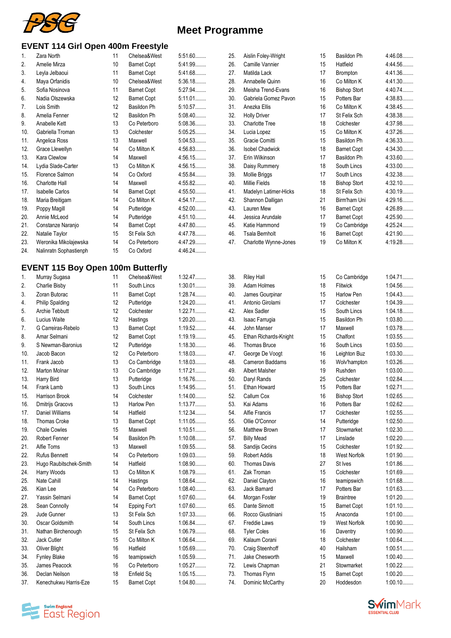

 $5:51.60$ ........ 5:41.99........  $5:41.68...$ 5:36.18........  $5:27.94...$  $5:11.01...$ ........ 5:10.57........  $5:08.40...$  $5:08.36...$ ....... 5:05.25........  $5:04.53...$ ........  $4:56.83...$ ........ 4:56.15........ 4:56.15........  $4:55.84...$ 4:55.82........ 4:55.50........ 4:54.17........ 4:52.00........ 4:51.10........ 4:47.80........  $4:47.78...$ ........ 4:47.29........ 4:46.24........

#### **EVENT 114 Girl Open 400m Freestyle**

| 1.             | Zara North             | 11 | Chelsea&West       |
|----------------|------------------------|----|--------------------|
| 2.             | Amelie Mirza           | 10 | <b>Barnet Copt</b> |
| 3.             | Leyla Jelbaoui         | 11 | <b>Barnet Copt</b> |
| 4.             | Maya Orfanidis         | 10 | Chelsea&West       |
| 5.             | Sofia Nosinova         | 11 | <b>Barnet Copt</b> |
| 6.             | Nadia Olszewska        | 12 | <b>Barnet Copt</b> |
| 7 <sub>1</sub> | Lois Smith             | 12 | <b>Basildon Ph</b> |
| 8.             | Amelia Fenner          | 12 | Basildon Ph        |
| 9.             | Anabelle Kett          | 13 | Co Peterboro       |
| 10.            | Gabriella Troman       | 13 | Colchester         |
| 11.            | Angelica Ross          | 13 | Maxwell            |
| 12.            | Grace Llewellyn        | 14 | Co Milton K        |
| 13.            | Kara Clewlow           | 14 | Maxwell            |
| 14.            | Lydia Slade-Carter     | 13 | Co Milton K        |
| 15.            | Florence Salmon        | 14 | Co Oxford          |
| 16.            | Charlotte Hall         | 14 | Maxwell            |
| 17.            | <b>Isabelle Carlos</b> | 14 | <b>Barnet Copt</b> |
| 18.            | Maria Breitigam        | 14 | Co Milton K        |
| 19.            | Poppy Magill           | 14 | Putteridge         |
| 20.            | Annie McLeod           | 14 | Putteridge         |
| 21.            | Constanze Naranjo      | 14 | <b>Barnet Copt</b> |
| 22.            | Natalie Taylor         | 15 | St Felix Sch       |
| 23.            | Weronika Mikolajewska  | 14 | Co Peterboro       |
| 24.            | Nalinratn Sophastienph | 15 | Co Oxford          |
|                |                        |    |                    |

#### **EVENT 115 Boy Open 100m Butterf**

| 1.               | Murray Sugasa          | 11 | Chelsea&West       | 1:32.47   |
|------------------|------------------------|----|--------------------|-----------|
| $\overline{2}$ . | Charlie Bisby          | 11 | South Lincs        | $1:30.01$ |
| 3.               | Zoran Butorac          | 11 | <b>Barnet Copt</b> | 1:28.74   |
| $\overline{4}$ . | <b>Philip Spalding</b> | 12 | Putteridge         | 1:24.20   |
| 5.               | Archie Tebbutt         | 12 | Colchester         | 1:22.71   |
| 6.               | <b>Lucius Waite</b>    | 12 | Hastings           | 1:20.20   |
| 7.               | G Carreiras-Rebelo     | 13 | <b>Barnet Copt</b> | 1:19.52   |
| 8.               | Amar Selmani           | 12 | <b>Barnet Copt</b> | 1:19.19   |
| 9.               | S Newman-Baronius      | 12 | Putteridge         | 1:18.30   |
| 10.              | Jacob Bacon            | 12 | Co Peterboro       | 1:18.03   |
| 11.              | Frank Jacob            | 13 | Co Cambridge       | 1:18.03   |
| 12.              | <b>Marton Molnar</b>   | 13 | Co Cambridge       | 1:17.21   |
| 13.              | Harry Bird             | 13 | Putteridge         | 1:16.76   |
| 14.              | Frank Lamb             | 13 | South Lincs        | 1:14.95   |
| 15.              | <b>Harrison Brook</b>  | 14 | Colchester         | 1:14.00   |
| 16.              | Dmitrijs Gracovs       | 13 | Harlow Pen         | 1:13.77   |
| 17.              | Daniel Williams        | 14 | Hatfield           | 1:12.34   |
| 18.              | <b>Thomas Croke</b>    | 13 | <b>Barnet Copt</b> | 1:11.05   |
| 19.              | <b>Chale Cowles</b>    | 15 | Maxwell            | 1:10.51   |
| 20.              | Robert Fenner          | 14 | <b>Basildon Ph</b> | 1:10.08   |
| 21.              | Alfie Toms             | 13 | Maxwell            | 1:09.55   |
| 22.              | <b>Rufus Bennett</b>   | 14 | Co Peterboro       | 1:09.03   |
| 23.              | Hugo Raubitschek-Smith | 14 | Hatfield           | 1:08.90   |
| 24.              | Harry Woods            | 13 | Co Milton K        | 1:08.79   |
| 25.              | Nate Cahill            | 14 | Hastings           | 1:08.64   |
| 26.              | Kian Lee               | 14 | Co Peterboro       | 1:08.40   |
| 27.              | Yassin Selmani         | 14 | <b>Barnet Copt</b> | 1:07.60   |
| 28.              | Sean Connolly          | 14 | Epping For't       | 1:07.60   |
| 29.              | Jude Gunner            | 13 | St Felix Sch       | 1:07.33   |
| 30.              | Oscar Goldsmith        | 14 | South Lincs        | 1:06.84   |
| 31.              | Nathan Birchenough     | 15 | St Felix Sch       | 1:06.79   |
| 32.              | Jack Cutler            | 15 | Co Milton K        | 1:06.64   |
| 33.              | <b>Oliver Blight</b>   | 16 | Hatfield           | 1:05.69   |
| 34.              | <b>Fynley Blake</b>    | 16 | teamipswich        | 1:05.59   |
| 35.              | James Peacock          | 16 | Co Peterboro       | 1:05.27   |
| 36.              | Declan Neilson         | 18 | Enfield Sq         | 1:05.15   |
| 37.              | Kenechukwu Harris-Eze  | 15 | <b>Barnet Copt</b> | 1:04.80   |

| ily |                 |
|-----|-----------------|
|     | 1:32.47         |
| st  | 1:30.01         |
|     | 1:28.74         |
|     | 1:24.20         |
|     | 1:22.71         |
|     | 1:20.20         |
|     | 1:19.52         |
|     | 1:19.19         |
|     | 1:18.30         |
|     | 1:18.03         |
|     | 1:18.03         |
|     | 1:17.21         |
| e   | 1:16.76         |
|     | 1:14.95         |
|     | 1:14.00         |
|     | 1:13.77         |
|     | 1:12.34         |
|     | 1:11.05         |
|     | 1:10.51         |
|     | 1:10.08         |
|     | 1:09.55         |
|     | 1:09.03         |
|     | 1:08.90         |
|     | 1:08.79         |
|     | 1:08.64         |
|     | 1:08.40         |
|     | 1:07.60         |
|     | 1:07.60         |
|     | 1:07.33         |
|     | 1:06.84         |
|     | 1:06.79         |
|     | 1:06.64         |
|     | 1:05.69         |
|     | 1:05.59         |
|     | 1:05.27         |
|     | 1:05.15         |
|     | 1 ባ <i>ለ</i> ጸበ |

| 25. | Aislin Foley-Wright    | 15 | Basildon Ph         | 4:46.08 |
|-----|------------------------|----|---------------------|---------|
| 26. | Camille Vannier        | 15 | Hatfield            | 4:44.56 |
| 27. | Matilda Lack           | 17 | <b>Brompton</b>     | 4:41.36 |
| 28. | Annabelle Quinn        | 16 | Co Milton K         | 4:41.30 |
| 29. | Meisha Trend-Evans     | 16 | <b>Bishop Stort</b> | 4:40.74 |
| 30. | Gabriela Gomez Pavon   | 15 | Potters Bar         | 4:38.83 |
| 31. | Anezka Ellis           | 16 | Co Milton K         | 4:38.45 |
| 32. | <b>Holly Driver</b>    | 17 | St Felix Sch        | 4:38.38 |
| 33. | <b>Charlotte Tree</b>  | 18 | Colchester          | 4:37.98 |
| 34. | Lucia Lopez            | 15 | Co Milton K         | 4:37.26 |
| 35. | Gracie Comitti         | 15 | Basildon Ph         | 4:36.33 |
| 36. | <b>Isobel Chadwick</b> | 18 | <b>Barnet Copt</b>  | 4:34.30 |
| 37. | Erin Wilkinson         | 17 | Basildon Ph         | 4:33.60 |
| 38. | Daisy Rummery          | 18 | South Lincs         | 4:33.00 |
| 39. | Mollie Briggs          | 17 | South Lincs         | 4:32.38 |
| 40. | <b>Millie Fields</b>   | 18 | <b>Bishop Stort</b> | 4:32.10 |
| 41. | Madelyn Latimer-Hicks  | 18 | St Felix Sch        | 4:30.19 |
| 42. | Shannon Dalligan       | 21 | Birm'ham Uni        | 4:29.16 |
| 43. | Lauren Mew             | 16 | <b>Barnet Copt</b>  | 4:26.89 |
| 44. | Jessica Arundale       | 17 | <b>Barnet Copt</b>  | 4:25.90 |
| 45. | Katie Hammond          | 19 | Co Cambridge        | 4:25.24 |
| 46. | <b>Tsala Bernholt</b>  | 16 | <b>Barnet Copt</b>  | 4:21.90 |
| 47. | Charlotte Wynne-Jones  | 19 | Co Milton K         | 4:19.28 |
|     |                        |    |                     |         |

| 38. | <b>Riley Hall</b>     | 15 | Co Cambridge        | 1:04.71   |
|-----|-----------------------|----|---------------------|-----------|
| 39. | Adam Holmes           | 18 | Flitwick            | 1:04.56   |
| 40. | James Gourpinar       | 15 | Harlow Pen          | 1:04.43   |
| 41. | Antonio Girolami      | 17 | Colchester          | 1:04.39   |
| 42. | Alex Sadler           | 15 | South Lincs         | 1:04.18   |
| 43. | Isaac Farrugia        | 15 | <b>Basildon Ph</b>  | 1:03.80   |
| 44. | John Manser           | 17 | Maxwell             | 1:03.78   |
| 45. | Ethan Richards-Knight | 15 | Chalfont            | 1:03.55   |
| 46. | Thomas Bruce          | 16 | South Lincs         | 1:03.50   |
| 47. | George De Voogt       | 16 | Leighton Buz        | 1:03.30   |
| 48. | Cameron Baddams       | 16 | Wolv'hampton        | 1:03.26   |
| 49. | <b>Albert Malsher</b> | 19 | Rushden             | $1:03.00$ |
| 50. | Daryl Rands           | 25 | Colchester          | 1:02.84   |
| 51. | <b>Ethan Howard</b>   | 15 | Potters Bar         | 1:02.71   |
| 52. | Callum Cox            | 16 | <b>Bishop Stort</b> | 1:02.65   |
| 53. | Kai Adams             | 16 | Potters Bar         | 1:02.62   |
| 54. | <b>Alfie Francis</b>  | 17 | Colchester          | 1:02.55   |
| 55. | Ollie O'Connor        | 14 | Putteridge          | 1:02.50   |
| 56. | <b>Matthew Brown</b>  | 17 | Stowmarket          | 1:02.30   |
| 57. | <b>Billy Mead</b>     | 17 | Linslade            | $1:02.20$ |
| 58. | Sandijs Cecins        | 15 | Colchester          | 1:01.92   |
| 59. | <b>Robert Addis</b>   | 18 | <b>West Norfolk</b> | 1:01.90   |
| 60. | <b>Thomas Davis</b>   | 27 | St Ives             | 1:01.86   |
| 61. | Zak Troman            | 15 | Colchester          | 1:01.69   |
| 62. | Daniel Clayton        | 16 | teamipswich         | 1:01.68   |
| 63. | <b>Jack Bamard</b>    | 17 | Potters Bar         | 1:01.63   |
| 64. | Morgan Foster         | 19 | <b>Braintree</b>    | 1:01.20   |
| 65. | Dante Sinnott         | 15 | <b>Barnet Copt</b>  | 1:01.10   |
| 66. | Rocco Giustiniani     | 15 | Anaconda            | $1:01.00$ |
| 67. | <b>Freddie Laws</b>   | 19 | <b>West Norfolk</b> | 1:00.90   |
| 68. | <b>Tyler Coles</b>    | 16 | Daventry            | 1:00.90   |
| 69. | Kalaum Corani         | 18 | Colchester          | 1:00.64   |
| 70. | Craig Steenhoff       | 40 | Hailsham            | 1:00.51   |
| 71. | Jake Chesworth        | 15 | Maxwell             | $1:00.40$ |
| 72. | Lewis Chapman         | 21 | Stowmarket          | $1:00.22$ |
| 73. | Thomas Flynn          | 15 | <b>Barnet Copt</b>  | $1:00.20$ |
| 74. | Dominic McCarthy      | 20 | Hoddesdon           | 1:00.10   |



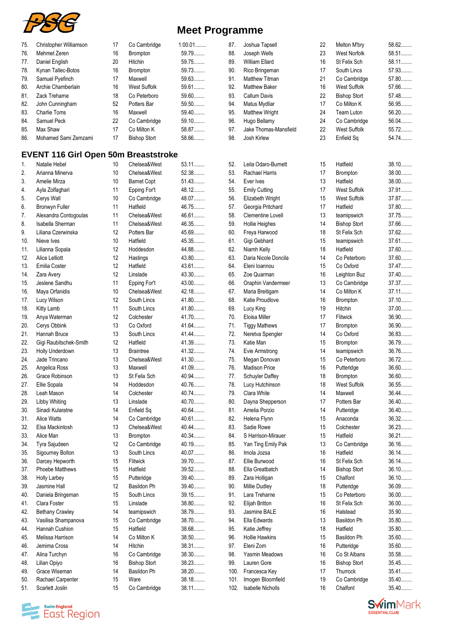

| 75. | Christopher Williamson | 17 | Co Cambridge        | $1:00.01$ |
|-----|------------------------|----|---------------------|-----------|
| 76. | Mehmet Zeren           | 16 | <b>Brompton</b>     | 59.79     |
| 77. | Daniel English         | 20 | Hitchin             | 59.75     |
| 78. | Kynan Tallec-Botos     | 16 | <b>Brompton</b>     | 59.73     |
| 79. | Samuel Pyefinch        | 17 | Maxwell             | 59.63     |
| 80. | Archie Chamberlain     | 16 | <b>West Suffolk</b> | 59.61     |
| 81. | Zack Treharne          | 18 | Co Peterboro        | 59.60     |
| 82. | John Cunningham        | 52 | Potters Bar         | 59.50     |
| 83. | <b>Charlie Toms</b>    | 16 | Maxwell             | 59.40     |
| 84. | Samuel Peck            | 22 | Co Cambridge        | 59.10     |
| 85. | Max Shaw               | 17 | Co Milton K         | 58.87     |
| 86. | Mohamed Sami Zemzami   | 17 | <b>Bishop Stort</b> | 58.66     |
|     |                        |    |                     |           |

## **EVENT 116 Girl Open 50m Breaststroke**

| 1.  | Natalie Hebel          | 10 | Chelsea&West        | 53.11   |
|-----|------------------------|----|---------------------|---------|
| 2.  | Arianna Minerva        | 10 | Chelsea&West        | 52.38   |
| 3.  | Amelie Mirza           | 10 | <b>Barnet Copt</b>  | 51.43   |
| 4.  | Ayla Zolfaghari        | 11 | Epping For't        | 48.12   |
| 5.  | Cerys Wall             | 10 | Co Cambridge        | 48.07   |
| 6.  | Bronwyn Fuller         | 11 | Hatfield            | 46.75   |
| 7.  | Alexandra Contogoulas  | 11 | Chelsea&West        | 46.61   |
| 8.  | Isabella Sherman       | 11 | Chelsea&West        | 46.35   |
| 9.  | Liliana Czerwinska     | 12 | Potters Bar         | 45.69   |
| 10. | Nieve Ives             | 10 | Hatfield            | 45.35   |
| 11. | Lilianna Sopala        | 12 | Hoddesdon           | 44.88   |
| 12. | <b>Alice Lelliott</b>  | 12 | Hastings            | 43.80   |
| 13. | Emilia Coster          | 12 | Hatfield            | 43.61   |
| 14. | Zara Avery             | 12 | Linslade            | 43.30   |
| 15. | Jeslene Sandhu         | 11 | Epping For't        | 43.00   |
| 16. | Maya Orfanidis         | 10 | Chelsea&West        | 42.18.  |
| 17. | Lucy Wilson            | 12 | South Lincs         | 41.80   |
| 18. | Kitty Lamb             | 11 | South Lincs         | 41.80   |
| 19. | Anya Waterman          | 12 | Colchester          | 41.70   |
| 20. | Cerys Obbink           | 13 | Co Oxford           | 41.64   |
| 21. | Hannah Bruce           | 13 | South Lincs         | 41.44   |
| 22. | Gigi Raubitschek-Smith | 12 | Hatfield            | 41.39   |
| 23. | Holly Underdown        | 13 | <b>Braintree</b>    | 41.32   |
| 24. | Jade Trincano          | 13 | Chelsea&West        | 41.30   |
| 25. | Angelica Ross          | 13 | Maxwell             | 41.09   |
| 26. | Grace Robinson         | 13 | St Felix Sch        | 40.94   |
| 27. | Ellie Sopala           | 14 | Hoddesdon           | 40.76   |
| 28. | Leah Mason             | 14 | Colchester          | 40.74   |
| 29. | Libby Whiting          | 13 | Linslade            | 40.70   |
| 30. | Sinadi Kularatne       | 14 | Enfield Sq          | 40.64   |
| 31. | <b>Alice Watts</b>     | 14 | Co Cambridge        | 40.61   |
| 32. | Elsa Mackintosh        | 13 | Chelsea&West        | 40.44   |
| 33. | Alice Man              | 13 | <b>Brompton</b>     | 40.34   |
| 34. | Tyra Sajudeen          | 12 | Co Cambridge        | 40.19   |
| 35. | Sigourney Bolton       | 13 | South Lincs         | 40.07   |
| 36. | Darcey Hepworth        | 15 | <b>Flitwick</b>     | 39.70   |
| 37. | <b>Phoebe Matthews</b> | 15 | Hatfield            | 39.52   |
| 38. | Holly Larbey           | 15 | Putteridge          | $39.40$ |
| 39. | Jasmine Hall           | 12 | Basildon Ph         | 39.40   |
| 40. | Daniela Bringeman      | 15 | South Lincs         | 39.15.  |
| 41. | Clara Foster           | 15 | Linslade            | 38.80   |
| 42. | <b>Bethany Crawley</b> | 14 | teamipswich         | 38.79   |
| 43. | Vasilisa Shampanova    | 15 | Co Cambridge        | 38.70   |
| 44. | Hannah Cushion         | 15 | Hatfield            | 38.68   |
| 45. | Melissa Harrison       | 14 | Co Milton K         | 38.50   |
| 46. | Jemima Cross           | 14 | Hitchin             | 38.31   |
| 47. | Alina Turchyn          | 16 | Co Cambridge        | 38.30   |
| 48. | Lilian Opiyo           | 16 | <b>Bishop Stort</b> | 38.23   |
| 49. | Grace Wiseman          | 14 | Basildon Ph         | 38.20   |
| 50. | Rachael Carpenter      | 15 | Ware                | 38.18   |
| 51. | Scarlett Joslin        | 15 | Co Cambridge        | 38.11.  |

| 87.  | Joshua Tapsell           | 22 | Melton M'bry        | $58.62$ |
|------|--------------------------|----|---------------------|---------|
| 88.  | Joseph Wells             | 23 | <b>West Norfolk</b> | 58.51   |
|      |                          | 16 | St Felix Sch        | 58.11.  |
| 89.  | William Ellard           |    |                     |         |
| 90.  | Rico Bringeman           | 17 | South Lincs         | 57.93   |
| 91.  | <b>Matthew Titman</b>    | 21 | Co Cambridge        | 57.80   |
| 92.  | <b>Matthew Baker</b>     | 16 | <b>West Suffolk</b> | 57.66   |
| 93.  | <b>Callum Davis</b>      | 22 | <b>Bishop Stort</b> | 57.48   |
| 94.  | Matus Mydliar            | 17 | Co Milton K         | 56.95   |
| 95.  | Matthew Wright           | 24 | <b>Team Luton</b>   | $56.20$ |
| 96.  | Hugo Bellamy             | 24 | Co Cambridge        | 56.04   |
| 97.  | Jake Thomas-Mansfield    | 22 | West Suffolk        | $55.72$ |
| 98.  | Josh Kirlew              | 23 | Enfield Sq          | 54.74   |
|      |                          |    |                     |         |
|      |                          |    |                     |         |
|      |                          |    |                     |         |
| 52.  | Leila Odaro-Burnett      | 15 | Hatfield            | 38.10   |
| 53.  | Rachael Harris           | 17 | <b>Brompton</b>     | 38.00   |
| 54.  | Ever Ives                | 13 | Hatfield            | $38.00$ |
| 55.  | <b>Emily Cutting</b>     | 17 | <b>West Suffolk</b> | 37.91   |
| 56.  | Elizabeth Wright         | 15 | <b>West Suffolk</b> | 37.87   |
| 57.  | Georgia Pritchard        | 17 | Hatfield            | 37.80   |
| 58.  | Clementine Lovell        | 13 | teamipswich         | 37.75   |
| 59.  | <b>Hollie Heighes</b>    | 14 | <b>Bishop Stort</b> | 37.66   |
| 60.  | Freya Harwood            | 18 | St Felix Sch        | 37.62   |
|      |                          |    |                     | 37.61   |
| 61.  | Gigi Gebhard             | 15 | teamipswich         |         |
| 62.  | Niamh Kelly              | 18 | Hatfield            | 37.60   |
| 63.  | Daria Nicole Doncila     | 14 | Co Peterboro        | 37.60   |
| 64.  | Eleni Ioannou            | 15 | Co Oxford           | 37.47   |
| 65.  | Zoe Quarman              | 16 | Leighton Buz        | 37.40   |
| 66.  | Oraphin Vandermeer       | 13 | Co Cambridge        | 37.37   |
| 67.  | Maria Breitigam          | 14 | Co Milton K         | 37.11.  |
| 68.  | Katie Proudlove          | 16 | Brompton            | 37.10   |
| 69.  | Lucy King                | 19 | Hitchin             | 37.00   |
| 70.  | Eloisa Miller            | 17 | Flitwick            | 36.90   |
| 71.  | <b>Tiggy Mathews</b>     | 17 | <b>Brompton</b>     | 36.90   |
| 72.  |                          | 14 | Co Oxford           | 36.83   |
|      | Neretva Spengler         |    |                     |         |
| 73.  | Katie Man                | 15 | Brompton            | 36.79   |
| 74.  | Evie Armstrong           | 14 | teamipswich         | 36.76   |
| 75.  | Megan Donovan            | 15 | Co Peterboro        | $36.72$ |
| 76.  | <b>Madison Price</b>     | 16 | Putteridge          | 36.60   |
| 77.  | <b>Schuyler Daffey</b>   | 18 | Brompton            | 36.60   |
| 78.  | Lucy Hutchinson          | 18 | <b>West Suffolk</b> | 36.55   |
| 79.  | Clara White              | 14 | Maxwell             | 36.44.  |
| 80.  | Dayna Shepperson         | 17 | Potters Bar         | 36.40   |
| 81.  | Amelia Porzio            | 14 | Putteridge          | 36.40   |
| 82.  | Helena Flynn             | 15 | Anaconda            | 36.32   |
| 83.  | Sadie Rowe               | 15 | Colchester          | 36.23   |
| 84.  | S Harrison-Mirauer       | 15 | Hatfield            | 36.21   |
|      |                          | 13 |                     |         |
| 85.  | Yan Ting Emily Pak       |    | Co Cambridge        | 36.16   |
| 86.  | Imola Jozsa              | 16 | Hatfield            | $36.14$ |
| 87.  | Ellie Burwood            | 16 | St Felix Sch        | $36.14$ |
| 88.  | Ella Greatbatch          | 14 | <b>Bishop Stort</b> | $36.10$ |
| 89.  | Zara Holligan            | 15 | Chalfont            | 36.10   |
| 90.  | Millie Dudley            | 18 | Putteridge          | 36.09   |
| 91.  | Lara Treharne            | 15 | Co Peterboro        | 36.00   |
| 92.  | Elijah Britton           | 16 | St Felix Sch        | 36.00   |
| 93.  | Jasmine BALE             | 16 | Halstead            | 35.90   |
| 94.  | Ella Edwards             | 13 | Basildon Ph         | 35.80   |
| 95.  | Katie Jeffrey            | 18 | Hatfield            | 35.80   |
|      |                          |    |                     |         |
| 96.  | Hollie Hawkins           | 15 | Basildon Ph         | 35.60   |
| 97.  | Eleni Zorn               | 16 | Putteridge          | 35.60   |
| 98.  | Yasmin Meadows           | 16 | Co St Albans        | 35.58   |
| 99.  | Lauren Gore              | 16 | <b>Bishop Stort</b> | 35.45   |
| 100. | Francesca Key            | 17 | Thurrock            | 35.41   |
| 101. | Imogen Bloomfield        | 19 | Co Cambridge        | 35.40   |
| 102. | <b>Isabelle Nicholls</b> | 16 | Chalfont            | 35.40   |



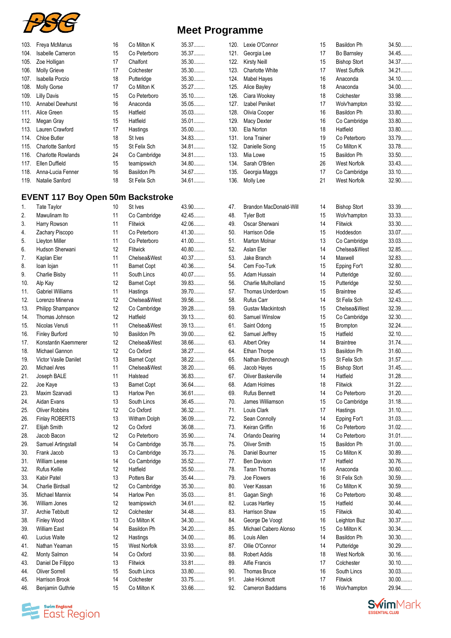

| 103. | Freya McManus                            | 16 | Co Milton K         | 35.37   | 120. | Lexie O'Connor                | 15 | Basildon Ph         | $34.50$ |
|------|------------------------------------------|----|---------------------|---------|------|-------------------------------|----|---------------------|---------|
| 104. | Isabelle Cameron                         | 15 | Co Peterboro        | 35.37   | 121. | Georgia Lee                   | 17 | Bo Barnsley         | 34.45   |
| 105. | Zoe Holligan                             | 17 | Chalfont            | 35.30   | 122. | <b>Kirsty Neill</b>           | 15 | <b>Bishop Stort</b> | 34.37   |
| 106. | <b>Molly Grieve</b>                      | 17 | Colchester          | 35.30   | 123. | Charlotte White               | 17 | West Suffolk        | 34.21   |
| 107. | Isabella Porzio                          | 18 | Putteridge          | 35.30   | 124. | <b>Mabel Hayes</b>            | 16 | Anaconda            | 34.10   |
| 108. | <b>Molly Gorse</b>                       | 17 | Co Milton K         | 35.27   | 125. | Alice Bayley                  | 18 | Anaconda            | 34.00   |
| 109. | <b>Lilly Davis</b>                       | 15 | Co Peterboro        | $35.10$ | 126. | Ciara Wookey                  | 18 | Colchester          | 33.98   |
| 110. | <b>Annabel Dewhurst</b>                  | 16 | Anaconda            | $35.05$ | 127. | Izabel Peniket                | 17 | Wolv'hampton        | 33.92   |
| 111. | Alice Green                              | 15 | Hatfield            | 35.03   | 128. | Olivia Cooper                 | 16 | <b>Basildon Ph</b>  | 33.80   |
| 112. | Megan Gray                               | 15 | Hatfield            | $35.01$ | 129. | <b>Macy Dexter</b>            | 16 | Co Cambridge        | 33.80   |
| 113. | Lauren Crawford                          | 17 | Hastings            | $35.00$ | 130. | Ela Norton                    | 18 | Hatfield            | 33.80   |
| 114. | Chloe Butler                             | 18 | St Ives             | 34.83   | 131. | Iona Trainer                  | 19 | Co Peterboro        | 33.79   |
|      |                                          |    |                     | 34.81   |      |                               |    |                     |         |
| 115. | <b>Charlotte Sanford</b>                 | 15 | St Felix Sch        |         | 132. | Danielle Siong                | 15 | Co Milton K         | 33.78   |
| 116. | <b>Charlotte Rowlands</b>                | 24 | Co Cambridge        | 34.81   | 133. | Mia Lowe                      | 15 | Basildon Ph         | 33.50   |
| 117. | Ellen Duffield                           | 15 | teamipswich         | 34.80   | 134. | Sarah O'Brien                 | 26 | West Norfolk        | 33.43   |
| 118. | Anna-Lucia Fenner                        | 16 | Basildon Ph         | 34.67   | 135. | Georgia Maggs                 | 17 | Co Cambridge        | $33.10$ |
| 119. | Natalie Sanford                          | 18 | St Felix Sch        | 34.61   | 136. | Molly Lee                     | 21 | West Norfolk        | 32.90   |
|      |                                          |    |                     |         |      |                               |    |                     |         |
|      | <b>EVENT 117 Boy Open 50m Backstroke</b> |    |                     |         |      |                               |    |                     |         |
| 1.   | <b>Tate Taylor</b>                       | 10 | St Ives             | 43.90   | 47.  | <b>Brandon MacDonald-Will</b> | 14 | <b>Bishop Stort</b> | 33.39   |
| 2.   | Mawulinam Ito                            | 11 | Co Cambridge        | 42.45   | 48.  | <b>Tyler Bott</b>             | 15 | Wolv'hampton        | 33.33   |
| 3.   | Harry Rowson                             | 11 | Flitwick            | 42.06   | 49.  | Oscar Sherwani                | 14 | Flitwick            | 33.30   |
| 4.   | Zachary Piscopo                          | 11 | Co Peterboro        | 41.30   | 50.  | Harrison Odie                 | 15 | Hoddesdon           | 33.07   |
| 5.   | Lleyton Miller                           | 11 | Co Peterboro        | $41.00$ | 51.  | Marton Molnar                 | 13 | Co Cambridge        | 33.03.  |
| 6.   | Hudson Sherwani                          | 12 | Flitwick            | $40.80$ | 52.  | Aslan Eler                    | 14 | Chelsea&West        | 32.85   |
| 7.   | Kaplan Eler                              | 11 | Chelsea&West        | 40.37   | 53.  | Jake Branch                   | 14 | Maxwell             | 32.83   |
| 8.   | loan lojan                               | 11 | <b>Barnet Copt</b>  | 40.36   | 54.  | Cem Foo-Turk                  | 15 | Epping For't        | 32.80   |
| 9.   | Charlie Bisby                            | 11 | South Lincs         | 40.07   | 55.  | Adam Hussain                  | 14 | Putteridge          | 32.60   |
| 10.  | Alp Kay                                  | 12 | <b>Barnet Copt</b>  | 39.83   | 56.  | <b>Charlie Mulholland</b>     | 15 | Putteridge          | 32.50   |
|      | <b>Gabriel Williams</b>                  | 11 | Hastings            | 39.70   | 57.  | Thomas Underdown              | 15 | <b>Braintree</b>    | 32.45   |
| 11.  |                                          |    |                     | 39.56   |      |                               |    |                     |         |
| 12.  | Lorenzo Minerva                          | 12 | Chelsea&West        |         | 58.  | Rufus Carr                    | 14 | St Felix Sch        | 32.43   |
| 13.  | Philipp Shampanov                        | 12 | Co Cambridge        | 39.28   | 59.  | Gustav Mackintosh             | 15 | Chelsea&West        | 32.39   |
| 14.  | Thomas Johnson                           | 12 | Hatfield            | 39.13   | 60.  | Samuel Winslow                | 15 | Co Cambridge        | 32.30   |
| 15.  | Nicolas Venuti                           | 11 | Chelsea&West        | 39.13   | 61.  | Saint Odong                   | 15 | Brompton            | 32.24   |
| 16.  | <b>Finley Burford</b>                    | 10 | Basildon Ph         | 39.00   | 62.  | Samuel Jeffrey                | 15 | Hatfield            | 32.10   |
| 17.  | Konstantin Kaemmerer                     | 12 | Chelsea&West        | 38.66   | 63.  | Albert Orley                  | 14 | <b>Braintree</b>    | $31.74$ |
| 18.  | Michael Gannon                           | 12 | Co Oxford           | 38.27   | 64.  | Ethan Thorpe                  | 13 | Basildon Ph         | $31.60$ |
| 19.  | Victor Vasile Danilet                    | 13 | <b>Barnet Copt</b>  | 38.22   | 65.  | Nathan Birchenough            | 15 | St Felix Sch        | 31.57   |
| 20.  | Michael Ares                             | 11 | Chelsea&West        | 38.20   | 66.  | Jacob Hayes                   | 15 | <b>Bishop Stort</b> | 31.45   |
| 21.  | Joseph BALE                              | 11 | Halstead            | 36.83.  | 67.  | Oliver Baskerville            | 14 | Hatfield            | 31.28   |
| 22.  | Joe Kaye                                 | 13 | <b>Barnet Copt</b>  | 36.64   | 68.  | Adam Holmes                   | 18 | Flitwick            | $31.22$ |
| 23.  | Maxim Szarvadi                           | 13 | Harlow Pen          | 36.61   | 69.  | <b>Rufus Bennett</b>          | 14 | Co Peterboro        | $31.20$ |
| 24.  | Aidan Evans                              | 13 | South Lincs         | 36.45   | 70.  | James Williamson              | 15 | Co Cambridge        | $31.18$ |
| 25.  | <b>Oliver Robbins</b>                    | 12 | Co Oxford           | 36.32   | 71.  | Louis Clark                   | 17 | Hastings            | $31.10$ |
| 26.  | <b>Finlay ROBERTS</b>                    | 13 | Witham Dolph        | 36.09   | 72.  | Sean Connolly                 | 14 | Epping For't        | 31.03   |
|      |                                          |    |                     | 36.08   |      |                               |    |                     |         |
| 27.  | Elijah Smith                             | 12 | Co Oxford           |         | 73.  | Keiran Griffin                | 16 | Co Peterboro        | $31.02$ |
| 28.  | Jacob Bacon                              | 12 | Co Peterboro        | 35.90   | 74.  | <b>Orlando Dearing</b>        | 14 | Co Peterboro        | $31.01$ |
| 29.  | Samuel Artingstall                       | 14 | Co Cambridge        | 35.78   | 75.  | Oliver Smith                  | 15 | Basildon Ph         | $31.00$ |
| 30.  | Frank Jacob                              | 13 | Co Cambridge        | 35.73   | 76.  | Daniel Bourner                | 15 | Co Milton K         | 30.89   |
| 31.  | William Leese                            | 14 | Co Cambridge        | 35.52   | 77.  | <b>Ben Davison</b>            | 17 | Hatfield            | 30.76   |
| 32.  | Rufus Kellie                             | 12 | Hatfield            | $35.50$ | 78.  | <b>Taran Thomas</b>           | 16 | Anaconda            | 30.60   |
| 33.  | Kabir Patel                              | 13 | Potters Bar         | 35.44   | 79.  | Joe Flowers                   | 16 | St Felix Sch        | 30.59   |
| 34.  | Charlie Birdsall                         | 12 | Co Cambridge        | 35.30   | 80.  | Veer Kassan                   | 16 | Co Milton K         | 30.59   |
| 35.  | Michael Mannix                           | 14 | Harlow Pen          | 35.03   | 81.  | Gagan Singh                   | 16 | Co Peterboro        | $30.48$ |
| 36.  | William Jones                            | 12 | teamipswich         | 34.61   | 82.  | Lucas Hartley                 | 15 | Hatfield            | $30.44$ |
| 37.  | Archie Tebbutt                           | 12 | Colchester          | 34.48   | 83.  | Harrison Shaw                 | 15 | Flitwick            | $30.40$ |
| 38.  | Finley Wood                              | 13 | Co Milton K         | 34.30   | 84.  | George De Voogt               | 16 | Leighton Buz        | 30.37   |
| 39.  | <b>William East</b>                      | 14 | Basildon Ph         | 34.20   | 85.  | Michael Cabero Alonso         | 15 | Co Milton K         | $30.34$ |
|      |                                          |    |                     |         |      |                               |    |                     | $30.30$ |
| 40.  | Lucius Waite                             | 12 | Hastings            | 34.00   | 86.  | Louis Allen                   | 14 | Basildon Ph         |         |
| 41.  | Nathan Yeaman                            | 15 | <b>West Norfolk</b> | 33.93   | 87.  | Ollie O'Connor                | 14 | Putteridge          | 30.29   |
| 42.  | Monty Salmon                             | 14 | Co Oxford           | 33.90   | 88.  | <b>Robert Addis</b>           | 18 | West Norfolk        | 30.16   |
| 43.  | Daniel De Filippo                        | 13 | Flitwick            | 33.81   | 89.  | Alfie Francis                 | 17 | Colchester          | $30.10$ |
| 44.  | Oliver Sorrell                           | 15 | South Lincs         | 33.80   | 90.  | Thomas Bruce                  | 16 | South Lincs         | $30.03$ |
| 45.  | Harrison Brook                           | 14 | Colchester          | 33.75   | 91.  | Jake Hickmott                 | 17 | Flitwick            | 30.00   |
| 46.  | Benjamin Guthrie                         | 15 | Co Milton K         | 33.66   | 92.  | Cameron Baddams               | 16 | Wolv'hampton        | 29.94   |



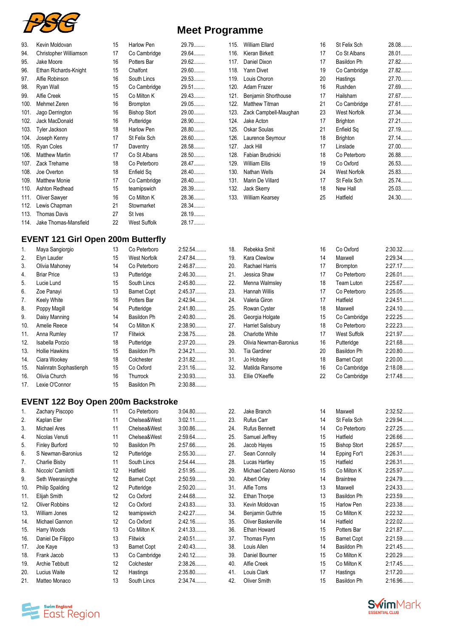

|  | <b>Meet Programme</b> |  |
|--|-----------------------|--|
|--|-----------------------|--|

| 93.  | Kevin Moldovan         | 15 | Harlow Pen          | 29.79  |
|------|------------------------|----|---------------------|--------|
| 94.  | Christopher Williamson | 17 | Co Cambridge        | 29.64  |
| 95.  | Jake Moore             | 16 | Potters Bar         | 29.62  |
| 96.  | Ethan Richards-Knight  | 15 | Chalfont            | 29.60  |
| 97.  | Alfie Robinson         | 16 | South Lincs         | 29.53  |
| 98.  | Ryan Wall              | 15 | Co Cambridge        | 29.51  |
| 99.  | Alfie Creek            | 15 | Co Milton K         | 29.43  |
| 100. | Mehmet Zeren           | 16 | Brompton            | 29.05  |
| 101. | Jago Derrington        | 16 | <b>Bishop Stort</b> | 29.00  |
| 102. | Jack MacDonald         | 16 | Putteridge          | 28.90  |
| 103. | Tyler Jackson          | 18 | Harlow Pen          | 28.80  |
| 104. | Joseph Kenny           | 17 | St Felix Sch        | 28.60  |
| 105. | Ryan Coles             | 17 | Daventry            | 28.58  |
| 106. | <b>Matthew Martin</b>  | 17 | Co St Albans        | 28.50  |
| 107. | Zack Treharne          | 18 | Co Peterboro        | 28.47  |
| 108. | Joe Overton            | 18 | Enfield Sq          | 28.40  |
| 109. | <b>Matthew Monie</b>   | 17 | Co Cambridge        | 28.40  |
| 110. | Ashton Redhead         | 15 | teamipswich         | 28.39  |
| 111. | Oliver Sawyer          | 16 | Co Milton K         | 28.36  |
| 112. | Lewis Chapman          | 21 | Stowmarket          | 28.34  |
| 113. | <b>Thomas Davis</b>    | 27 | St Ives             | 28.19. |
| 114. | Jake Thomas-Mansfield  | 22 | West Suffolk        | 28.17  |
|      |                        |    |                     |        |

#### **EVENT 121 Girl Open 200m Butterfly**

| 1.  | Maya Sangiorgio        | 13 | Co Peterboro        | 2:52.54   |
|-----|------------------------|----|---------------------|-----------|
| 2.  | Elyn Lauder            | 15 | <b>West Norfolk</b> | 2:47.84   |
| 3.  | Olivia Mahoney         | 14 | Co Peterboro        | 2:46.87   |
| 4.  | <b>Briar Price</b>     | 13 | Putteridge          | 2:46.30   |
| 5.  | Lucie Lund             | 15 | South Lincs         | 2:45.80   |
| 6.  | Zoe Panayi             | 13 | <b>Barnet Copt</b>  | 2:45.37   |
| 7.  | Keely White            | 16 | Potters Bar         | 2:42.94   |
| 8.  | Poppy Magill           | 14 | Putteridge          | 2:41.80   |
| 9.  | Daisy Manning          | 14 | Basildon Ph         | $2:40.80$ |
| 10. | Amelie Reece           | 14 | Co Milton K         | 2:38.90   |
| 11. | Anna Rumley            | 17 | Flitwick            | 2:38.75   |
| 12. | Isabella Porzio        | 18 | Putteridge          | $2:37.20$ |
| 13. | <b>Hollie Hawkins</b>  | 15 | Basildon Ph         | $2:34.21$ |
| 14. | Ciara Wookey           | 18 | Colchester          | $2:31.82$ |
| 15. | Nalinratn Sophastienph | 15 | Co Oxford           | 2:31.16   |
| 16. | Olivia Church          | 16 | Thurrock            | 2:30.93   |
| 17. | Lexie O'Connor         | 15 | Basildon Ph         | 2:30.88   |

#### **EVENT 122 Boy Open 200m Backstroke**

| 1.  | Zachary Piscopo        | 11 | Co Peterboro       | 3:04.80   |
|-----|------------------------|----|--------------------|-----------|
| 2.  | Kaplan Eler            | 11 | Chelsea&West       | $3:02.11$ |
| 3.  | Michael Ares           | 11 | Chelsea&West       | $3:00.86$ |
| 4.  | Nicolas Venuti         | 11 | Chelsea&West       | 2:59.64   |
| 5.  | <b>Finley Burford</b>  | 10 | Basildon Ph        | 2:57.66   |
| 6.  | S Newman-Baronius      | 12 | Putteridge         | 2:55.30   |
| 7.  | Charlie Bisby          | 11 | South Lincs        | 2:54.44   |
| 8.  | Niccolo' Camilotti     | 12 | Hatfield           | 2:51.95   |
| 9.  | Seth Weerasinghe       | 12 | <b>Barnet Copt</b> | 2:50.59   |
| 10. | <b>Philip Spalding</b> | 12 | Putteridge         | $2:50.20$ |
| 11. | Elijah Smith           | 12 | Co Oxford          | 2:44.68   |
| 12. | <b>Oliver Robbins</b>  | 12 | Co Oxford          | 2:43.83   |
| 13. | William Jones          | 12 | teamipswich        | 2:42.27   |
| 14. | Michael Gannon         | 12 | Co Oxford          | 2:42.16   |
| 15. | Harry Woods            | 13 | Co Milton K        | 2:41.33   |
| 16. | Daniel De Filippo      | 13 | Flitwick           | 2:40.51   |
| 17. | Joe Kaye               | 13 | <b>Barnet Copt</b> | 2:40.43   |
| 18. | Frank Jacob            | 13 | Co Cambridge       | 2:40.12   |
| 19. | Archie Tebbutt         | 12 | Colchester         | 2:38.26   |
| 20. | Lucius Waite           | 12 | Hastings           | 2:35.80   |
| 21. | Matteo Monaco          | 13 | South Lincs        | 2:34.74   |

| 115. | <b>William Ellard</b> | 16 | St Felix Sch    | 28.08  |
|------|-----------------------|----|-----------------|--------|
| 116. | Kieran Birkett        | 17 | Co St Albans    | 28.01  |
| 117. | Daniel Dixon          | 17 | Basildon Ph     | 27.82  |
| 118. | <b>Yann Divet</b>     | 19 | Co Cambridge    | 27.82  |
| 119. | Louis Choron          | 20 | Hastings        | 27.70  |
| 120. | Adam Frazer           | 16 | Rushden         | 27.69  |
| 121. | Benjamin Shorthouse   | 17 | Hailsham        | 27.67  |
| 122. | <b>Matthew Titman</b> | 21 | Co Cambridge    | 27.61  |
| 123. | Zack Campbell-Maughan | 23 | West Norfolk    | 27.34  |
| 124. | Jake Acton            | 17 | <b>Brighton</b> | 27.21  |
| 125. | Oskar Soulas          | 21 | Enfield Sq      | 27.19  |
| 126. | Laurence Seymour      | 18 | <b>Brighton</b> | 27.14. |
| 127. | Jack Hill             | 17 | Linslade        | 27.00  |
| 128. | Fabian Brudnicki      | 18 | Co Peterboro    | 26.88  |
| 129. | William Ellis         | 19 | Co Oxford       | 26.53  |
| 130. | Nathan Wells          | 24 | West Norfolk    | 25.83  |
| 131. | Marin De Villard      | 17 | St Felix Sch    | 25.74  |
| 132. | Jack Skerry           | 18 | New Hall        | 25.03  |
| 133. | William Kearsey       | 25 | Hatfield        | 24.30  |

| 18. | Rebekka Smit           | 16 | Co Oxford          | 2:30.32. |
|-----|------------------------|----|--------------------|----------|
| 19. | Kara Clewlow           | 14 | Maxwell            | 2:29.34  |
| 20. | Rachael Harris         | 17 | <b>Brompton</b>    | 2:27.17  |
| 21. | Jessica Shaw           | 17 | Co Peterboro       | 2:26.01  |
| 22. | Menna Walmsley         | 18 | Team Luton         | 2:25.67  |
| 23. | Hannah Willis          | 17 | Co Peterboro       | 2:25.05  |
| 24. | Valeria Giron          | 17 | Hatfield           | 2:24.51  |
| 25. | Rowan Cyster           | 18 | Maxwell            | 2:24.10  |
| 26. | Georgia Holgate        | 15 | Co Cambridge       | 2:22.25  |
| 27. | Harriet Salisbury      | 18 | Co Peterboro       | 2:22.23  |
| 28. | <b>Charlotte White</b> | 17 | West Suffolk       | 2:21.97  |
| 29. | Olivia Newman-Baronius | 16 | Putteridge         | 2:21.68  |
| 30. | Tia Gardiner           | 20 | Basildon Ph        | 2:20.80  |
| 31. | Jo Hobsley             | 18 | <b>Barnet Copt</b> | 2:20.00  |
| 32. | Matilda Ransome        | 16 | Co Cambridge       | 2:18.08  |
| 33. | Ellie O'Keeffe         | 22 | Co Cambridge       | 2:17.48  |

| 22. | Jake Branch           | 14 | Maxwell             | 2:32.52 |
|-----|-----------------------|----|---------------------|---------|
| 23. | Rufus Carr            | 14 | St Felix Sch        | 2:29.94 |
| 24. | <b>Rufus Bennett</b>  | 14 | Co Peterboro        | 2:27.25 |
| 25. | Samuel Jeffrey        | 15 | Hatfield            | 2:26.66 |
| 26. | Jacob Hayes           | 15 | <b>Bishop Stort</b> | 2:26.57 |
| 27. | Sean Connolly         | 14 | Epping For't        | 2:26.31 |
| 28. | Lucas Hartley         | 15 | Hatfield            | 2:26.31 |
| 29. | Michael Cabero Alonso | 15 | Co Milton K         | 2:25.97 |
| 30. | Albert Orley          | 14 | <b>Braintree</b>    | 2:24.79 |
| 31. | Alfie Toms            | 13 | Maxwell             | 2:24.33 |
| 32. | Ethan Thorpe          | 13 | Basildon Ph         | 2:23.59 |
| 33. | Kevin Moldovan        | 15 | Harlow Pen          | 2:23.38 |
| 34. | Benjamin Guthrie      | 15 | Co Milton K         | 2:22.32 |
| 35. | Oliver Baskerville    | 14 | Hatfield            | 2:22.02 |
| 36. | Ethan Howard          | 15 | Potters Bar         | 2:21.87 |
| 37. | Thomas Flynn          | 15 | <b>Barnet Copt</b>  | 2:21.59 |
| 38. | Louis Allen           | 14 | Basildon Ph         | 2:21.45 |
| 39. | Daniel Bourner        | 15 | Co Milton K         | 2:20.29 |
| 40. | Alfie Creek           | 15 | Co Milton K         | 2:17.45 |
| 41. | Louis Clark           | 17 | Hastings            | 2:17.20 |
| 42. | Oliver Smith          | 15 | Basildon Ph         | 2:16.96 |
|     |                       |    |                     |         |



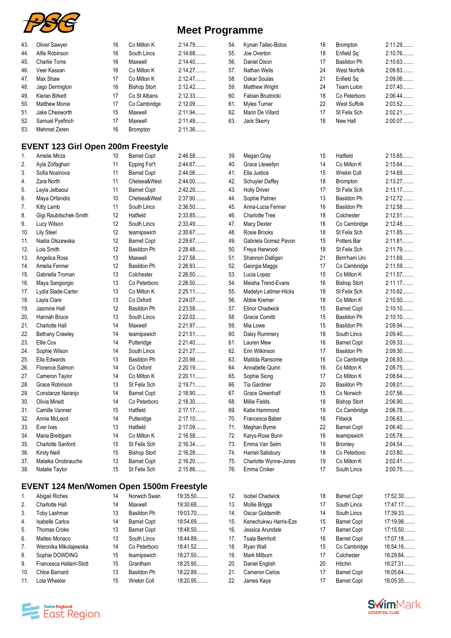

| 43. | Oliver Sawyer                             | 16 | Co Milton K                               | 2:14.79   | 54. | Kynan Tallec-Botos                   | 16 | Brompton               | 2:11.29   |
|-----|-------------------------------------------|----|-------------------------------------------|-----------|-----|--------------------------------------|----|------------------------|-----------|
| 44. | Alfie Robinson                            | 16 | South Lincs                               | 2:14.68   | 55. | Joe Overton                          | 18 | Enfield Sq             | 2:10.76   |
| 45. | <b>Charlie Toms</b>                       | 16 | Maxwell                                   | 2:14.40   | 56. | Daniel Dixon                         | 17 | Basildon Ph            | 2:10.63   |
| 46. | Veer Kassan                               | 16 | Co Milton K                               | 2:14.27   | 57. | Nathan Wells                         | 24 | <b>West Norfolk</b>    | 2:09.83   |
| 47. | Max Shaw                                  | 17 | Co Milton K                               | 2:12.47   | 58. | Oskar Soulas                         | 21 | Enfield Sq             | 2:09.06   |
| 48. | Jago Derrington                           | 16 | <b>Bishop Stort</b>                       | 2:12.42   | 59. | <b>Matthew Wright</b>                | 24 | Team Luton             | 2:07.40   |
| 49. | Kieran Birkett                            | 17 | Co St Albans                              | 2:12.33   | 60. | Fabian Brudnicki                     | 18 | Co Peterboro           | 2:06.44   |
| 50. | <b>Matthew Monie</b>                      | 17 | Co Cambridge                              | 2:12.09   | 61. | <b>Myles Turner</b>                  | 22 | <b>West Suffolk</b>    | 2:03.52   |
| 51. | Jake Chesworth                            | 15 | Maxwell                                   | 2:11.94   | 62. | Marin De Villard                     | 17 | St Felix Sch           | 2:02.21   |
| 52. | Samuel Pyefinch                           | 17 | Maxwell                                   | 2:11.49   | 63. | Jack Skerry                          | 18 | New Hall               | 2:00.07   |
| 53. | Mehmet Zeren                              | 16 | Brompton                                  | 2:11.36   |     |                                      |    |                        |           |
|     | <b>EVENT 123 Girl Open 200m Freestyle</b> |    |                                           |           |     |                                      |    |                        |           |
| 1.  | Amelie Mirza                              | 10 | <b>Barnet Copt</b>                        | 2:46.58   | 39. | Megan Gray                           | 15 | Hatfield               | 2:15.65   |
| 2.  | Ayla Zolfaghari                           | 11 | Epping For't                              | 2:44.67   | 40. | Grace Llewellyn                      | 14 | Co Milton K            | 2:15.64   |
| 3.  | Sofia Nosinova                            | 11 | <b>Barnet Copt</b>                        | 2:44.06   | 41. | Ella Justice                         | 15 | <b>Wrekin Coll</b>     | 2:14.69   |
| 4.  | Zara North                                | 11 | Chelsea&West                              | 2:44.00   | 42. | <b>Schuyler Daffey</b>               | 18 | <b>Brompton</b>        | 2:13.27   |
| 5.  | Leyla Jelbaoui                            | 11 | <b>Barnet Copt</b>                        | 2:42.20   | 43. | <b>Holly Driver</b>                  | 17 | St Felix Sch           | 2:13.17   |
| 6.  | Maya Orfanidis                            | 10 | Chelsea&West                              | 2:37.90   | 44. | Sophie Palmer                        | 13 | Basildon Ph            | 2:12.72   |
| 7.  | Kitty Lamb                                | 11 | South Lincs                               | 2:36.50   | 45. | Anna-Lucia Fenner                    | 16 | Basildon Ph            | 2:12.58   |
| 8.  | Gigi Raubitschek-Smith                    | 12 | Hatfield                                  | 2:33.85   | 46. | <b>Charlotte Tree</b>                | 18 | Colchester             | 2:12.51   |
| 9.  | Lucy Wilson                               | 12 | South Lincs                               | 2:33.49   | 47. | <b>Macy Dexter</b>                   | 16 | Co Cambridge           | 2:12.48.  |
| 10. | <b>Lily Steel</b>                         | 12 | teamipswich                               | 2:30.67   | 48. | Rosie Brooks                         | 18 | St Felix Sch           | 2:11.85   |
| 11. | Nadia Olszewska                           | 12 | <b>Barnet Copt</b>                        | 2:29.67   | 49. | Gabriela Gomez Pavon                 | 15 | Potters Bar            | 2:11.81   |
| 12. | Lois Smith                                | 12 | <b>Basildon Ph</b>                        | 2:28.48   | 50. | Freya Harwood                        | 18 | St Felix Sch           | 2:11.79   |
| 13. | Angelica Ross                             | 13 | Maxwell                                   | 2:27.58   | 51. | Shannon Dalligan                     | 21 | Birm'ham Uni           | 2:11.69   |
| 14. | Amelia Fenner                             | 12 | Basildon Ph                               | 2:26.93   | 52. | Georgia Maggs                        | 17 | Co Cambridge           | 2:11.59   |
| 15. | Gabriella Troman                          | 13 | Colchester                                | $2:26.50$ | 53. | Lucia Lopez                          | 15 | Co Milton K            | 2:11.57   |
| 16. | Maya Sangiorgio                           | 13 | Co Peterboro                              | 2:26.50   | 54. | Meisha Trend-Evans                   | 16 | <b>Bishop Stort</b>    | 2:11.17   |
| 17. | Lydia Slade-Carter                        | 13 | Co Milton K                               | 2:25.11   | 55. | Madelyn Latimer-Hicks                | 18 | St Felix Sch           | 2:10.82   |
| 18. | Layla Clare                               | 13 | Co Oxford                                 | 2:24.07   | 56. | Abbie Kremer                         | 18 | Co Milton K            | 2:10.50   |
| 19. | Jasmine Hall                              | 12 | Basildon Ph                               | 2:23.58   | 57. | <b>Elinor Chadwick</b>               | 15 | <b>Barnet Copt</b>     | $2:10.10$ |
| 20. | Hannah Bruce                              | 13 | South Lincs                               | 2:22.02   | 58. | Gracie Comitti                       | 15 | Basildon Ph            | 2:10.10   |
| 21. | <b>Charlotte Hall</b>                     | 14 | Maxwell                                   | 2:21.97   | 59. | Mia Lowe                             | 15 | Basildon Ph            | 2:09.94   |
| 22. | <b>Bethany Crawley</b>                    | 14 | teamipswich                               | 2:21.51   | 60. | Daisy Rummery                        | 18 | South Lincs            | 2:09.40   |
| 23. | Ellie Cox                                 | 14 | Putteridge                                | 2:21.40   | 61. | Lauren Mew                           | 16 | <b>Barnet Copt</b>     | 2:09.33   |
| 24. | Sophie Wilson                             | 14 | South Lincs                               | 2:21.27   | 62. | Erin Wilkinson                       | 17 | Basildon Ph            | 2:09.30   |
| 25. | Ella Edwards                              | 13 | Basildon Ph                               | 2:20.98   | 63. | Matilda Ransome                      | 16 | Co Cambridge           | 2:08.93   |
| 26. | Florence Salmon                           | 14 | Co Oxford                                 | 2:20.19   | 64. | Annabelle Quinn                      | 16 | Co Milton K            | 2:08.75   |
| 27. | Cameron Taylor                            | 14 | Co Milton K                               | 2:20.11   | 65. | Sophie Siong                         | 17 | Co Milton K            | 2:08.64   |
| 28. | Grace Robinson                            | 13 | St Felix Sch                              | 2:19.71   | 66. | Tia Gardiner                         | 20 | Basildon Ph            | $2:08.01$ |
| 29. | Constanze Naranjo                         | 14 | <b>Barnet Copt</b>                        | 2:18.90   | 67. | <b>Grace Greenhalf</b>               | 15 | Co Norwich             | 2:07.56   |
| 30. | <b>Olivia Minett</b>                      | 14 | Co Peterboro                              | 2:18.30   | 68. | <b>Millie Fields</b>                 | 18 | <b>Bishop Stort</b>    | 2:06.90   |
| 31. | Camille Vannier                           | 15 | Hatfield                                  | 2:17.17   | 69. | Katie Hammond                        | 19 | Co Cambridge           | 2:06.78   |
| 32. | Annie McLeod                              | 14 | Putteridge                                | $2:17.10$ | 70. | Francesca Baber                      | 16 | Flitwick               | 2:06.63   |
| 33. | Ever Ives                                 | 13 | Hatfield                                  | 2:17.09   | 71. | Meghan Byrne                         | 22 | <b>Barnet Copt</b>     | 2:06.40   |
| 34. |                                           | 14 | Co Milton K                               | 2:16.58   | 72. |                                      | 16 |                        | 2:05.78   |
| 35. | Maria Breitigam<br>Charlotte Sanford      | 15 | St Felix Sch                              | 2:16.34   | 73. | Karys-Rose Bunn<br>Emma Van Selm     | 19 | teamipswich<br>Bromley | 2:04.54   |
| 36. |                                           | 15 |                                           | 2:16.28   | 74. | Harriet Salisbury                    | 18 | Co Peterboro           | 2:03.80   |
| 37. | <b>Kirsty Neill</b><br>Malaika Onobrauche | 13 | <b>Bishop Stort</b><br><b>Barnet Copt</b> | 2:16.20   | 75. |                                      | 19 | Co Milton K            | 2:02.41   |
| 38. | Natalie Taylor                            | 15 | St Felix Sch                              | 2:15.86   | 76. | Charlotte Wynne-Jones<br>Emma Croker | 17 | South Lincs            | 2:00.75   |
|     |                                           |    |                                           |           |     |                                      |    |                        |           |
|     |                                           |    |                                           |           |     |                                      |    |                        |           |

# **EVENT 124 Men/Women Open 1500m Freestyle**

| 1 <sub>1</sub> | Abigail Riches         | 14 | Norwich Swan       | 19:35.50 |  |
|----------------|------------------------|----|--------------------|----------|--|
| 2.             | Charlotte Hall         | 14 | Maxwell            | 19:30.68 |  |
| 3.             | <b>Toby Lashmar</b>    | 13 | Basildon Ph        | 19:03.70 |  |
| 4.             | <b>Isabelle Carlos</b> | 14 | <b>Barnet Copt</b> | 18:54.69 |  |
| 5.             | <b>Thomas Croke</b>    | 13 | <b>Barnet Copt</b> | 18:48.50 |  |
| 6.             | Matteo Monaco          | 13 | South Lincs        | 18:44.89 |  |
| 7.             | Weronika Mikolajewska  | 14 | Co Peterboro       | 18:41.52 |  |
| 8.             | Sophie DOWDING         | 15 | teamipswich        | 18:27.50 |  |
| 9.             | Francesca Hallam-Stott | 15 | Grantham           | 18:25.90 |  |
| 10.            | Chloe Barnard          | 13 | Basildon Ph        | 18:22.89 |  |
| 11.            | Lola Wheeler           | 15 | <b>Wrekin Coll</b> | 18:20.95 |  |

| 68. | <b>Millie Fields</b>   | 18 | <b>Bishop Stort</b> | 2:06.90   |
|-----|------------------------|----|---------------------|-----------|
| 69. | Katie Hammond          | 19 | Co Cambridge        | 2:06.78   |
| 70. | Francesca Baber        | 16 | <b>Flitwick</b>     | 2:06.63   |
| 71. | Meghan Byrne           | 22 | <b>Barnet Copt</b>  | 2:06.40   |
| 72. | Karys-Rose Bunn        | 16 | teamipswich         | 2:05.78   |
| 73. | Emma Van Selm          | 19 | <b>Bromley</b>      | 2:04.54   |
| 74. | Harriet Salisbury      | 18 | Co Peterboro        | 2:03.80   |
| 75. | Charlotte Wynne-Jones  | 19 | Co Milton K         | $2:02.41$ |
| 76. | Emma Croker            | 17 | South Lincs         | 2:00.75   |
|     |                        |    |                     |           |
| 12. | <b>Isobel Chadwick</b> | 18 | <b>Barnet Copt</b>  | 17:52.30  |
| 13. | Mollie Briggs          | 17 | South Lincs         | 17:47.17  |
| 14. | Oscar Goldsmith        | 14 | South Lincs         | 17:39.33  |
| 15. | Kenechukwu Harris-Eze  | 15 | <b>Barnet Copt</b>  | 17:19.98  |
| 16. | Jessica Arundale       | 17 | <b>Barnet Copt</b>  | 17:15.50  |
| 17. | Tsala Bernholt         | 16 | <b>Barnet Copt</b>  | 17:07.18  |
| 18. | Ryan Wall              | 15 | Co Cambridge        | 16:54.16  |
| 19. | Mark Milburn           | 17 | Colchester          | 16:29.84  |
| 20. | Daniel English         | 20 | Hitchin             | 16:27.31  |
| 21. | Cameron Carlos         | 17 | <b>Barnet Copt</b>  | 16:05.64  |
| 22. | James Kaye             | 17 | <b>Barnet Copt</b>  | 16:05.35  |
|     |                        |    |                     |           |



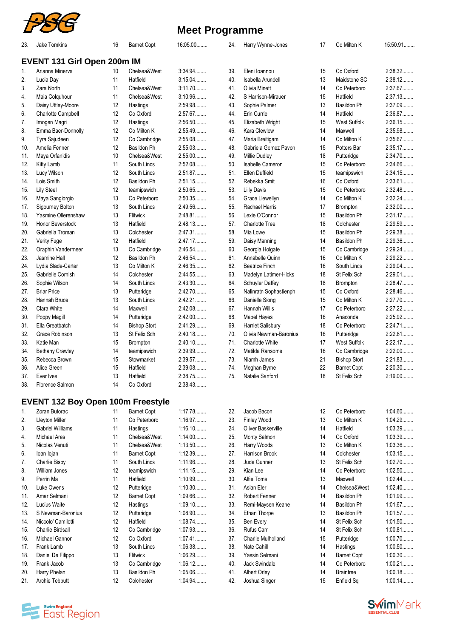

| 23. | Jake Tomkins                             | 16 | <b>Barnet Copt</b>  | 16:05.00  | 24. | Harry Wynne-Jones      | 17 | Co Milton K         | 15:50.91  |
|-----|------------------------------------------|----|---------------------|-----------|-----|------------------------|----|---------------------|-----------|
|     | EVENT 131 Girl Open 200m IM              |    |                     |           |     |                        |    |                     |           |
| 1.  | Arianna Minerva                          | 10 | Chelsea&West        | 3:34.94   | 39. | Eleni Ioannou          | 15 | Co Oxford           | 2:38.32   |
| 2.  | Lucia Day                                | 11 | Hatfield            | 3:15.04   | 40. | Isabella Arundell      | 13 | Maidstone SC        | 2:38.12   |
| 3.  | Zara North                               | 11 | Chelsea&West        | $3:11.70$ | 41. | <b>Olivia Minett</b>   | 14 | Co Peterboro        | 2:37.67   |
| 4.  | Maia Colquhoun                           | 11 | Chelsea&West        | 3:10.96   | 42. | S Harrison-Mirauer     | 15 | Hatfield            | 2:37.13   |
| 5.  | Daisy Uttley-Moore                       | 12 | Hastings            | 2:59.98   | 43. | Sophie Palmer          | 13 | Basildon Ph         | 2:37.09   |
| 6.  | Charlotte Campbell                       | 12 | Co Oxford           | 2:57.67   | 44. | Erin Currie            | 14 | Hatfield            | 2:36.87   |
| 7.  | Imogen Magri                             | 12 | Hastings            | 2:56.50   | 45. | Elizabeth Wright       | 15 | <b>West Suffolk</b> | 2:36.15   |
| 8.  | Emma Baer-Donnolly                       | 12 | Co Milton K         | 2:55.49   | 46. | Kara Clewlow           | 14 | Maxwell             | 2:35.98   |
| 9.  | Tyra Sajudeen                            | 12 | Co Cambridge        | 2:55.08   | 47. | Maria Breitigam        | 14 | Co Milton K         | 2:35.67   |
| 10. | Amelia Fenner                            | 12 | <b>Basildon Ph</b>  | 2:55.03   | 48. | Gabriela Gomez Pavon   | 15 | Potters Bar         | 2:35.17   |
|     |                                          | 10 | Chelsea&West        | 2:55.00   | 49. | <b>Millie Dudley</b>   | 18 |                     | 2:34.70   |
| 11. | Maya Orfanidis                           |    |                     | 2:52.08   |     |                        |    | Putteridge          | 2:34.66   |
| 12. | Kitty Lamb                               | 11 | South Lincs         |           | 50. | Isabelle Cameron       | 15 | Co Peterboro        |           |
| 13. | Lucy Wilson                              | 12 | South Lincs         | 2:51.87   | 51. | <b>Ellen Duffield</b>  | 15 | teamipswich         | 2:34.15   |
| 14. | Lois Smith                               | 12 | Basildon Ph         | 2:51.15   | 52. | Rebekka Smit           | 16 | Co Oxford           | 2:33.61   |
| 15. | <b>Lily Steel</b>                        | 12 | teamipswich         | 2:50.65   | 53. | <b>Lilly Davis</b>     | 15 | Co Peterboro        | 2:32.48   |
| 16. | Maya Sangiorgio                          | 13 | Co Peterboro        | 2:50.35   | 54. | Grace Llewellyn        | 14 | Co Milton K         | 2:32.24   |
| 17. | Sigourney Bolton                         | 13 | South Lincs         | 2:49.56   | 55. | Rachael Harris         | 17 | <b>Brompton</b>     | 2:32.00   |
| 18. | Yasmine Ollerenshaw                      | 13 | Flitwick            | 2:48.81   | 56. | Lexie O'Connor         | 15 | Basildon Ph         | 2:31.17   |
| 19. | Honor Beverstock                         | 13 | Hatfield            | 2:48.13   | 57. | <b>Charlotte Tree</b>  | 18 | Colchester          | 2:29.59   |
| 20. | Gabriella Troman                         | 13 | Colchester          | 2:47.31   | 58. | Mia Lowe               | 15 | Basildon Ph         | 2:29.38   |
| 21. | Verity Fuge                              | 12 | Hatfield            | 2:47.17   | 59. | Daisy Manning          | 14 | Basildon Ph         | 2:29.36   |
| 22. | Oraphin Vandermeer                       | 13 | Co Cambridge        | 2:46.54   | 60. | Georgia Holgate        | 15 | Co Cambridge        | 2:29.24   |
| 23. | Jasmine Hall                             | 12 | Basildon Ph         | 2:46.54   | 61. | Annabelle Quinn        | 16 | Co Milton K         | $2:29.22$ |
| 24. | Lydia Slade-Carter                       | 13 | Co Milton K         | 2:46.35   | 62. | <b>Beatrice Finch</b>  | 16 | South Lincs         | 2:29.04   |
| 25. | Gabrielle Cornish                        | 14 | Colchester          | 2:44.55   | 63. | Madelyn Latimer-Hicks  | 18 | St Felix Sch        | 2:29.01   |
| 26. | Sophie Wilson                            | 14 | South Lincs         | 2:43.30   | 64. | Schuyler Daffey        | 18 | Brompton            | 2:28.47   |
| 27. | <b>Briar Price</b>                       | 13 | Putteridge          | 2:42.70   | 65. | Nalinratn Sophastienph | 15 | Co Oxford           | 2:28.46   |
| 28. | Hannah Bruce                             | 13 | South Lincs         | 2:42.21   | 66. | Danielle Siong         | 15 | Co Milton K         | 2:27.70   |
| 29. | Clara White                              | 14 | Maxwell             | 2:42.08   | 67. | Hannah Willis          | 17 | Co Peterboro        | $2:27.22$ |
| 30. | Poppy Magill                             | 14 | Putteridge          | $2:42.00$ | 68. | Mabel Hayes            | 16 | Anaconda            | 2:25.92   |
| 31. | Ella Greatbatch                          | 14 | <b>Bishop Stort</b> | 2:41.29   | 69. | Harriet Salisbury      | 18 | Co Peterboro        | 2:24.71   |
|     | Grace Robinson                           | 13 | St Felix Sch        | 2:40.18   | 70. |                        | 16 | Putteridge          | 2:22.81   |
| 32. |                                          |    |                     |           |     | Olivia Newman-Baronius |    |                     |           |
| 33. | Katie Man                                | 15 | Brompton            | 2:40.10   | 71. | <b>Charlotte White</b> | 17 | West Suffolk        | 2:22.17   |
| 34. | <b>Bethany Crawley</b>                   | 14 | teamipswich         | 2:39.99   | 72. | Matilda Ransome        | 16 | Co Cambridge        | $2:22.00$ |
| 35. | Rebecca Brown                            | 15 | Stowmarket          | 2:39.57   | 73. | Niamh James            | 21 | <b>Bishop Stort</b> | 2:21.83   |
| 36. | Alice Green                              | 15 | Hatfield            | 2:39.08   | 74. | Meghan Byrne           | 22 | <b>Barnet Copt</b>  | 2:20.30   |
| 37. | Ever Ives                                | 13 | Hatfield            | 2:38.75   | 75. | Natalie Sanford        | 18 | St Felix Sch        | 2:19.00   |
| 38. | Florence Salmon                          | 14 | Co Oxford           | 2:38.43   |     |                        |    |                     |           |
|     | <b>EVENT 132 Boy Open 100m Freestyle</b> |    |                     |           |     |                        |    |                     |           |
| 1.  | Zoran Butorac                            | 11 | <b>Barnet Copt</b>  | 1:17.78   | 22. | Jacob Bacon            | 12 | Co Peterboro        | 1:04.60   |
| 2.  | <b>Lleyton Miller</b>                    | 11 | Co Peterboro        | 1:16.97   | 23. | Finley Wood            | 13 | Co Milton K         | 1:04.29   |
| 3.  | <b>Gabriel Williams</b>                  | 11 | Hastings            | $1:16.10$ | 24. | Oliver Baskerville     | 14 | Hatfield            | 1:03.39   |
| 4.  | Michael Ares                             | 11 | Chelsea&West        | $1:14.00$ | 25. | Monty Salmon           | 14 | Co Oxford           | 1:03.39   |
| 5.  | Nicolas Venuti                           | 11 | Chelsea&West        | 1:13.50   | 26. | Harry Woods            | 13 | Co Milton K         | 1:03.36   |
| 6.  | loan lojan                               | 11 | <b>Barnet Copt</b>  | 1:12.39   | 27. | Harrison Brook         | 14 | Colchester          | 1:03.15   |
| 7.  | Charlie Bisby                            | 11 | South Lincs         | 1:11.96   | 28. | Jude Gunner            | 13 | St Felix Sch        | 1:02.70   |
| 8.  | William Jones                            | 12 | teamipswich         | 1:11.15   | 29. | Kian Lee               | 14 | Co Peterboro        | 1:02.50   |
| 9.  | Perrin Ma                                | 11 | Hatfield            | 1:10.99   | 30. | Alfie Toms             | 13 | Maxwell             | $1:02.44$ |
|     |                                          |    |                     |           |     |                        |    |                     | $1:02.40$ |
| 10. | Luke Owens                               | 12 | Putteridge          | 1:10.30   | 31. | Aslan Eler             | 14 | Chelsea&West        |           |
| 11. | Amar Selmani                             | 12 | <b>Barnet Copt</b>  | 1:09.66   | 32. | Robert Fenner          | 14 | Basildon Ph         | 1:01.99   |
| 12. | Lucius Waite                             | 12 | Hastings            | 1:09.10   | 33. | Remi-Maysen Keane      | 14 | Basildon Ph         | 1:01.67   |
| 13. | S Newman-Baronius                        | 12 | Putteridge          | 1:08.90   | 34. | Ethan Thorpe           | 13 | Basildon Ph         | 1:01.57   |
| 14. | Niccolo' Camilotti                       | 12 | Hatfield            | 1:08.74   | 35. | Ben Every              | 14 | St Felix Sch        | 1:01.50   |
| 15. | <b>Charlie Birdsall</b>                  | 12 | Co Cambridge        | 1:07.93   | 36. | Rufus Carr             | 14 | St Felix Sch        | 1:00.81   |
| 16. | Michael Gannon                           | 12 | Co Oxford           | 1:07.41   | 37. | Charlie Mulholland     | 15 | Putteridge          | $1:00.70$ |
| 17. | Frank Lamb                               | 13 | South Lincs         | 1:06.38   | 38. | Nate Cahill            | 14 | Hastings            | $1:00.50$ |
| 18. | Daniel De Filippo                        | 13 | Flitwick            | 1:06.29   | 39. | Yassin Selmani         | 14 | <b>Barnet Copt</b>  | $1:00.30$ |
| 19. | Frank Jacob                              | 13 | Co Cambridge        | 1:06.12   | 40. | Jack Swindale          | 14 | Co Peterboro        | $1:00.21$ |
| 20. | Harry Phelan                             | 13 | Basildon Ph         | 1:05.06   | 41. | Albert Orley           | 14 | <b>Braintree</b>    | 1:00.18   |
| 21. | Archie Tebbutt                           | 12 | Colchester          | 1:04.94   | 42. | Joshua Singer          | 15 | Enfield Sq          | $1:00.14$ |



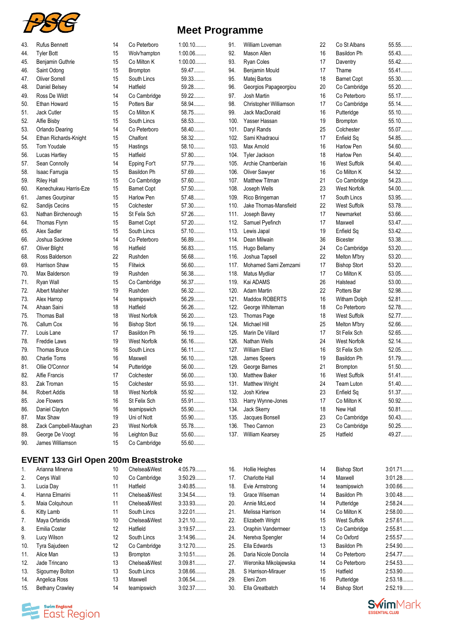

| 43. | <b>Rufus Bennett</b>  | 14 | Co Peterboro        | $1:00.10$ |
|-----|-----------------------|----|---------------------|-----------|
| 44. | <b>Tyler Bott</b>     | 15 | Wolv'hampton        | 1:00.06   |
| 45. | Benjamin Guthrie      | 15 | Co Milton K         | $1:00.00$ |
| 46. | Saint Odong           | 15 | Brompton            | 59.47     |
| 47. | <b>Oliver Sorrell</b> | 15 | South Lincs         | 59.33     |
| 48. | Daniel Belsey         | 14 | Hatfield            | 59.28     |
| 49. | Ross De Wildt         | 14 | Co Cambridge        | $59.22$   |
| 50. | Ethan Howard          | 15 | Potters Bar         | 58.94     |
| 51. | Jack Cutler           | 15 | Co Milton K         | 58.75     |
| 52. | Alfie Bisby           | 15 | South Lincs         | 58.53     |
| 53. | Orlando Dearing       | 14 | Co Peterboro        | 58.40     |
| 54. | Ethan Richards-Knight | 15 | Chalfont            | 58.32     |
| 55. | <b>Tom Youdale</b>    | 15 | Hastings            | 58.10     |
| 56. | Lucas Hartley         | 15 | Hatfield            | 57.80     |
| 57. | Sean Connolly         | 14 | Epping For't        | 57.79     |
| 58. | Isaac Farrugia        | 15 | Basildon Ph         | 57.69     |
| 59. | <b>Riley Hall</b>     | 15 | Co Cambridge        | 57.60     |
| 60. | Kenechukwu Harris-Eze | 15 | <b>Barnet Copt</b>  | 57.50     |
| 61. | James Gourpinar       | 15 | <b>Harlow Pen</b>   | 57.48     |
| 62. | Sandijs Cecins        | 15 | Colchester          | 57.30     |
| 63. | Nathan Birchenough    | 15 | St Felix Sch        | 57.26     |
| 64. | Thomas Flynn          | 15 | <b>Barnet Copt</b>  | 57.20     |
| 65. | Alex Sadler           | 15 | South Lincs         | 57.10     |
| 66. | Joshua Sackree        | 14 | Co Peterboro        | 56.89     |
| 67. | <b>Oliver Blight</b>  | 16 | Hatfield            | 56.83     |
| 68. | Ross Balderson        | 22 | Rushden             | 56.68     |
| 69. | Harrison Shaw         | 15 | Flitwick            | 56.60     |
| 70. | Max Balderson         | 19 | Rushden             | 56.38     |
| 71. | Ryan Wall             | 15 | Co Cambridge        | 56.37     |
| 72. | <b>Albert Malsher</b> | 19 | Rushden             | 56.32     |
| 73. | Alex Harrop           | 14 | teamipswich         | 56.29     |
| 74. | Ahaan Saini           | 18 | Hatfield            | 56.26     |
| 75. | <b>Thomas Ball</b>    | 18 | West Norfolk        | 56.20     |
| 76. | Callum Cox            | 16 | <b>Bishop Stort</b> | 56.19     |
| 77. | Louis Lane            | 17 | Basildon Ph         | 56.19     |
| 78. | Freddie Laws          | 19 | <b>West Norfolk</b> | 56.16     |
| 79. | <b>Thomas Bruce</b>   | 16 | South Lincs         | 56.11.    |
| 80. | <b>Charlie Toms</b>   | 16 | Maxwell             | 56.10     |
| 81. | Ollie O'Connor        | 14 | Putteridge          | 56.00     |
| 82. | <b>Alfie Francis</b>  | 17 | Colchester          | 56.00     |
| 83. | Zak Troman            | 15 | Colchester          | 55.93     |
| 84. | <b>Robert Addis</b>   | 18 | West Norfolk        | 55.92     |
| 85. | Joe Flowers           | 16 | St Felix Sch        | 55.91     |
| 86. | Daniel Clayton        | 16 | teamipswich         | 55.90     |
| 87. | Max Shaw              | 19 | Uni of Nott         | 55.90     |
| 88. | Zack Campbell-Maughan | 23 | <b>West Norfolk</b> | 55.78     |
| 89. | George De Voogt       | 16 | Leighton Buz        | 55.60     |
| 90. | James Williamson      | 15 | Co Cambridge        | 55.60     |

## **EVENT 133 Girl Open 200m Breaststroke**

| 1.  | Arianna Minerva        | 10                | Chelsea&West    | 4:05.79   |
|-----|------------------------|-------------------|-----------------|-----------|
| 2.  | Cerys Wall             | 10                | Co Cambridge    | 3:50.29   |
| 3.  | Lucia Day              | 11                | Hatfield        | 3:40.85   |
| 4.  | Hanna Elmarini         | 11                | Chelsea&West    | 3:34.54   |
| 5.  | Maia Colquhoun         | 11                | Chelsea&West    | 3:33.93   |
| 6.  | Kitty Lamb             | 11                | South Lincs     | $3:22.01$ |
| 7.  | Maya Orfanidis         | 10                | Chelsea&West    | $3:21.10$ |
| 8.  | Emilia Coster          | $12 \overline{ }$ | Hatfield        | 3:19.57   |
| 9.  | Lucy Wilson            | $12 \overline{ }$ | South Lincs     | 3:14.96   |
| 10. | Tyra Sajudeen          | $12 \overline{ }$ | Co Cambridge    | 3:12.70   |
| 11. | Alice Man              | 13                | <b>Brompton</b> | $3:10.51$ |
| 12. | Jade Trincano          | 13                | Chelsea&West    | 3:09.81   |
| 13. | Sigourney Bolton       | 13                | South Lincs     | 3:08.66   |
| 14. | Angelica Ross          | 13                | Maxwell         | 3:06.54   |
| 15. | <b>Bethany Crawley</b> | 14                | teamipswich     | 3:02.37   |



| 91.  | William Loveman        | 22 | Co St Albans        | 55.55   |
|------|------------------------|----|---------------------|---------|
| 92.  | Mason Allen            | 16 | Basildon Ph         | 55.43   |
| 93.  | <b>Ryan Coles</b>      | 17 | Daventry            | 55.42   |
| 94.  | Benjamin Mould         | 17 | Thame               | 55.41   |
| 95.  | Matej Bartos           | 18 | <b>Barnet Copt</b>  | 55.30   |
| 96.  | Georgios Papageorgiou  | 20 | Co Cambridge        | 55.20   |
| 97.  | Josh Martin            | 16 | Co Peterboro        | 55.17   |
| 98.  | Christopher Williamson | 17 | Co Cambridge        | 55.14.  |
|      |                        |    |                     |         |
| 99.  | Jack MacDonald         | 16 | Putteridge          | 55.10   |
| 100. | Yasser Hassan          | 19 | <b>Brompton</b>     | 55.10   |
| 101. | Daryl Rands            | 25 | Colchester          | 55.07   |
| 102. | Sami Khadraoui         | 17 | Enfield Sq          | 54.85   |
| 103. | Max Arnold             | 16 | Harlow Pen          | 54.60   |
| 104. | Tyler Jackson          | 18 | Harlow Pen          | 54.40   |
| 105. | Archie Chamberlain     | 16 | <b>West Suffolk</b> | 54.40   |
| 106. | <b>Oliver Sawyer</b>   | 16 | Co Milton K         | 54.32   |
| 107. | Matthew Titman         | 21 | Co Cambridge        | 54.23   |
| 108. | Joseph Wells           | 23 | <b>West Norfolk</b> | 54.00   |
| 109. | Rico Bringeman         | 17 | South Lincs         | 53.95   |
| 110. | Jake Thomas-Mansfield  | 22 | <b>West Suffolk</b> | 53.78   |
| 111. | Joseph Bavey           | 17 | Newmarket           | 53.66   |
| 112. | Samuel Pyefinch        | 17 | Maxwell             | 53.47   |
|      |                        |    |                     |         |
| 113. | Lewis Japal            | 19 | Enfield Sq          | 53.42   |
| 114. | Dean Milwain           | 36 | <b>Bicester</b>     | 53.38   |
| 115. | Hugo Bellamy           | 24 | Co Cambridge        | $53.20$ |
| 116. | Joshua Tapsell         | 22 | Melton M'bry        | 53.20   |
| 117. | Mohamed Sami Zemzami   | 17 | <b>Bishop Stort</b> | $53.20$ |
| 118. | Matus Mydliar          | 17 | Co Milton K         | 53.05   |
| 119. | Kai ADAMS              | 26 | Halstead            | 53.00   |
| 120. | Adam Martin            | 22 | Potters Bar         | 52.98   |
| 121. | Maddox ROBERTS         | 16 | Witham Dolph        | 52.81   |
| 122. | George Whiteman        | 18 | Co Peterboro        | 52.78   |
| 123. | Thomas Page            | 18 | West Suffolk        | 52.77   |
| 124. | Michael Hill           | 25 | Melton M'bry        | 52.66   |
| 125. | Marin De Villard       | 17 | St Felix Sch        | 52.65   |
|      |                        |    |                     |         |
| 126. | Nathan Wells           | 24 | West Norfolk        | 52.14.  |
| 127. | <b>William Ellard</b>  | 16 | St Felix Sch        | 52.05   |
| 128. | James Speers           | 19 | <b>Basildon Ph</b>  | 51.79   |
| 129. | George Barnes          | 21 | Brompton            | 51.50   |
| 130. | <b>Matthew Baker</b>   | 16 | <b>West Suffolk</b> | $51.41$ |
| 131. | <b>Matthew Wright</b>  | 24 | <b>Team Luton</b>   | $51.40$ |
| 132. | Josh Kirlew            | 23 | Enfield Sq          | 51.37   |
| 133. | Harry Wynne-Jones      | 17 | Co Milton K         | $50.92$ |
| 134. | Jack Skerry            | 18 | New Hall            | 50.81   |
| 135. | Jacques Bonsell        | 23 | Co Cambridge        | 50.43   |
| 136. | Theo Cannon            | 23 | Co Cambridge        | $50.25$ |
| 137. | William Kearsey        | 25 | Hatfield            | 49.27   |
|      |                        |    |                     |         |
|      |                        |    |                     |         |
| 16.  | Hollie Heighes         | 14 | <b>Bishop Stort</b> | 3:01.71 |
| 17.  | Charlotte Hall         | 14 | Maxwell             | 3:01.28 |
| 18.  | Evie Armstrong         | 14 | teamipswich         | 3:00.66 |
| 19.  | Grace Wiseman          | 14 | Basildon Ph         | 3:00.48 |
| 20.  | Annie McLeod           | 14 | Putteridge          | 2:58.24 |
| 21.  | Melissa Harrison       | 14 | Co Milton K         | 2:58.00 |
| 22.  | Elizabeth Wright       | 15 | <b>West Suffolk</b> | 2:57.61 |
| 23.  | Oraphin Vandermeer     | 13 | Co Cambridge        | 2:55.81 |
|      |                        |    |                     |         |
| 24.  | Neretva Spengler       | 14 | Co Oxford           | 2:55.57 |
| 25.  | Ella Edwards           | 13 | Basildon Ph         | 2:54.90 |
| 26.  | Daria Nicole Doncila   | 14 | Co Peterboro        | 2:54.77 |
| 27.  | Weronika Mikolajewska  | 14 | Co Peterboro        | 2:54.53 |
| 28.  | S Harrison-Mirauer     | 15 | Hatfield            | 2:53.90 |
| 29.  | Eleni Zorn             | 16 | Putteridge          | 2:53.18 |
| 30.  | Ella Greatbatch        | 14 | <b>Bishop Stort</b> | 2:52.19 |
|      |                        |    |                     |         |

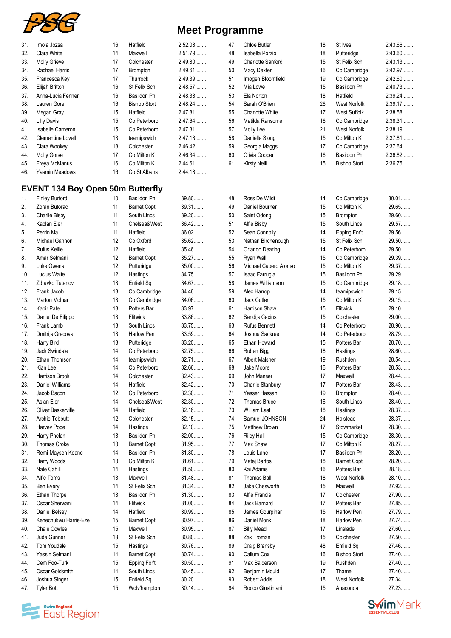

| 31. | Imola Jozsa                             | 16 | Hatfield            | 2:52.08 | 47. | <b>Chloe Butler</b>      | 18 | St Ives             | 2:43.66 |
|-----|-----------------------------------------|----|---------------------|---------|-----|--------------------------|----|---------------------|---------|
| 32. | Clara White                             | 14 | Maxwell             | 2:51.79 | 48. | Isabella Porzio          | 18 | Putteridge          | 2:43.60 |
| 33. | <b>Molly Grieve</b>                     | 17 | Colchester          | 2:49.80 | 49. | <b>Charlotte Sanford</b> | 15 | St Felix Sch        | 2:43.13 |
| 34. | Rachael Harris                          | 17 | Brompton            | 2:49.61 | 50. | <b>Macy Dexter</b>       | 16 | Co Cambridge        | 2:42.97 |
| 35. | Francesca Kev                           | 17 | Thurrock            | 2:49.39 | 51. | Imogen Bloomfield        | 19 | Co Cambridge        | 2:42.60 |
| 36. | Elijah Britton                          | 16 | St Felix Sch        | 2:48.57 | 52. | Mia Lowe                 | 15 | Basildon Ph         | 2:40.73 |
|     | Anna-Lucia Fenner                       | 16 | <b>Basildon Ph</b>  | 2:48.38 | 53. | Ela Norton               | 18 | Hatfield            | 2:39.24 |
| 37. |                                         |    |                     |         |     |                          |    |                     |         |
| 38. | Lauren Gore                             | 16 | <b>Bishop Stort</b> | 2:48.24 | 54. | Sarah O'Brien            | 26 | <b>West Norfolk</b> | 2:39.17 |
| 39. | Megan Gray                              | 15 | Hatfield            | 2:47.81 | 55. | <b>Charlotte White</b>   | 17 | <b>West Suffolk</b> | 2:38.58 |
| 40. | <b>Lilly Davis</b>                      | 15 | Co Peterboro        | 2:47.64 | 56. | Matilda Ransome          | 16 | Co Cambridge        | 2:38.31 |
| 41. | Isabelle Cameron                        | 15 | Co Peterboro        | 2:47.31 | 57. | Molly Lee                | 21 | West Norfolk        | 2:38.19 |
| 42. | Clementine Lovell                       | 13 | teamipswich         | 2:47.13 | 58. | Danielle Siong           | 15 | Co Milton K         | 2:37.81 |
| 43. | Ciara Wookey                            | 18 | Colchester          | 2:46.42 | 59. | Georgia Maggs            | 17 | Co Cambridge        | 2:37.64 |
| 44. | <b>Molly Gorse</b>                      | 17 | Co Milton K         | 2:46.34 | 60. | Olivia Cooper            | 16 | Basildon Ph         | 2:36.82 |
| 45. | Freya McManus                           | 16 | Co Milton K         | 2:44.61 | 61. | <b>Kirsty Neill</b>      | 15 | <b>Bishop Stort</b> | 2:36.75 |
| 46. | Yasmin Meadows                          | 16 | Co St Albans        | 2:44.18 |     |                          |    |                     |         |
|     | <b>EVENT 134 Boy Open 50m Butterfly</b> |    |                     |         |     |                          |    |                     |         |
| 1.  | <b>Finley Burford</b>                   | 10 | <b>Basildon Ph</b>  | 39.80   | 48. | Ross De Wildt            | 14 | Co Cambridge        | $30.01$ |
| 2.  | Zoran Butorac                           | 11 | <b>Barnet Copt</b>  | 39.31   | 49. | Daniel Bourner           | 15 | Co Milton K         | 29.65   |
| 3.  | Charlie Bisby                           | 11 | South Lincs         | 39.20   | 50. | Saint Odong              | 15 | Brompton            | 29.60   |
| 4.  | Kaplan Eler                             | 11 | Chelsea&West        | 36.42   | 51. | Alfie Bisby              | 15 | South Lincs         | 29.57   |
| 5.  | Perrin Ma                               | 11 | Hatfield            | $36.02$ | 52. | Sean Connolly            | 14 | Epping For't        | 29.56   |
| 6.  | Michael Gannon                          | 12 | Co Oxford           | 35.62   | 53. | Nathan Birchenough       | 15 | St Felix Sch        | 29.50   |
| 7.  | Rufus Kellie                            | 12 | Hatfield            | 35.46   | 54. | <b>Orlando Dearing</b>   | 14 | Co Peterboro        | 29.50   |
| 8.  | Amar Selmani                            | 12 | <b>Barnet Copt</b>  | 35.27   | 55. | Ryan Wall                | 15 | Co Cambridge        | 29.39   |
| 9.  | Luke Owens                              | 12 | Putteridge          | $35.00$ | 56. | Michael Cabero Alonso    | 15 | Co Milton K         | 29.37   |
| 10. | Lucius Waite                            | 12 | Hastings            | 34.75   | 57. | Isaac Farrugia           | 15 | Basildon Ph         | 29.29   |
| 11. | Zdravko Tatanov                         | 13 | Enfield Sq          | 34.67   | 58. | James Williamson         | 15 | Co Cambridge        | 29.18   |
| 12. | Frank Jacob                             | 13 | Co Cambridge        | 34.46   | 59. | Alex Harrop              | 14 | teamipswich         | 29.15   |
|     | <b>Marton Molnar</b>                    | 13 |                     | 34.06   | 60. | Jack Cutler              | 15 | Co Milton K         | 29.15   |
| 13. |                                         |    | Co Cambridge        | 33.97   |     |                          |    |                     | 29.10   |
| 14. | Kabir Patel                             | 13 | Potters Bar         |         | 61. | Harrison Shaw            | 15 | Flitwick            |         |
| 15. | Daniel De Filippo                       | 13 | Flitwick            | 33.86   | 62. | Sandijs Cecins           | 15 | Colchester          | 29.00   |
| 16. | Frank Lamb                              | 13 | South Lincs         | 33.75   | 63. | <b>Rufus Bennett</b>     | 14 | Co Peterboro        | 28.90   |
| 17. | Dmitrijs Gracovs                        | 13 | <b>Harlow Pen</b>   | 33.59   | 64. | Joshua Sackree           | 14 | Co Peterboro        | 28.79   |
| 18. | Harry Bird                              | 13 | Putteridge          | $33.20$ | 65. | Ethan Howard             | 15 | Potters Bar         | 28.70   |
| 19. | Jack Swindale                           | 14 | Co Peterboro        | 32.75   | 66. | Ruben Bigg               | 18 | Hastings            | 28.60   |
| 20. | Ethan Thomson                           | 14 | teamipswich         | $32.71$ | 67. | <b>Albert Malsher</b>    | 19 | Rushden             | 28.54   |
| 21. | Kian Lee                                | 14 | Co Peterboro        | 32.66   | 68. | Jake Moore               | 16 | Potters Bar         | 28.53   |
| 22. | Harrison Brook                          | 14 | Colchester          | 32.43   | 69. | John Manser              | 17 | Maxwell             | 28.44   |
| 23. | <b>Daniel Williams</b>                  | 14 | Hatfield            | 32.42   | 70. | Charlie Stanbury         | 17 | Potters Bar         | 28.43   |
| 24. | Jacob Bacon                             | 12 | Co Peterboro        | 32.30   | 71. | Yasser Hassan            | 19 | Brompton            | 28.40   |
| 25. | Aslan Eler                              | 14 | Chelsea&West        | 32.30   | 72. | Thomas Bruce             | 16 | South Lincs         | 28.40   |
| 26. | Oliver Baskerville                      | 14 | Hatfield            | 32.16   | 73. | <b>William Last</b>      | 18 | Hastings            | 28.37   |
| 27. | Archie Tebbutt                          | 12 | Colchester          | 32.15   | 74. | Samuel JOHNSON           | 24 | Halstead            | 28.37   |
| 28. | Harvey Pope                             | 14 | Hastings            | 32.10   | 75. | Matthew Brown            | 17 | Stowmarket          | 28.30   |
| 29. | Harry Phelan                            | 13 | Basildon Ph         | 32.00   | 76. | <b>Riley Hall</b>        | 15 | Co Cambridge        | 28.30   |
| 30. | <b>Thomas Croke</b>                     | 13 | <b>Barnet Copt</b>  | 31.95   | 77. | Max Shaw                 | 17 | Co Milton K         | 28.27   |
| 31. | Remi-Maysen Keane                       | 14 | Basildon Ph         | 31.80   | 78. | Louis Lane               | 17 | Basildon Ph         | 28.20   |
| 32. | Harry Woods                             | 13 | Co Milton K         | 31.61   | 79. | Matej Bartos             | 18 | <b>Barnet Copt</b>  | 28.20   |
| 33. | Nate Cahill                             | 14 | Hastings            | $31.50$ | 80. | Kai Adams                | 16 | Potters Bar         | 28.18   |
| 34. | Alfie Toms                              | 13 | Maxwell             | 31.48   | 81. | <b>Thomas Ball</b>       | 18 | <b>West Norfolk</b> | 28.10   |
| 35. | Ben Every                               | 14 | St Felix Sch        | 31.34   | 82. | Jake Chesworth           | 15 | Maxwell             | 27.92   |
| 36. | Ethan Thorpe                            | 13 | Basildon Ph         | $31.30$ | 83. | Alfie Francis            | 17 | Colchester          | 27.90   |
| 37. | Oscar Sherwani                          | 14 | Flitwick            | 31.00   | 84. | Jack Bamard              | 17 | Potters Bar         | 27.85   |
| 38. | Daniel Belsey                           | 14 | Hatfield            | 30.99   | 85. | James Gourpinar          | 15 | Harlow Pen          | 27.79   |
|     |                                         |    |                     | 30.97   |     |                          | 18 |                     | 27.74   |
| 39. | Kenechukwu Harris-Eze                   | 15 | <b>Barnet Copt</b>  |         | 86. | Daniel Monk              |    | Harlow Pen          |         |
| 40. | <b>Chale Cowles</b>                     | 15 | Maxwell             | 30.95   | 87. | <b>Billy Mead</b>        | 17 | Linslade            | 27.60   |
| 41. | Jude Gunner                             | 13 | St Felix Sch        | $30.80$ | 88. | Zak Troman               | 15 | Colchester          | 27.50   |
| 42. | Tom Youdale                             | 15 | Hastings            | 30.76   | 89. | Craig Bransby            | 48 | Enfield Sq          | 27.46   |
| 43. | Yassin Selmani                          | 14 | <b>Barnet Copt</b>  | 30.74   | 90. | Callum Cox               | 16 | <b>Bishop Stort</b> | 27.40   |
| 44. | Cem Foo-Turk                            | 15 | Epping For't        | $30.50$ | 91. | Max Balderson            | 19 | Rushden             | 27.40   |
| 45. | Oscar Goldsmith                         | 14 | South Lincs         | 30.45   | 92. | Benjamin Mould           | 17 | Thame               | 27.40   |
| 46. | Joshua Singer                           | 15 | Enfield Sq          | $30.20$ | 93. | <b>Robert Addis</b>      | 18 | West Norfolk        | 27.34   |
| 47. | <b>Tyler Bott</b>                       | 15 | Wolv'hampton        | $30.14$ | 94. | Rocco Giustiniani        | 15 | Anaconda            | 27.23   |
|     |                                         |    |                     |         |     |                          |    |                     |         |



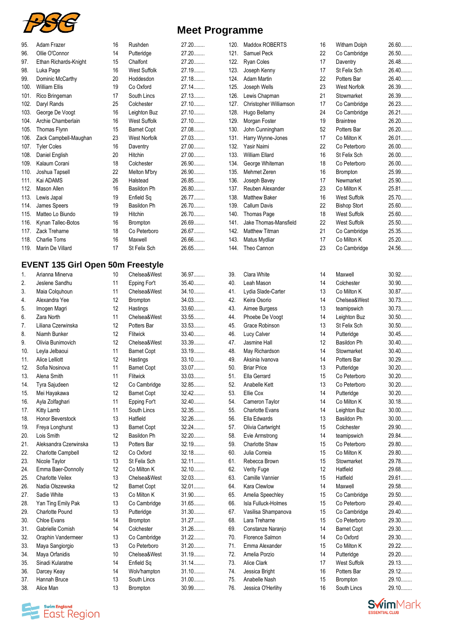

| <b>Meet Programme</b> |  |
|-----------------------|--|
|-----------------------|--|

| 95.  | Adam Frazer                              | 16 | Rushden             | 27.20   | 120. | Maddo>              |
|------|------------------------------------------|----|---------------------|---------|------|---------------------|
| 96.  | Ollie O'Connor                           | 14 | Putteridge          | 27.20   | 121. | Samuel              |
| 97.  | Ethan Richards-Knight                    | 15 | Chalfont            | 27.20   | 122. | Ryan C              |
| 98.  | Luka Page                                | 16 | <b>West Suffolk</b> | 27.19.  | 123. | Joseph              |
| 99.  | Dominic McCarthy                         | 20 | Hoddesdon           | 27.18   | 124. | Adam N              |
| 100. | <b>William Ellis</b>                     | 19 | Co Oxford           | 27.14   | 125. | Joseph              |
| 101. | Rico Bringeman                           | 17 | South Lincs         | 27.13.  | 126. | Lewis C             |
| 102. | Daryl Rands                              | 25 | Colchester          | 27.10   | 127. | Christo             |
| 103. | George De Voogt                          | 16 | Leighton Buz        | 27.10   | 128. | Hugo B              |
| 104. | Archie Chamberlain                       | 16 | <b>West Suffolk</b> | 27.10   | 129. | Morgan              |
| 105. | Thomas Flynn                             | 15 | <b>Barnet Copt</b>  | 27.08   | 130. | John Cı             |
| 106. | Zack Campbell-Maughan                    | 23 | West Norfolk        | 27.03   | 131. | Harry W             |
| 107. | <b>Tyler Coles</b>                       | 16 | Daventry            | 27.00   | 132. | Yasir N             |
| 108. |                                          | 20 |                     | 27.00   | 133. | William             |
|      | Daniel English                           |    | Hitchin             |         |      |                     |
| 109. | Kalaum Corani                            | 18 | Colchester          | 26.90   | 134. | George              |
| 110. | Joshua Tapsell                           | 22 | Melton M'bry        | 26.90   | 135. | Mehme               |
| 111. | Kai ADAMS                                | 26 | Halstead            | 26.85   | 136. | Joseph              |
| 112. | Mason Allen                              | 16 | Basildon Ph         | 26.80   | 137. | Reuben              |
| 113. | Lewis Japal                              | 19 | Enfield Sq          | 26.77   | 138. | Matthey             |
| 114. | James Speers                             | 19 | Basildon Ph         | 26.70   | 139. | Callum              |
| 115. | Matteo Lo Biundo                         | 19 | Hitchin             | 26.70   | 140. | Thomas              |
| 116. | Kynan Tallec-Botos                       | 16 | Brompton            | 26.69   | 141. | Jake Th             |
| 117. | Zack Trehame                             | 18 | Co Peterboro        | 26.67   | 142. | Matthey             |
| 118. | <b>Charlie Toms</b>                      | 16 | Maxwell             | 26.66   | 143. | Matus N             |
| 119. | Marin De Villard                         | 17 | St Felix Sch        | 26.65   | 144. | Theo C              |
|      |                                          |    |                     |         |      |                     |
|      | <b>EVENT 135 Girl Open 50m Freestyle</b> |    |                     |         |      |                     |
| 1.   | Arianna Minerva                          | 10 | Chelsea&West        | 36.97   | 39.  | Clara W             |
| 2.   | Jeslene Sandhu                           | 11 | Epping For't        | $35.40$ | 40.  | Leah M              |
| 3.   | Maia Colquhoun                           | 11 | Chelsea&West        | 34.10   | 41.  | Lydia <sub>S</sub>  |
| 4.   | Alexandra Yee                            | 12 | Brompton            | 34.03   | 42.  | Keira O             |
| 5.   | Imogen Magri                             | 12 | Hastings            | 33.60   | 43.  | Aimee I             |
| 6.   | Zara North                               | 11 | Chelsea&West        | 33.55   | 44.  | Phoebe              |
| 7.   | Liliana Czerwinska                       | 12 | Potters Bar         | 33.53   | 45.  | Grace F             |
| 8.   | Niamh Bunker                             | 12 | Flitwick            | 33.40   | 46.  | Lucy Ca             |
| 9.   | Olivia Bunimovich                        | 12 | Chelsea&West        | 33.39   | 47.  | Jasmine             |
| 10.  |                                          |    |                     | 33.19   | 48.  |                     |
|      | Leyla Jelbaoui                           | 11 | <b>Barnet Copt</b>  |         |      | May Rio             |
| 11.  | Alice Lelliott                           | 12 | Hastings            | 33.10   | 49.  | Aksinia             |
| 12.  | Sofia Nosinova                           | 11 | <b>Barnet Copt</b>  | 33.07   | 50.  | <b>Briar Pr</b>     |
| 13.  | Alena Smith                              | 11 | Flitwick            | 33.03   | 51.  | Ella Ge             |
| 14.  | Tyra Sajudeen                            | 12 | Co Cambridge        | 32.85   | 52.  | Anabell             |
| 15.  | Mei Hayakawa                             | 12 | <b>Barnet Copt</b>  | 32.42   | 53.  | Ellie Co            |
| 16.  | Ayla Zolfaghari                          | 11 | Epping For't        | 32.40   | 54.  | Camerc              |
| 17.  | Kitty Lamb                               | 11 | South Lincs         | 32.35   | 55.  | Charlott            |
| 18.  | Honor Beverstock                         | 13 | Hatfield            | 32.26   | 56.  | Ella Ed             |
| 19.  | Freya Longhurst                          | 13 | <b>Barnet Copt</b>  | 32.24   | 57.  | Olivia <sub>C</sub> |
| 20.  | Lois Smith                               | 12 | Basildon Ph         | $32.20$ | 58.  | Evie Arı            |
| 21.  | Aleksandra Czerwinska                    | 13 | Potters Bar         | 32.19   | 59.  | Charlott            |
| 22.  | Charlotte Campbell                       | 12 | Co Oxford           | 32.18   | 60.  | Julia Co            |
| 23.  | Nicole Taylor                            | 13 | St Felix Sch        | 32.11   | 61.  | Rebecc              |
| 24.  | Emma Baer-Donnolly                       | 12 | Co Milton K         | 32.10   | 62.  | Verity F            |
| 25.  | <b>Charlotte Veilex</b>                  | 13 | Chelsea&West        | 32.03   | 63.  | Camille             |
| 26.  | Nadia Olszewska                          | 12 | <b>Barnet Copt</b>  | 32.01   | 64.  | Kara Cl             |
| 27.  | Sadie White                              | 13 | Co Milton K         | 31.90   | 65.  | Amelia              |
| 28.  | Yan Ting Emily Pak                       | 13 | Co Cambridge        | 31.65   | 66.  | Isla Full           |
| 29.  | <b>Charlotte Pound</b>                   | 13 | Putteridge          | 31.30   | 67.  | Vasilisa            |
| 30.  | <b>Chloe Evans</b>                       | 14 | Brompton            | 31.27   | 68.  | Lara Tr             |
| 31.  | Gabrielle Cornish                        | 14 | Colchester          | 31.26   | 69.  | Constar             |
| 32.  | Oraphin Vandermeer                       | 13 | Co Cambridge        | $31.22$ | 70.  | Florenc             |
|      |                                          |    |                     | 31.20   | 71.  |                     |
| 33.  | Maya Sangiorgio                          | 13 | Co Peterboro        |         |      | Emma /              |
| 34.  | Maya Orfanidis                           | 10 | Chelsea&West        | 31.19.  | 72.  | Amelia              |
| 35.  | Sinadi Kularatne                         | 14 | Enfield Sq          | $31.14$ | 73.  | Alice Cl            |
| 36.  | Darcey Keay                              | 14 | Wolv'hampton        | 31.10   | 74.  | Jessica             |
| 37.  | Hannah Bruce                             | 13 | South Lincs         | $31.00$ | 75.  | Anabell             |
| 38.  | Alice Man                                | 13 | Brompton            | 30.99   | 76.  | Jessica             |

**Examplement**<br>**East Region** 

| 120.         | Maddox ROBERTS                          | 16       | Witham Dolph                               | 26.60          |
|--------------|-----------------------------------------|----------|--------------------------------------------|----------------|
| 121.         | Samuel Peck                             | 22       | Co Cambridge                               | 26.50          |
| 122.         | <b>Ryan Coles</b>                       | 17       | Daventry                                   | 26.48          |
| 123.         | Joseph Kenny                            | 17       | St Felix Sch                               | 26.40          |
| 124.         | <b>Adam Martin</b>                      | 22       | Potters Bar                                | 26.40          |
| 125.         | Joseph Wells                            | 23       | West Norfolk                               | 26.39          |
| 126.         | Lewis Chapman                           | 21       | Stowmarket                                 | 26.39          |
| 127.         | Christopher Williamson                  | 17       | Co Cambridge                               | 26.23          |
| 128.         | Hugo Bellamy                            | 24       | Co Cambridge                               | 26.21          |
| 129.         | Morgan Foster                           | 19       | <b>Braintree</b>                           | 26.20          |
| 130.         | John Cunningham                         | 52       | Potters Bar                                | 26.20          |
| 131.         | Harry Wynne-Jones                       | 17       | Co Milton K                                | 26.01          |
| 132.         | Yasir Naimi                             | 22       | Co Peterboro                               | 26.00          |
| 133.         | William Ellard                          | 16       | <b>St Felix Sch</b>                        | 26.00          |
| 134.         | George Whiteman                         | 18       | Co Peterboro                               | 26.00          |
| 135.         | Mehmet Zeren                            | 16       | Brompton                                   | 25.99          |
| 136.         | Joseph Bavey                            | 17       | Newmarket                                  | 25.90          |
| 137.         | Reuben Alexander                        | 23       | Co Milton K                                | 25.81          |
| 138.         | <b>Matthew Baker</b>                    | 16       | West Suffolk                               | 25.70          |
| 139.<br>140. | <b>Callum Davis</b>                     | 22<br>18 | <b>Bishop Stort</b><br><b>West Suffolk</b> | 25.60          |
| 141.         | Thomas Page<br>Jake Thomas-Mansfield    | 22       | <b>West Suffolk</b>                        | 25.60<br>25.50 |
| 142.         | <b>Matthew Titman</b>                   | 21       | Co Cambridge                               | 25.35          |
| 143.         | Matus Mydliar                           | 17       | Co Milton K                                | 25.20          |
| 144.         | Theo Cannon                             | 23       | Co Cambridge                               | 24.56          |
|              |                                         |          |                                            |                |
|              |                                         |          |                                            |                |
| 39.          | Clara White                             | 14       | Maxwell                                    | 30.92          |
| 40.          | Leah Mason                              | 14       | Colchester                                 | $30.90$        |
| 41.          | Lydia Slade-Carter                      | 13       | Co Milton K                                | 30.87          |
| 42.          | Keira Osorio                            | 14       | Chelsea&West                               | 30.73          |
| 43.          | Aimee Burgess                           | 13       | teamipswich                                | 30.73          |
| 44.          | Phoebe De Voogt                         | 14       | Leighton Buz                               | $30.50$        |
| 45.          | Grace Robinson                          | 13       | St Felix Sch                               | $30.50$        |
| 46.          | Lucy Calver                             | 14       | Putteridge                                 | 30.45          |
| 47.          | Jasmine Hall                            | 12       | <b>Basildon Ph</b>                         | $30.40$        |
| 48.          | May Richardson                          | 14       | Stowmarket                                 | $30.40$        |
| 49.          | Aksinia Ivanova                         | 14       | Potters Bar                                | 30.29          |
| 50.          | <b>Briar Price</b>                      | 13       | Putteridge                                 | 30.20          |
| 51.          | Ella Gerrard                            | 15       | Co Peterboro                               | 30.20          |
| 52.          | Anabelle Kett                           | 13       | Co Peterboro                               | 30.20          |
| 53.          | Ellie Cox                               | 14       | Putteridge                                 | $30.20$        |
| 54.          | Cameron Taylor                          | 14       | Co Milton K                                | 30.18          |
| 55.          | <b>Charlotte Evans</b>                  | 14       | Leighton Buz                               | $30.00$        |
| 56.          | Ella Edwards                            | 13       | <b>Basildon Ph</b>                         | 30.00          |
| 57.          | Olivia Cartwright                       | 15       | Colchester                                 | 29.90          |
| 58.<br>59.   | Evie Armstrong<br><b>Charlotte Shaw</b> | 14<br>15 | teamipswich<br>Co Peterboro                | 29.84<br>29.80 |
| 60.          | Julia Correia                           | 15       | Co Milton K                                | 29.80          |
| 61.          | Rebecca Brown                           | 15       | Stowmarket                                 | 29.78          |
| 62.          | <b>Verity Fuge</b>                      | 12       | Hatfield                                   | 29.68          |
| 63.          | Camille Vannier                         | 15       | Hatfield                                   | 29.61          |
| 64.          | Kara Clewlow                            | 14       | Maxwell                                    | 29.58          |
| 65.          | Amelia Speechley                        | 15       | Co Cambridge                               | 29.50          |
| 66.          | Isla Fulluck-Holmes                     | 15       | Co Peterboro                               | 29.40.         |
| 67.          | Vasilisa Shampanova                     | 15       | Co Cambridge                               | 29.40          |
| 68.          | Lara Treharne                           | 15       | Co Peterboro                               | 29.30          |
| 69.          | Constanze Naranjo                       | 14       | <b>Barnet Copt</b>                         | 29.30          |
| 70.          | Florence Salmon                         | 14       | Co Oxford                                  | 29.30          |
| 71.          | Emma Alexander                          | 15       | Co Milton K                                | 29.22          |
| 72.          | Amelia Porzio                           | 14       | Putteridge                                 | 29.20          |
| 73.          | <b>Alice Clark</b>                      | 17       | West Suffolk                               | 29.13.         |
| 74.          | Jessica Bright                          | 16       | Potters Bar                                | 29.12          |
| 75.          | Anabelle Nash                           | 15       | <b>Brompton</b>                            | 29.10          |
| 76.          | Jessica O'Herlihy                       | 16       | South Lincs                                | 29.10          |
|              |                                         |          |                                            |                |

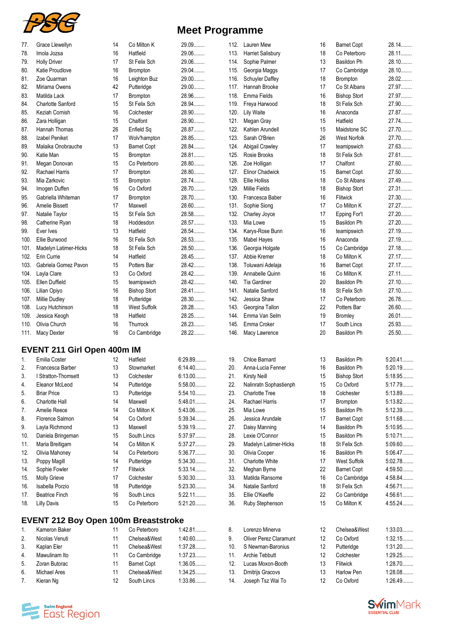

| <b>Meet Programme</b> |  |  |  |
|-----------------------|--|--|--|
|-----------------------|--|--|--|

| Grace Llewellyn          | 14                                                                               | Co Milton K         | 29.09 | 112. | <b>Lauren Mew</b>      | 16 | <b>Barnet Copt</b>  | 28.14   |
|--------------------------|----------------------------------------------------------------------------------|---------------------|-------|------|------------------------|----|---------------------|---------|
| Imola Jozsa              | 16                                                                               | Hatfield            | 29.06 | 113. | Harriet Salisbury      | 18 | Co Peterboro        | 28.11.  |
| <b>Holly Driver</b>      | 17                                                                               | St Felix Sch        | 29.06 | 114. | Sophie Palmer          | 13 | Basildon Ph         | 28.10   |
| Katie Proudlove          | 16                                                                               | <b>Brompton</b>     | 29.04 | 115. | Georgia Maggs          | 17 | Co Cambridge        | 28.10.  |
| Zoe Quarman              | 16                                                                               | Leighton Buz        | 29.00 | 116. | <b>Schuyler Daffey</b> | 18 | Brompton            | 28.02   |
| Miriama Owens            | 42                                                                               | Putteridge          | 29.00 | 117. | Hannah Brooke          | 17 | Co St Albans        | 27.97   |
| Matilda Lack             | 17                                                                               | Brompton            | 28.96 | 118. | Emma Fields            | 16 | <b>Bishop Stort</b> | 27.97   |
| <b>Charlotte Sanford</b> | 15                                                                               | St Felix Sch        | 28.94 | 119. | Freya Harwood          | 18 | St Felix Sch        | 27.90   |
| Keziah Cornish           | 16                                                                               | Colchester          | 28.90 | 120. | Lily Waite             | 16 | Anaconda            | 27.87   |
| Zara Holligan            | 15                                                                               | Chalfont            | 28.90 | 121. | Megan Gray             | 15 | Hatfield            | 27.74   |
| <b>Hannah Thomas</b>     | 26                                                                               | Enfield Sq          | 28.87 | 122. | Kahlen Arundell        | 15 | Maidstone SC        | 27.70   |
| Izabel Peniket           | 17                                                                               | Wolv'hampton        | 28.85 | 123. | Sarah O'Brien          | 26 | <b>West Norfolk</b> | 27.70   |
| Malaika Onobrauche       | 13                                                                               | <b>Barnet Copt</b>  | 28.84 | 124. | Abigail Crawley        | 17 | teamipswich         | 27.63   |
| Katie Man                | 15                                                                               | <b>Brompton</b>     | 28.81 | 125. | Rosie Brooks           | 18 | St Felix Sch        | 27.61   |
| Megan Donovan            | 15                                                                               | Co Peterboro        | 28.80 | 126. | Zoe Holligan           | 17 | Chalfont            | 27.60   |
| Rachael Harris           | 17                                                                               | <b>Brompton</b>     | 28.80 | 127. | <b>Elinor Chadwick</b> | 15 | <b>Barnet Copt</b>  | 27.50   |
| Mia Zarkovic             | 15                                                                               | <b>Brompton</b>     | 28.74 | 128. | Ellie Holliss          | 18 | Co St Albans        | 27.49   |
| Imogen Duffen            | 16                                                                               | Co Oxford           | 28.70 | 129. | <b>Millie Fields</b>   | 18 | <b>Bishop Stort</b> | 27.31   |
| Gabriella Whiteman       | 17                                                                               | Brompton            | 28.70 | 130. | Francesca Baber        | 16 | Flitwick            | 27.30   |
| Amelie Bissett           | 17                                                                               | Maxwell             | 28.60 | 131. | Sophie Siong           | 17 | Co Milton K         | 27.27   |
| Natalie Taylor           | 15                                                                               | St Felix Sch        | 28.58 | 132. | Charley Joyce          | 17 | Epping For't        | $27.20$ |
| Catherine Ryan           | 18                                                                               | Hoddesdon           | 28.57 | 133. | Mia Lowe               | 15 | Basildon Ph         | 27.20   |
| Ever Ives                | 13                                                                               | Hatfield            | 28.54 | 134. | Karys-Rose Bunn        | 16 | teamipswich         | 27.19   |
| Ellie Burwood            | 16                                                                               | St Felix Sch        | 28.53 | 135. | Mabel Hayes            | 16 | Anaconda            | 27.19   |
| Madelyn Latimer-Hicks    | 18                                                                               | St Felix Sch        | 28.50 | 136. | Georgia Holgate        | 15 | Co Cambridge        | 27.18   |
| Erin Currie              | 14                                                                               | Hatfield            | 28.45 | 137. | Abbie Kremer           | 18 | Co Milton K         | 27.17   |
| Gabriela Gomez Pavon     | 15                                                                               | Potters Bar         | 28.42 | 138. | Toluwani Adelaja       | 16 | <b>Barnet Copt</b>  | 27.17   |
| Layla Clare              | 13                                                                               | Co Oxford           | 28.42 | 139. | Annabelle Quinn        | 16 | Co Milton K         | 27.11   |
| Ellen Duffield           | 15                                                                               | teamipswich         | 28.42 | 140. | <b>Tia Gardiner</b>    | 20 | Basildon Ph         | 27.10   |
| Lilian Opiyo             | 16                                                                               | <b>Bishop Stort</b> | 28.41 | 141. | Natalie Sanford        | 18 | St Felix Sch        | 27.10   |
| <b>Millie Dudley</b>     | 18                                                                               | Putteridge          | 28.30 | 142. | Jessica Shaw           | 17 | Co Peterboro        | 26.78   |
| Lucy Hutchinson          | 18                                                                               | West Suffolk        | 28.28 | 143. | Georgina Tallon        | 22 | Potters Bar         | 26.60   |
| Jessica Keogh            | 18                                                                               | Hatfield            | 28.25 | 144. | Emma Van Selm          | 19 | Bromley             | 26.01   |
| Olivia Church            | 16                                                                               | Thurrock            | 28.23 | 145. | Emma Croker            | 17 | South Lincs         | 25.93   |
|                          | 16                                                                               | Co Cambridge        | 28.22 | 146. | Macy Lawrence          | 20 | Basildon Ph         | 25.50   |
| 100.<br>103.<br>109.     | 101.<br>102.<br>104.<br>105.<br>106.<br>107.<br>108.<br>110.<br>111. Macy Dexter |                     |       |      |                        |    |                     |         |

#### **EVENT 211 Girl Open 400m IM**

| 1.  | Emilia Coster         | 12 | Hatfield     | 6:29.89   |
|-----|-----------------------|----|--------------|-----------|
| 2.  | Francesca Barber      | 13 | Stowmarket   | $6:14.40$ |
| 3.  | I Stratton-Thomsett   | 13 | Colchester   | $6:13.00$ |
| 4.  | Eleanor McLeod        | 14 | Putteridge   | $5:58.00$ |
| 5.  | <b>Briar Price</b>    | 13 | Putteridge   | $5:54.10$ |
| 6.  | Charlotte Hall        | 14 | Maxwell      | $5:48.01$ |
| 7.  | Amelie Reece          | 14 | Co Milton K  | 5:43.06   |
| 8.  | Florence Salmon       | 14 | Co Oxford    | 5:39.34   |
| 9.  | Layla Richmond        | 13 | Maxwell      | 5:39.19   |
| 10. | Daniela Bringeman     | 15 | South Lincs  | 5:37.97   |
| 11. | Maria Breitigam       | 14 | Co Milton K  | 5:37.27   |
| 12. | Olivia Mahoney        | 14 | Co Peterboro | 5:36.77   |
| 13. | Poppy Magill          | 14 | Putteridge   | 5:34.30   |
| 14. | Sophie Fowler         | 17 | Flitwick     | $5:33.14$ |
| 15. | Molly Grieve          | 17 | Colchester   | $5:30.30$ |
| 16. | Isabella Porzio       | 18 | Putteridge   | 5:23.30   |
| 17. | <b>Beatrice Finch</b> | 16 | South Lincs  | $5:22.11$ |
| 18. | <b>Lilly Davis</b>    | 15 | Co Peterboro | $5:21.20$ |

#### **EVENT 212 Boy Open 100m Breaststroke**

| $1_{\cdot}$    | Kameron Baker       | 11 | Co Peterboro       | 1:42.81   |
|----------------|---------------------|----|--------------------|-----------|
| $\mathcal{P}$  | Nicolas Venuti      | 11 | Chelsea&West       | $1:40.60$ |
| 3.             | Kaplan Eler         | 11 | Chelsea&West       | 1:37.28   |
| 4.             | Mawulinam Ito       | 11 | Co Cambridge       | 1:37.23   |
| 5.             | Zoran Butorac       | 11 | <b>Barnet Copt</b> | 1:36.05   |
| 6.             | <b>Michael Ares</b> | 11 | Chelsea&West       | 1:34.25   |
| 7 <sub>1</sub> | Kieran Ng           | 12 | South Lincs        | 1:33.86   |

| 134. | Karys-Rose Bunn        | 16 | teamipswich         | 27.19     |
|------|------------------------|----|---------------------|-----------|
| 135. | Mabel Hayes            | 16 | Anaconda            | 27.19     |
| 136. | Georgia Holgate        | 15 | Co Cambridge        | 27.18     |
| 137. | Abbie Kremer           | 18 | Co Milton K         | 27.17     |
| 138. | Toluwani Adelaja       | 16 | <b>Barnet Copt</b>  | 27.17     |
| 139. | Annabelle Quinn        | 16 | Co Milton K         | 27.11.    |
| 140. | <b>Tia Gardiner</b>    | 20 | Basildon Ph         | 27.10     |
| 141. | Natalie Sanford        | 18 | St Felix Sch        | 27.10.    |
| 142. | Jessica Shaw           | 17 | Co Peterboro        | 26.78     |
| 143. | Georgina Tallon        | 22 | Potters Bar         | 26.60     |
| 144. | Emma Van Selm          | 19 | <b>Bromley</b>      | 26.01     |
| 145. | Emma Croker            | 17 | South Lincs         | 25.93     |
| 146. | Macy Lawrence          | 20 | Basildon Ph         | 25.50     |
|      |                        |    |                     |           |
| 19.  | Chloe Barnard          | 13 | Basildon Ph         | $5:20.41$ |
| 20.  | Anna-Lucia Fenner      | 16 | Basildon Ph         | 5:20.19   |
| 21.  | <b>Kirsty Neill</b>    | 15 | <b>Bishop Stort</b> | 5:18.95   |
| 22.  | Nalinratn Sophastienph | 15 | Co Oxford           | 5:17.79   |
| 23.  | <b>Charlotte Tree</b>  | 18 | Colchester          | 5:13.89   |
| 24.  | Rachael Harris         | 17 | <b>Brompton</b>     | 5:13.82   |
| 25.  | Mia Lowe               | 15 | Basildon Ph         | 5:12.39   |
| 26.  | Jessica Arundale       | 17 | <b>Barnet Copt</b>  | 5:11.68   |
| 27.  | Daisy Manning          | 14 | Basildon Ph         | 5:10.95   |
| 28.  | Lexie O'Connor         | 15 | <b>Basildon Ph</b>  | $5:10.71$ |
| 29.  | Madelyn Latimer-Hicks  | 18 | St Felix Sch        | $5:09.60$ |
| 30.  | Olivia Cooper          | 16 | <b>Basildon Ph</b>  | 5:06.47   |
| 31.  | <b>Charlotte White</b> | 17 | <b>West Suffolk</b> | 5:02.78   |
| 32.  | Meghan Byrne           | 22 | <b>Barnet Copt</b>  | 4:59.50   |
| 33.  | Matilda Ransome        | 16 | Co Cambridge        | 4:58.84   |
| 34.  | Natalie Sanford        | 18 | St Felix Sch        | 4:56.71   |
| 35.  | Ellie O'Keeffe         | 22 | Co Cambridge        | 4:56.61   |
| 36.  | Ruby Stephenson        | 15 | Co Milton K         | 4:55.24   |
|      |                        |    |                     |           |

| 8.              | Lorenzo Minerva               | 12 | Chelsea&West      | 1:33.03   |
|-----------------|-------------------------------|----|-------------------|-----------|
| 9               | <b>Oliver Perez Claramunt</b> | 12 | Co Oxford         | 1:32.15   |
| 10 <sub>1</sub> | S Newman-Baronius             | 12 | Putteridge        | $1:31.20$ |
| 11.             | Archie Tebbutt                | 12 | Colchester        | 1:29.25   |
| 12.             | Lucas Moxon-Booth             | 13 | Flitwick          | 1:28.70   |
| 13.             | Dmitrijs Gracovs              | 13 | <b>Harlow Pen</b> | 1:28.08   |
| 14.             | Joseph Tsz Wai To             | 12 | Co Oxford         | 1:26.49   |
|                 |                               |    |                   |           |



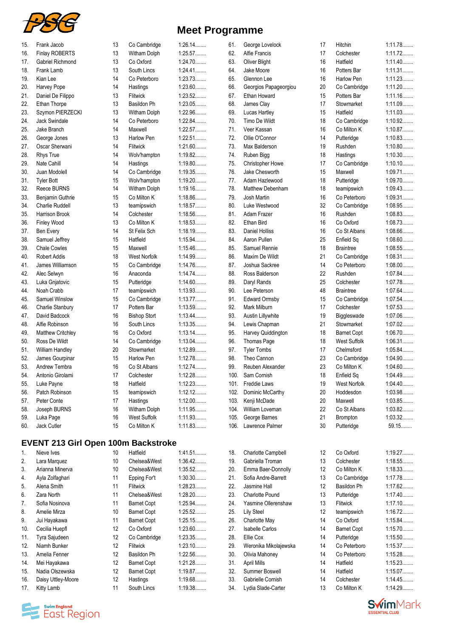

| 15. | Frank Jacob            | 13 | Co Cambridge        |
|-----|------------------------|----|---------------------|
| 16. | <b>Finlay ROBERTS</b>  | 13 | Witham Dolph        |
| 17. | Gabriel Richmond       | 13 | Co Oxford           |
| 18. | Frank Lamb             | 13 | South Lincs         |
| 19. | Kian Lee               | 14 | Co Peterboro        |
| 20. | Harvey Pope            | 14 | Hastings            |
| 21. | Daniel De Filippo      | 13 | Flitwick            |
| 22. | Ethan Thorpe           | 13 | Basildon Ph         |
| 23. | Szymon PIERZECKI       | 13 | Witham Dolph        |
| 24. | <b>Jack Swindale</b>   | 14 | Co Peterboro        |
| 25. | Jake Branch            | 14 | Maxwell             |
| 26. | George Jones           | 13 | <b>Harlow Pen</b>   |
| 27. | Oscar Sherwani         | 14 | Flitwick            |
| 28. | <b>Rhys True</b>       | 14 | Wolv'hampton        |
| 29. | Nate Cahill            | 14 | Hastings            |
| 30. | Juan Modolell          | 14 | Co Cambridge        |
| 31. | <b>Tvler Bott</b>      | 15 | Wolv'hampton        |
| 32. | Reece BURNS            | 14 | Witham Dolph        |
| 33. | Benjamin Guthrie       | 15 | Co Milton K         |
| 34. | <b>Charlie Ruddell</b> | 13 | teamipswich         |
| 35. | <b>Harrison Brook</b>  | 14 | Colchester          |
| 36. | <b>Finley Wood</b>     | 13 | Co Milton K         |
| 37. | Ben Every              | 14 | St Felix Sch        |
| 38. | Samuel Jeffrey         | 15 | Hatfield            |
| 39. | Chale Cowles           | 15 | Maxwell             |
| 40. | <b>Robert Addis</b>    | 18 | <b>West Norfolk</b> |
| 41. | James Williamson       | 15 | Co Cambridge        |
| 42. | Alec Selwyn            | 16 | Anaconda            |
| 43. | Luka Gnjatovic         | 15 | Putteridge          |
| 44. | Noah Crabb             | 17 | teamipswich         |
| 45. | Samuel Winslow         | 15 | Co Cambridge        |
| 46. | Charlie Stanbury       | 17 | Potters Bar         |
| 47. | David Badcock          | 16 | <b>Bishop Stort</b> |
| 48. | Alfie Robinson         | 16 | South Lincs         |
| 49. | Matthew Critchley      | 16 | Co Oxford           |
| 50. | Ross De Wildt          | 14 | Co Cambridge        |
| 51. | William Handley        | 20 | Stowmarket          |
| 52. | James Gourpinar        | 15 | Harlow Pen          |
| 53. | Andrew Tembra          | 16 | Co St Albans        |
| 54. | Antonio Girolami       | 17 | Colchester          |
| 55. |                        | 18 | Hatfield            |
|     | Luke Payne             |    |                     |
| 56. | Patch Robinson         | 15 | teamipswich         |
| 57. | Peter Conte            | 17 | Hastings            |
| 58. | Joseph BURNS           | 16 | Witham Dolph        |
| 59. | Luka Page              | 16 | <b>West Suffolk</b> |
| 60. | Jack Cutler            | 15 | Co Milton K         |

## **EVENT 213 Girl Open 100m Backstroke**

| 1.  | Nieve Ives           | 10 | Hatfield           | 1:41.51   |
|-----|----------------------|----|--------------------|-----------|
| 2.  | Lara Marquez         | 10 | Chelsea&West       | 1:36.42   |
| 3.  | Arianna Minerva      | 10 | Chelsea&West       | 1:35.52   |
| 4.  | Ayla Zolfaghari      | 11 | Epping For't       | 1:30.30   |
| 5.  | Alena Smith          | 11 | Flitwick           | 1:28.23   |
| 6.  | Zara North           | 11 | Chelsea&West       | $1:28.20$ |
| 7.  | Sofia Nosinova       | 11 | <b>Barnet Copt</b> | 1:25.94   |
| 8.  | Amelie Mirza         | 10 | <b>Barnet Copt</b> | 1:25.52   |
| 9.  | Jui Hayakawa         | 11 | <b>Barnet Copt</b> | 1:25.15   |
| 10. | Cecilia Huepfl       | 12 | Co Oxford          | $1:23.60$ |
| 11. | <b>Tyra Sajudeen</b> | 12 | Co Cambridge       | 1:23.35   |
| 12. | Niamh Bunker         | 12 | <b>Flitwick</b>    | $1:23.10$ |
| 13. | Amelia Fenner        | 12 | Basildon Ph        | 1:22.56   |
| 14. | Mei Hayakawa         | 12 | <b>Barnet Copt</b> | 1:21.28   |
| 15. | Nadia Olszewska      | 12 | <b>Barnet Copt</b> | 1:19.87   |
| 16. | Daisy Uttley-Moore   | 12 | Hastings           | 1:19.68   |
| 17. | Kitty Lamb           | 11 | South Lincs        | 1:19.38   |

## **Meet Programme**

1:26.14........ 1:25.57........  $1:24.70...$  $1:24.41...$ 1:23.73........ 1:23.60........  $1:23.52...$ 1:23.05........ 1:22.96........  $1:22.84...$ 1:22.57........ 1:22.51........ 1:21.60........ 1:19.82........ 1:19.80........ 1:19.35........ 1:19.20........ 1:19.16........ 1:18.86........ 1:18.57........ 1:18.56........ 1:18.53........ 1:18.19........ 1:15.94........ 1:15.46........ 1:14.99........ 1:14.76........  $1:14.74...$  $1:14.60...$ 1:13.93........ 1:13.77........ 1:13.59........  $1:13.44...$  $1:13.35...$  $1:13.14...$  $1:13.04...$ 1:12.89........  $1:12.78...$  $1:12.74...$  $1:12.28...$ 1:12.23........ 1:12.12........ 1:12.00........  $1:11.95...$  $1:11.93...$  $1:11.83...$ 

| 61.  | George Lovelock        | 17 | Hitchin             | 1:11.78   |
|------|------------------------|----|---------------------|-----------|
| 62.  | Alfie Francis          | 17 | Colchester          | 1:11.72   |
| 63.  | <b>Oliver Blight</b>   | 16 | Hatfield            | 1:11.40   |
| 64.  | Jake Moore             | 16 | Potters Bar         | 1:11.31   |
| 65.  | Glennon Lee            | 16 | <b>Harlow Pen</b>   | 1:11.23   |
| 66.  | Georgios Papageorgiou  | 20 | Co Cambridge        | 1:11.20   |
| 67.  | Ethan Howard           | 15 | Potters Bar         | $1:11.16$ |
| 68.  | James Clay             | 17 | Stowmarket          | 1:11.09   |
| 69.  | Lucas Hartley          | 15 | Hatfield            | 1:11.03   |
| 70.  | Timo De Wildt          | 18 | Co Cambridge        | 1:10.92   |
|      |                        |    |                     |           |
| 71.  | Veer Kassan            | 16 | Co Milton K         | 1:10.87   |
| 72.  | Ollie O'Connor         | 14 | Putteridge          | 1:10.83   |
| 73.  | Max Balderson          | 19 | Rushden             | 1:10.80   |
| 74.  | Ruben Bigg             | 18 | Hastings            | 1:10.30   |
| 75.  | Christopher Howe       | 17 | Co Cambridge        | $1:10.10$ |
| 76.  | Jake Chesworth         | 15 | Maxwell             | 1:09.71   |
| 77.  | Adam Hazlewood         | 18 | Putteridge          | $1:09.70$ |
| 78.  | Matthew Debenham       | 18 | teamipswich         | 1:09.43   |
| 79.  | Josh Martin            | 16 | Co Peterboro        | 1:09.31   |
| 80.  | Luke Westwood          | 32 | Co Cambridge        | 1:08.95   |
| 81.  | Adam Frazer            | 16 | Rushden             | 1:08.83   |
| 82.  | Ethan Bird             | 16 | Co Oxford           | 1:08.73   |
| 83.  | <b>Daniel Holliss</b>  | 16 | Co St Albans        | 1:08.66   |
| 84.  | Aaron Pullen           | 25 | Enfield Sq          | 1:08.60   |
|      |                        |    |                     |           |
| 85.  | Samuel Rennie          | 18 | <b>Braintree</b>    | 1:08.55   |
| 86.  | Maxim De Wildt         | 21 | Co Cambridge        | 1:08.31   |
| 87.  | Joshua Sackree         | 14 | Co Peterboro        | $1:08.00$ |
| 88.  | Ross Balderson         | 22 | Rushden             | 1:07.84   |
| 89.  | Daryl Rands            | 25 | Colchester          | 1:07.78   |
| 90.  | Lee Peterson           | 48 | <b>Braintree</b>    | 1:07.64   |
| 91.  | <b>Edward Ormsby</b>   | 15 | Co Cambridge        | 1:07.54   |
| 92.  | Mark Milburn           | 17 | Colchester          | 1:07.53   |
| 93.  | Austin Lillywhite      | 19 | Biggleswade         | $1:07.06$ |
| 94.  | Lewis Chapman          | 21 | Stowmarket          | 1:07.02   |
| 95.  | Harvey Quiddington     | 18 | <b>Barnet Copt</b>  | 1:06.70   |
| 96.  | Thomas Page            | 18 | <b>West Suffolk</b> | 1:06.31   |
| 97.  | <b>Tyler Tombs</b>     | 17 | Chelmsford          | 1:05.84   |
| 98.  | Theo Cannon            | 23 | Co Cambridge        | 1:04.90   |
| 99.  | Reuben Alexander       | 23 | Co Milton K         | 1:04.60   |
| 100. | Sam Cornish            |    |                     | 1:04.49   |
|      |                        | 18 | Enfield Sq          |           |
| 101. | Freddie Laws           | 19 | West Norfolk        | 1:04.40   |
| 102. | Dominic McCarthy       | 20 | Hoddesdon           | 1:03.98   |
| 103. | Kenji McDade           | 20 | Maxwell             | 1:03.85   |
| 104. | William Loveman        | 22 | Co St Albans        | 1:03.82   |
| 105. | George Barnes          | 21 | Brompton            | 1:03.32   |
| 106. | Lawrence Palmer        | 30 | Putteridge          | 59.15     |
|      |                        |    |                     |           |
|      |                        |    |                     |           |
| 18.  | Charlotte Campbell     | 12 | Co Oxford           | 1:19.27   |
| 19.  | Gabriella Troman       | 13 | Colchester          | 1:18.55   |
| 20.  | Emma Baer-Donnolly     | 12 | Co Milton K         | 1:18.33   |
| 21.  | Sofia Andre-Barrett    | 13 | Co Cambridge        | 1:17.78   |
| 22.  | Jasmine Hall           | 12 | Basildon Ph         | 1:17.62   |
|      |                        |    |                     |           |
| 23.  | <b>Charlotte Pound</b> | 13 | Putteridge          | $1:17.40$ |
| 24.  | Yasmine Ollerenshaw    | 13 | Flitwick            | 1:17.10   |
| 25.  | <b>Lily Steel</b>      | 12 | teamipswich         | 1:16.72   |
| 26.  | Charlotte May          | 14 | Co Oxford           | 1:15.84   |
| 27.  | <b>Isabelle Carlos</b> | 14 | <b>Barnet Copt</b>  | 1:15.70   |
| 28.  | Ellie Cox              | 14 | Putteridge          | 1:15.50   |
| 29.  | Weronika Mikolajewska  | 14 | Co Peterboro        | 1:15.37   |
| 30.  | Olivia Mahoney         | 14 | Co Peterboro        | 1:15.28   |
| 31.  | April Mills            | 14 | Hatfield            | 1:15.23   |
| 32.  | Summer Boswell         | 14 | Hatfield            | 1:15.07   |
| 33.  | Gabrielle Cornish      | 14 | Colchester          | 1:14.45   |
| 34.  | Lydia Slade-Carter     | 13 | Co Milton K         | 1:14.29   |



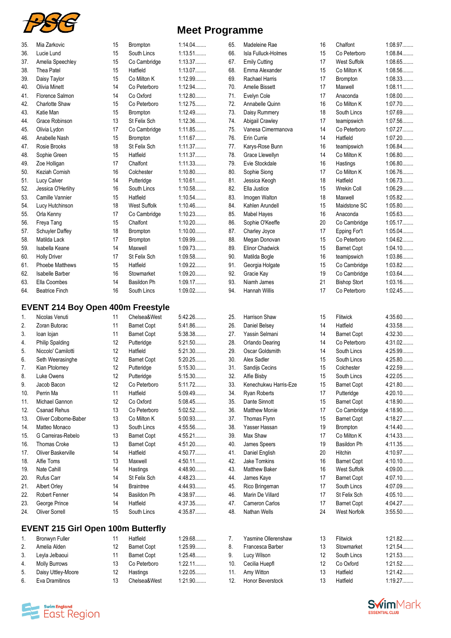

|  | <b>Meet Programme</b> |  |
|--|-----------------------|--|
|--|-----------------------|--|

| 35. | Mia Zarkovic                              | 15 | <b>Brompton</b>     | 1:14.04   | 65. | Madeleine Rae          | 16 | Chalfont            | 1:08.97   |
|-----|-------------------------------------------|----|---------------------|-----------|-----|------------------------|----|---------------------|-----------|
| 36. | Lucie Lund                                | 15 | South Lincs         | 1:13.51   | 66. | Isla Fulluck-Holmes    | 15 | Co Peterboro        | 1:08.84   |
| 37. | Amelia Speechley                          | 15 | Co Cambridge        | 1:13.37   | 67. | <b>Emily Cutting</b>   | 17 | West Suffolk        | 1:08.65   |
| 38. | Thea Patel                                | 15 | Hatfield            | 1:13.07   | 68. | Emma Alexander         | 15 | Co Milton K         | 1:08.56   |
| 39. | Daisy Taylor                              | 15 | Co Milton K         | 1:12.99   | 69. | Rachael Harris         | 17 | <b>Brompton</b>     | 1:08.33   |
| 40. | <b>Olivia Minett</b>                      | 14 | Co Peterboro        | 1:12.94   | 70. | Amelie Bissett         | 17 | Maxwell             | 1:08.11   |
| 41. | Florence Salmon                           | 14 | Co Oxford           | 1:12.80   | 71. | Evelyn Cole            | 17 | Anaconda            | $1:08.00$ |
| 42. | <b>Charlotte Shaw</b>                     | 15 | Co Peterboro        | 1:12.75   | 72. | Annabelle Quinn        | 16 | Co Milton K         | 1:07.70   |
| 43. | Katie Man                                 | 15 | <b>Brompton</b>     | 1:12.49   | 73. | Daisy Rummery          | 18 | South Lincs         | 1:07.69   |
| 44. | Grace Robinson                            | 13 | St Felix Sch        | 1:12.36   | 74. | Abigail Crawley        | 17 | teamipswich         | 1:07.56   |
| 45. | Olivia Lydon                              | 17 | Co Cambridge        | 1:11.85   | 75. | Vanesa Cimermanova     | 14 | Co Peterboro        | 1:07.27   |
| 46. | Anabelle Nash                             | 15 | <b>Brompton</b>     | 1:11.67   | 76. | Erin Currie            | 14 | Hatfield            | $1:07.20$ |
| 47. | Rosie Brooks                              | 18 | St Felix Sch        | 1:11.37   | 77. | Karys-Rose Bunn        | 16 | teamipswich         | 1:06.84   |
| 48. | Sophie Green                              | 15 | Hatfield            | 1:11.37   | 78. | Grace Llewellyn        | 14 | Co Milton K         | 1:06.80   |
| 49. | Zoe Holligan                              | 17 | Chalfont            | 1:11.33   | 79. | Evie Stockdale         | 16 | Hastings            | 1:06.80   |
| 50. | Keziah Cornish                            | 16 | Colchester          | 1:10.80   | 80. | Sophie Siong           | 17 | Co Milton K         | 1:06.76   |
| 51. | Lucy Calver                               | 14 | Putteridge          | 1:10.61   | 81. | Jessica Keogh          | 18 | Hatfield            | 1:06.73   |
| 52. | Jessica O'Herlihy                         | 16 | South Lincs         | 1:10.58   | 82. | Ella Justice           | 15 | Wrekin Coll         | 1:06.29   |
| 53. | Camille Vannier                           | 15 | Hatfield            | 1:10.54   | 83. | Imogen Walton          | 18 | Maxwell             | 1:05.82   |
| 54. | Lucy Hutchinson                           | 18 | <b>West Suffolk</b> | 1:10.46   | 84. | Kahlen Arundell        | 15 | Maidstone SC        | 1:05.80   |
| 55. | Orla Kenny                                | 17 | Co Cambridge        | 1:10.23   | 85. | <b>Mabel Hayes</b>     | 16 | Anaconda            | 1:05.63   |
| 56. | Freya Tang                                | 15 | Chalfont            | $1:10.20$ | 86. | Sophie O'Keeffe        | 20 | Co Cambridge        | 1:05.17   |
| 57. | Schuyler Daffey                           | 18 | <b>Brompton</b>     | $1:10.00$ | 87. | Charley Joyce          | 17 | Epping For't        | 1:05.04   |
| 58. | Matilda Lack                              | 17 | <b>Brompton</b>     | 1:09.99   | 88. | Megan Donovan          | 15 | Co Peterboro        | 1:04.62   |
| 59. | Isabella Keane                            | 14 | Maxwell             | 1:09.73   | 89. | <b>Elinor Chadwick</b> | 15 | <b>Barnet Copt</b>  | 1:04.10   |
| 60. | <b>Holly Driver</b>                       | 17 | St Felix Sch        | 1:09.58   | 90. | Matilda Bogle          | 16 | teamipswich         | 1:03.86   |
| 61. | Phoebe Matthews                           | 15 | Hatfield            | 1:09.22   | 91. | Georgia Holgate        | 15 | Co Cambridge        | 1:03.82   |
| 62. | Isabelle Barber                           | 16 | Stowmarket          | $1:09.20$ | 92. | Gracie Kay             | 19 | Co Cambridge        | 1:03.64   |
| 63. | Ella Coombes                              | 14 | Basildon Ph         | 1:09.17   | 93. | Niamh James            | 21 | <b>Bishop Stort</b> | 1:03.16   |
| 64. | <b>Beatrice Finch</b>                     | 16 | South Lincs         | 1:09.02   | 94. | Hannah Willis          | 17 | Co Peterboro        | 1:02.45   |
|     |                                           |    |                     |           |     |                        |    |                     |           |
|     | <b>EVENT 214 Boy Open 400m Freestyle</b>  |    |                     |           |     |                        |    |                     |           |
| 1.  | Nicolas Venuti                            | 11 | Chelsea&West        | 5:42.26   | 25. | Harrison Shaw          | 15 | Flitwick            | $4:35.60$ |
| 2.  | Zoran Butorac                             | 11 | <b>Barnet Copt</b>  | 5:41.86   | 26. | Daniel Belsey          | 14 | Hatfield            | 4:33.58   |
| 3.  | loan lojan                                | 11 | <b>Barnet Copt</b>  | 5:38.38   | 27. | Yassin Selmani         | 14 | <b>Barnet Copt</b>  | 4:32.30   |
| 4.  | <b>Philip Spalding</b>                    | 12 | Putteridge          | $5:21.50$ | 28. | Orlando Dearing        | 14 | Co Peterboro        | 4:31.02   |
| 5.  | Niccolo' Camilotti                        | 12 | Hatfield            | 5:21.30   | 29. | Oscar Goldsmith        | 14 | South Lincs         | 4:25.99   |
| 6.  | Seth Weerasinghe                          | 12 | <b>Barnet Copt</b>  | $5:20.25$ | 30. | Alex Sadler            | 15 | South Lincs         | 4:25.80   |
| 7.  | Kian Ptolomey                             | 12 | Putteridge          | 5:15.30   | 31. | Sandijs Cecins         | 15 | Colchester          | 4:22.59   |
| ୪.  | Luke Owens                                | 12 | Putteridge          | 5:15.30   | 32. | Alfie Bisby            | 15 | South Lincs         | 4:22.05   |
| 9.  | Jacob Bacon                               | 12 | Co Peterboro        | 5:11.72   | 33. | Kenechukwu Harris-Eze  | 15 | <b>Barnet Copt</b>  | 4:21.80   |
| 10. | Perrin Ma                                 | 11 | Hatfield            | 5:09.49   | 34. | Ryan Roberts           | 17 | Putteridge          | 4:20.10   |
| 11. | Michael Gannon                            | 12 | Co Oxford           | 5:08.45   | 35. | Dante Sinnott          | 15 | <b>Barnet Copt</b>  | 4:18.90   |
| 12. | <b>Csanad Rehus</b>                       | 13 | Co Peterboro        | 5:02.52   | 36. | Matthew Monie          | 17 | Co Cambridge        | 4:18.90   |
| 13. | Oliver Colborne-Baber                     | 13 | Co Milton K         | 5:00.93   | 37. | Thomas Flynn           | 15 | <b>Barnet Copt</b>  | 4:18.27   |
| 14. | Matteo Monaco                             | 13 | South Lincs         | 4:55.56   | 38. | Yasser Hassan          | 19 | Brompton            | 4:14.40   |
| 15. | G Carreiras-Rebelo                        | 13 | <b>Barnet Copt</b>  | 4:55.21   | 39. | Max Shaw               | 17 | Co Milton K         | 4:14.33   |
| 16. | Thomas Croke                              | 13 | <b>Barnet Copt</b>  | 4:51.20   | 40. | James Speers           | 19 | Basildon Ph         | 4:11.35   |
| 17. | Oliver Baskerville                        | 14 | Hatfield            | 4:50.77   | 41. | Daniel English         | 20 | Hitchin             | 4:10.97   |
| 18. | Alfie Toms                                | 13 | Maxwell             | $4:50.11$ | 42. | Jake Tomkins           | 16 | <b>Barnet Copt</b>  | 4:10.10   |
| 19. | Nate Cahill                               | 14 | Hastings            | 4:48.90   | 43. | Matthew Baker          | 16 | <b>West Suffolk</b> | 4:09.00   |
| 20. | Rufus Carr                                | 14 | St Felix Sch        | 4:48.23   | 44. | James Kaye             | 17 | <b>Barnet Copt</b>  | 4:07.10   |
| 21. | Albert Orley                              | 14 | <b>Braintree</b>    | 4:44.93   | 45. | Rico Bringeman         | 17 | South Lincs         | 4:07.09   |
| 22. | Robert Fenner                             | 14 | Basildon Ph         | 4:38.97   | 46. | Marin De Villard       | 17 | St Felix Sch        | 4:05.10   |
| 23. | George Prince                             | 14 | Hatfield            | 4:37.35   | 47. | Cameron Carlos         | 17 | <b>Barnet Copt</b>  | 4:04.27   |
| 24. | Oliver Sorrell                            | 15 | South Lincs         | 4:35.87   | 48. | Nathan Wells           | 24 | West Norfolk        | $3:55.50$ |
|     |                                           |    |                     |           |     |                        |    |                     |           |
|     | <b>EVENT 215 Girl Open 100m Butterfly</b> |    |                     |           |     |                        |    |                     |           |
| 1.  | <b>Bronwyn Fuller</b>                     | 11 | Hatfield            | 1:29.68   | 7.  | Yasmine Ollerenshaw    | 13 | Flitwick            | 1:21.82   |
| 2.  | Amelia Alden                              | 12 | <b>Barnet Copt</b>  | 1:25.99   | 8.  | Francesca Barber       | 13 | Stowmarket          | 1:21.54   |

3. Leyla Jelbaoui 11 Barnet Copt 1:25.48........ 4. Molly Burrows 13 Co Peterboro 1:22.11........ 5. Daisy Uttley-Moore 12 Hastings 1:22.05........ 6. Eva Dramitinos 13 Chelsea&West 1:21.90........



9. Lucy Wilson 12 South Lincs 1:21.53........ 10. Cecilia Huepfl 12 Co Oxford 1:21.52........ 11. Amy Witton 13 Hatfield 1:21.42........ 12. Honor Beverstock 13 Hatfield 1:19.27........

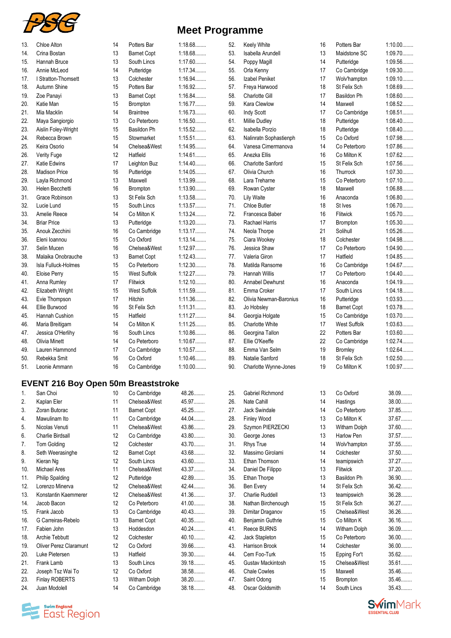

| <b>Meet Programme</b> |  |  |  |
|-----------------------|--|--|--|
|-----------------------|--|--|--|

| 13. | <b>Chloe Alton</b>    | 14 | Potters Bar         | 1:18.68   |
|-----|-----------------------|----|---------------------|-----------|
| 14. | Crina Bostan          | 13 | <b>Barnet Copt</b>  | 1:18.68   |
| 15. | Hannah Bruce          | 13 | South Lincs         | 1:17.60   |
| 16. | Annie McLeod          | 14 | Putteridge          | 1:17.34   |
| 17. | I Stratton-Thomsett   | 13 | Colchester          | 1:16.94   |
| 18. | Autumn Shine          | 15 | Potters Bar         | 1:16.92   |
| 19. | Zoe Panayi            | 13 | <b>Barnet Copt</b>  | 1:16.84   |
| 20. | Katie Man             | 15 | Brompton            | 1:16.77   |
| 21. | Mia Macklin           | 14 | <b>Braintree</b>    | 1:16.73   |
| 22. | Maya Sangiorgio       | 13 | Co Peterboro        | 1:16.50   |
| 23. | Aislin Foley-Wright   | 15 | Basildon Ph         | 1:15.52   |
| 24. | Rebecca Brown         | 15 | Stowmarket          | 1:15.51   |
| 25. | Keira Osorio          | 14 | Chelsea&West        | 1:14.95   |
| 26. | Verity Fuge           | 12 | Hatfield            | 1:14.61   |
| 27. | <b>Katie Edwins</b>   | 17 | Leighton Buz        | 1:14.40   |
| 28. | <b>Madison Price</b>  | 16 | Putteridge          | 1:14.05   |
| 29. | Layla Richmond        | 13 | Maxwell             | 1:13.99   |
| 30. | Helen Becchetti       | 16 | Brompton            | 1:13.90   |
| 31. | Grace Robinson        | 13 | St Felix Sch        | 1:13.58   |
| 32. | Lucie Lund            | 15 | South Lincs         | 1:13.57   |
| 33. | Amelie Reece          | 14 | Co Milton K         | 1:13.24   |
| 34. | <b>Briar Price</b>    | 13 | Putteridge          | 1:13.20   |
| 35. | Anouk Zecchini        | 16 | Co Cambridge        | 1:13.17   |
| 36. | Eleni Ioannou         | 15 | Co Oxford           | 1:13.14   |
| 37. | Selin Mucen           | 16 | Chelsea&West        | 1:12.97   |
| 38. | Malaika Onobrauche    | 13 | <b>Barnet Copt</b>  | 1:12.43   |
| 39. | Isla Fulluck-Holmes   | 15 | Co Peterboro        | 1:12.30   |
| 40. | <b>Eloise Perry</b>   | 15 | <b>West Suffolk</b> | 1:12.27   |
| 41. | Anna Rumley           | 17 | Flitwick            | 1:12.10   |
| 42. | Elizabeth Wright      | 15 | <b>West Suffolk</b> | 1:11.59   |
| 43. | Evie Thompson         | 17 | <b>Hitchin</b>      | 1:11.36   |
| 44. | Ellie Burwood         | 16 | St Felix Sch        | 1:11.31   |
| 45. | <b>Hannah Cushion</b> | 15 | Hatfield            | 1:11.27   |
| 46. | Maria Breitigam       | 14 | Co Milton K         | 1:11.25   |
| 47. | Jessica O'Herlihy     | 16 | South Lincs         | 1:10.86   |
| 48. | Olivia Minett         | 14 | Co Peterboro        | 1:10.67   |
| 49. | Lauren Hammond        | 17 | Co Cambridge        | 1:10.57   |
| 50. | Rebekka Smit          | 16 | Co Oxford           | 1:10.46   |
| 51. | Leonie Ammann         | 16 | Co Cambridge        | $1:10.00$ |

#### **EVENT 216 Boy Open 50m Breaststroke**

| 1.  | San Choi                      | 10 | Co Cambridge       | 48.26   |
|-----|-------------------------------|----|--------------------|---------|
| 2.  | Kaplan Eler                   | 11 | Chelsea&West       | 45.97   |
| 3.  | Zoran Butorac                 | 11 | <b>Barnet Copt</b> | 45.25   |
| 4.  | Mawulinam Ito                 | 11 | Co Cambridge       | 44.04   |
| 5.  | Nicolas Venuti                | 11 | Chelsea&West       | 43.86   |
| 6.  | Charlie Birdsall              | 12 | Co Cambridge       | 43.80   |
| 7.  | Tom Golding                   | 12 | Colchester         | 43.70   |
| 8.  | Seth Weerasinghe              | 12 | <b>Barnet Copt</b> | 43.68   |
| 9.  | Kieran Ng                     | 12 | South Lincs        | 43.60   |
| 10. | Michael Ares                  | 11 | Chelsea&West       | 43.37   |
| 11. | <b>Philip Spalding</b>        | 12 | Putteridge         | 42.89   |
| 12. | Lorenzo Minerva               | 12 | Chelsea&West       | 42.44   |
| 13. | Konstantin Kaemmerer          | 12 | Chelsea&West       | 41.36   |
| 14. | Jacob Bacon                   | 12 | Co Peterboro       | $41.00$ |
| 15. | Frank Jacob                   | 13 | Co Cambridge       | 40.43   |
| 16. | G Carreiras-Rebelo            | 13 | <b>Barnet Copt</b> | 40.35   |
| 17. | Fabien John                   | 13 | Hoddesdon          | $40.24$ |
| 18. | <b>Archie Tebbutt</b>         | 12 | Colchester         | $40.10$ |
| 19. | <b>Oliver Perez Claramunt</b> | 12 | Co Oxford          | 39.66   |
| 20. | Luke Pietersen                | 13 | Hatfield           | 39.30   |
| 21. | Frank Lamb                    | 13 | South Lincs        | 39.18   |
| 22. | Joseph Tsz Wai To             | 12 | Co Oxford          | 38.58   |
| 23. | <b>Finlay ROBERTS</b>         | 13 | Witham Dolph       | 38.20   |
| 24. | Juan Modolell                 | 14 | Co Cambridge       | 38.18.  |

| 52. | Keely White              | 16 | Potters Bar         | $1:10.00$ |
|-----|--------------------------|----|---------------------|-----------|
| 53. | <b>Isabella Arundell</b> | 13 | Maidstone SC        | 1:09.70   |
| 54. | Poppy Magill             | 14 | Putteridge          | 1:09.56   |
| 55. | Orla Kenny               | 17 | Co Cambridge        | 1:09.30   |
| 56. | Izabel Peniket           | 17 | Wolv'hampton        | 1:09.10   |
| 57. | Freya Harwood            | 18 | St Felix Sch        | 1:08.69   |
| 58. | <b>Charlotte Gill</b>    | 17 | Basildon Ph         | 1:08.60   |
| 59. | Kara Clewlow             | 14 | Maxwell             | 1:08.52   |
| 60. | Indy Scott               | 17 | Co Cambridge        | 1:08.51   |
| 61. | Millie Dudley            | 18 | Putteridge          | 1:08.40   |
| 62. | <b>Isabella Porzio</b>   | 18 | Putteridge          | 1:08.40   |
| 63. | Nalinratn Sophastienph   | 15 | Co Oxford           | 1:07.98   |
| 64. | Vanesa Cimermanova       | 14 | Co Peterboro        | 1:07.86   |
| 65. | Anezka Ellis             | 16 | Co Milton K         | 1:07.62   |
| 66. | <b>Charlotte Sanford</b> | 15 | St Felix Sch        | 1:07.56   |
| 67. | Olivia Church            | 16 | Thurrock            | 1:07.30   |
| 68. | Lara Treharne            | 15 | Co Peterboro        | 1:07.10   |
| 69. |                          | 18 | Maxwell             | 1:06.88   |
| 70. | Rowan Cyster             | 16 | Anaconda            | 1:06.80   |
|     | Lily Waite               |    |                     |           |
| 71. | <b>Chloe Butler</b>      | 18 | St Ives             | 1:06.70   |
| 72. | Francesca Baber          | 16 | Flitwick            | 1:05.70   |
| 73. | Rachael Harris           | 17 | Brompton            | 1:05.30   |
| 74. | Neola Thorpe             | 21 | Solihull            | 1:05.26   |
| 75. | Ciara Wookey             | 18 | Colchester          | 1:04.98   |
| 76. | Jessica Shaw             | 17 | Co Peterboro        | 1:04.90   |
| 77. | Valeria Giron            | 17 | Hatfield            | 1:04.85   |
| 78. | Matilda Ransome          | 16 | Co Cambridge        | 1:04.67   |
| 79. | <b>Hannah Willis</b>     | 17 | Co Peterboro        | 1:04.40   |
| 80. | <b>Annabel Dewhurst</b>  | 16 | Anaconda            | 1:04.19   |
| 81. | Emma Croker              | 17 | South Lincs         | 1:04.18   |
| 82. | Olivia Newman-Baronius   | 16 | Putteridge          | 1:03.93   |
| 83. | Jo Hobsley               | 18 | <b>Barnet Copt</b>  | 1:03.78   |
| 84. | Georgia Holgate          | 15 | Co Cambridge        | 1:03.70   |
| 85. | <b>Charlotte White</b>   | 17 | <b>West Suffolk</b> | 1:03.63   |
| 86. | Georgina Tallon          | 22 | Potters Bar         | $1:03.60$ |
| 87. | Ellie O'Keeffe           | 22 | Co Cambridge        | 1:02.74   |
| 88. | Emma Van Selm            | 19 | <b>Bromley</b>      | 1:02.64   |
| 89. | Natalie Sanford          | 18 | St Felix Sch        | 1:02.50   |
| 90. | Charlotte Wynne-Jones    | 19 | Co Milton K         | 1:00.97   |
|     |                          |    |                     |           |
| 25. | Gabriel Richmond         | 13 | Co Oxford           | 38.09     |
| 26. | Nate Cahill              | 14 | Hastings            | 38.00     |
| 27. | <b>Jack Swindale</b>     | 14 | Co Peterboro        | 37.85     |
| 28. | Finley Wood              | 13 | Co Milton K         | 37.67     |
| 29. | Szymon PIERZECKI         | 13 | Witham Dolph        | 37.60     |
| 30. | George Jones             | 13 | Harlow Pen          | 37.57     |
| 31. | <b>Rhys True</b>         | 14 | Wolv'hampton        | 37.55     |
| 32. | Massimo Girolami         | 14 | Colchester          | 37.50     |
|     | Ethan Thomson            |    |                     |           |
| 33. |                          | 14 | teamipswich         | 37.27     |
| 34. | Daniel De Filippo        | 13 | Flitwick            | 37.20     |
| 35. | Ethan Thorpe             | 13 | Basildon Ph         | 36.90     |
| 36. | Ben Every                | 14 | St Felix Sch        | 36.42     |
| 37. | Charlie Ruddell          | 13 | teamipswich         | 36.28     |
| 38. | Nathan Birchenough       | 15 | St Felix Sch        | 36.27     |

| 59. | Kara Clewlow             | 14       | Maxwell             | 1:08.52           |
|-----|--------------------------|----------|---------------------|-------------------|
| 60. | Indy Scott               | 17       | Co Cambridge        | 1:08.51           |
| 61. | Millie Dudley            | 18       | Putteridge          | 1:08.40           |
| 62. | <b>Isabella Porzio</b>   | 18       | Putteridge          | 1:08.40           |
| 63. | Nalinratn Sophastienph   | 15       | Co Oxford           | $1:07.98$         |
| 64. | Vanesa Cimermanova       | 14       | Co Peterboro        | 1:07.86           |
| 65. | Anezka Ellis             | 16       | Co Milton K         | 1:07.62           |
| 66. | <b>Charlotte Sanford</b> | 15       | St Felix Sch        | 1:07.56           |
| 67. | Olivia Church            | 16       | Thurrock            | 1:07.30           |
| 68. | Lara Treharne            | 15       | Co Peterboro        | 1:07.10           |
| 69. | Rowan Cyster             | 18       | Maxwell             | $1:06.88$         |
| 70. | <b>Lily Waite</b>        | 16       | Anaconda            | $1:06.80$         |
| 71. | Chloe Butler             | 18       | St Ives             | 1:06.70           |
| 72. | Francesca Baber          | 16       | Flitwick            | 1:05.70           |
| 73. | Rachael Harris           | 17       | Brompton            | 1:05.30           |
| 74. | Neola Thorpe             | 21       | Solihull            | 1:05.26           |
| 75. | Ciara Wookey             | 18       | Colchester          | 1:04.98           |
| 76. | Jessica Shaw             | 17       | Co Peterboro        | 1:04.90           |
|     | Valeria Giron            |          |                     |                   |
| 77. |                          | 17       | Hatfield            | 1:04.85           |
| 78. | Matilda Ransome          | 16       | Co Cambridge        | 1:04.67           |
| 79. | <b>Hannah Willis</b>     | 17       | Co Peterboro        | 1:04.40           |
| 80. | <b>Annabel Dewhurst</b>  | 16       | Anaconda            | 1:04.19           |
| 81. | Emma Croker              | 17       | South Lincs         | 1:04.18           |
| 82. | Olivia Newman-Baronius   | 16       | Putteridge          | $1:03.93$         |
| 83. | Jo Hobsley               | 18       | <b>Barnet Copt</b>  | 1:03.78           |
| 84. | Georgia Holgate          | 15       | Co Cambridge        | 1:03.70           |
| 85. | Charlotte White          | 17       | <b>West Suffolk</b> | $1:03.63$         |
| 86. | Georgina Tallon          | 22       | Potters Bar         | $1:03.60$         |
| 87. | Ellie O'Keeffe           | 22       | Co Cambridge        | 1:02.74           |
| 88. | Emma Van Selm            | 19       | <b>Bromley</b>      | 1:02.64           |
| 89. | Natalie Sanford          | 18       | St Felix Sch        | 1:02.50           |
| 90. | Charlotte Wynne-Jones    | 19       | Co Milton K         | 1:00.97           |
| 25. | Gabriel Richmond         | 13       | Co Oxford           | 38.09             |
| 26. | Nate Cahill              | 14       | Hastings            | 38.00             |
| 27. | Jack Swindale            | 14       | Co Peterboro        | 37.85             |
| 28. | Finley Wood              | 13       | Co Milton K         | 37.67             |
| 29. | Szymon PIERZECKI         | 13       | Witham Dolph        | 37.60             |
| 30. | George Jones             | 13       | Harlow Pen          | 37.57             |
| 31. | Rhys True                | 14       | Wolv'hampton        | 37.55             |
| 32. | Massimo Girolami         | 14       | Colchester          | 37.50             |
| 33. | Ethan Thomson            | 14       | teamipswich         | 37.27             |
| 34. | Daniel De Filippo        | 13       | <b>Flitwick</b>     | 37.20             |
| 35. | Ethan Thorpe             | 13       | Basildon Ph         | 36.90             |
| 36. | Ben Every                | 14       | St Felix Sch        | 36.42             |
| 37. | Charlie Ruddell          | 13       | teamipswich         | 36.28             |
| 38. | Nathan Birchenough       | 15       | St Felix Sch        | 36.27             |
| 39. | Dimitar Draganov         | 15       | Chelsea&West        | 36.26             |
| 40. | Benjamin Guthrie         | 15       | Co Milton K         | 36.16             |
| 41. | Reece BURNS              | 14       | Witham Dolph        | 36.09             |
| 42. |                          |          |                     |                   |
| 43. | Jack Stapleton           | 15<br>14 | Co Peterboro        | 36.00<br>$36.00$  |
|     | Harrison Brook           |          | Colchester          |                   |
| 44. | Cem Foo-Turk             | 15       | Epping For't        | $35.62$           |
| 45. | Gustav Mackintosh        | 15       | Chelsea&West        | 35.61             |
| 46. | <b>Chale Cowles</b>      | 15       | Maxwell             | 35.46             |
| 47. | Saint Odong              | 15       | Brompton            | 35.46             |
| 48. | Oscar Goldsmith          | 14       | South Lincs         | 35.43             |
|     |                          |          |                     | $\mathsf{n}$ Mark |

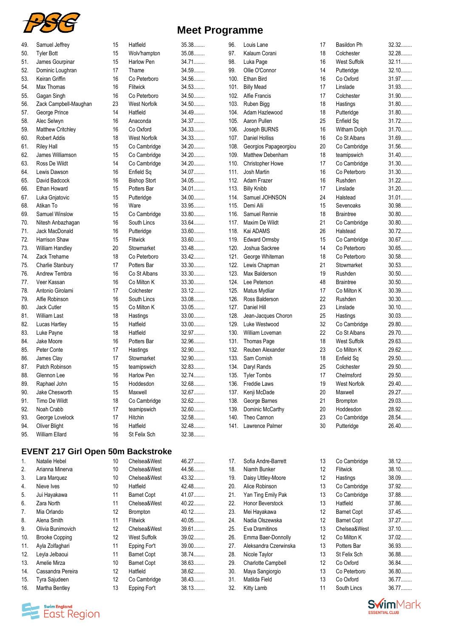

| 49. | Samuel Jeffrey           | 15 | Hatfield            | 35.38   |
|-----|--------------------------|----|---------------------|---------|
| 50. | <b>Tyler Bott</b>        | 15 | Wolv'hampton        | 35.08   |
| 51. | James Gourpinar          | 15 | Harlow Pen          | 34.71   |
| 52. | Dominic Loughran         | 17 | Thame               | 34.59   |
| 53. | Keiran Griffin           | 16 | Co Peterboro        | 34.56   |
| 54. | Max Thomas               | 16 | Flitwick            | 34.53   |
| 55. | Gagan Singh              | 16 | Co Peterboro        | 34.50   |
| 56. | Zack Campbell-Maughan    | 23 | <b>West Norfolk</b> | 34.50   |
| 57. | George Prince            | 14 | Hatfield            | 34.49   |
| 58. | Alec Selwyn              | 16 | Anaconda            | 34.37   |
| 59. | <b>Matthew Critchley</b> | 16 | Co Oxford           | 34.33.  |
| 60. | <b>Robert Addis</b>      | 18 | <b>West Norfolk</b> | 34.33   |
| 61. | <b>Riley Hall</b>        | 15 | Co Cambridge        | 34.20   |
| 62. | James Williamson         | 15 | Co Cambridge        | 34.20   |
| 63. | Ross De Wildt            | 14 | Co Cambridge        | 34.20   |
| 64. | Lewis Dawson             | 16 | Enfield Sq          | 34.07   |
| 65. | David Badcock            | 16 | <b>Bishop Stort</b> | 34.05   |
| 66. | Ethan Howard             | 15 | Potters Bar         | 34.01   |
| 67. | Luka Gnjatovic           | 15 | Putteridge          | 34.00   |
| 68. | Atikan To                | 16 | Ware                | 33.95   |
| 69. | Samuel Winslow           | 15 | Co Cambridge        | 33.80   |
| 70. | Nitesh Anbazhagan        | 16 | South Lincs         | 33.64   |
| 71. | Jack MacDonald           | 16 | Putteridge          | 33.60   |
| 72. | Harrison Shaw            | 15 | Flitwick            | 33.60   |
| 73. | William Handley          | 20 | Stowmarket          | 33.48   |
| 74. | Zack Treharne            | 18 | Co Peterboro        | 33.42   |
| 75. | Charlie Stanbury         | 17 | Potters Bar         | 33.30   |
| 76. | Andrew Tembra            | 16 | Co St Albans        | 33.30   |
| 77. | Veer Kassan              | 16 | Co Milton K         | 33.30   |
| 78. | Antonio Girolami         | 17 | Colchester          | $33.12$ |
| 79. | Alfie Robinson           | 16 | South Lincs         | 33.08   |
| 80. | Jack Cutler              | 15 | Co Milton K         | 33.05   |
| 81. | <b>William Last</b>      | 18 | Hastings            | 33.00   |
| 82. | Lucas Hartley            | 15 | Hatfield            | $33.00$ |
| 83. | Luke Payne               | 18 | Hatfield            | 32.97   |
| 84. | Jake Moore               | 16 | Potters Bar         | 32.96   |
| 85. | Peter Conte              | 17 | Hastings            | 32.90   |
| 86. | James Clay               | 17 | Stowmarket          | 32.90   |
| 87. | Patch Robinson           | 15 | teamipswich         | 32.83   |
| 88. | Glennon Lee              | 16 | Harlow Pen          | 32.74   |
| 89. | Raphael John             | 15 | Hoddesdon           | 32.68   |
| 90. | Jake Chesworth           | 15 | Maxwell             | 32.67   |
| 91. | Timo De Wildt            | 18 | Co Cambridge        | 32.62   |
| 92. | Noah Crabb               | 17 | teamipswich         | 32.60   |
| 93. | George Lovelock          | 17 | Hitchin             | 32.58   |
| 94. | Oliver Blight            | 16 | Hatfield            | 32.48   |
| 95. | William Ellard           | 16 | St Felix Sch        | 32.38   |
|     |                          |    |                     |         |

# **EVENT 217 Girl Open 50m Backstroke**

| 1.  | Natalie Hebel         | 10                | Chelsea&West       | 46.27   |
|-----|-----------------------|-------------------|--------------------|---------|
| 2.  | Arianna Minerva       | 10                | Chelsea&West       | 44.56   |
| 3.  | Lara Marquez          | 10 <sup>1</sup>   | Chelsea&West       | 43.32   |
| 4.  | Nieve Ives            | 10                | Hatfield           | 42.48.  |
| 5.  | Jui Hayakawa          | 11                | <b>Barnet Copt</b> | 41.07   |
| 6.  | Zara North            | 11                | Chelsea&West       | $40.22$ |
| 7.  | Mia Orlando           | 12                | <b>Brompton</b>    | $40.12$ |
| 8.  | Alena Smith           | 11                | <b>Flitwick</b>    | 40.05   |
| 9.  | Olivia Bunimovich     | 12                | Chelsea&West       | 39.61   |
| 10. | <b>Brooke Copping</b> | $12 \overline{ }$ | West Suffolk       | 39.02   |
| 11. | Ayla Zolfaghari       | 11                | Epping For't       | $39.00$ |
| 12. | Leyla Jelbaoui        | 11                | <b>Barnet Copt</b> | 38.74   |
| 13. | Amelie Mirza          | 10                | <b>Barnet Copt</b> | 38.63   |
| 14. | Cassandra Pereira     | $12 \overline{ }$ | Hatfield           | 38.62   |
| 15. | Tyra Sajudeen         | 12                | Co Cambridge       | 38.43   |
| 16. | Martha Bentley        | 13                | Epping For't       | 38.13   |

## **Meet Programme**

35.38........ 35.08........ 34.71........ 34.59........ 34.56........ 34.53........ 34.50........ 34.50........ 34.49........ 34.37......... 34.33........ 34.33........ 34. 20........ 34. 20........ 34. 20........ 34.07......... 34.05........ 34.01........ 34.00........ 33. 95........ 33.80........ 33.64........ 33.60........ 33.60........ 33.48........ 33.42........ 33.30........ 33.30........ 33.30........ 33. 12......... 33.08........ 33.05........ 33.00........ 33.00........ 32.97......... 32.96........ 32.90........ 32.90........ 32.83........ 32.74........ 32.68........

32.38........

| 96.  | Louis Lane                           | 17 | Basildon Ph         | 32.32   |
|------|--------------------------------------|----|---------------------|---------|
| 97.  | Kalaum Corani                        | 18 | Colchester          | 32.28   |
| 98.  | Luka Page                            | 16 | <b>West Suffolk</b> | $32.11$ |
| 99.  | Ollie O'Connor                       | 14 | Putteridge          | 32.10.  |
| 100. | Ethan Bird                           | 16 | Co Oxford           | 31.97   |
| 101. | <b>Billy Mead</b>                    | 17 | Linslade            | 31.93   |
| 102. | <b>Alfie Francis</b>                 | 17 | Colchester          | 31.90   |
| 103. | Ruben Bigg                           | 18 | Hastings            | 31.80   |
| 104. | Adam Hazlewood                       | 18 | Putteridge          | 31.80   |
| 105. | Aaron Pullen                         | 25 | Enfield Sq          | $31.72$ |
| 106. | Joseph BURNS                         | 16 | Witham Dolph        | 31.70   |
| 107. | <b>Daniel Holliss</b>                | 16 | Co St Albans        | 31.69   |
| 108. | Georgios Papageorgiou                | 20 | Co Cambridge        | 31.56   |
| 109. | Matthew Debenham                     | 18 | teamipswich         | 31.40   |
| 110. | Christopher Howe                     | 17 | Co Cambridge        | 31.30   |
| 111. | Josh Martin                          | 16 | Co Peterboro        | 31.30   |
| 112. | Adam Frazer                          | 16 | Rushden             | $31.22$ |
| 113. |                                      | 17 | Linslade            | $31.20$ |
| 114. | <b>Billy Knibb</b><br>Samuel JOHNSON |    |                     | $31.01$ |
|      |                                      | 24 | Halstead            |         |
| 115. | Demi Alli                            | 15 | Sevenoaks           | 30.98   |
| 116. | Samuel Rennie                        | 18 | <b>Braintree</b>    | $30.80$ |
| 117. | Maxim De Wildt                       | 21 | Co Cambridge        | $30.80$ |
| 118. | Kai ADAMS                            | 26 | Halstead            | $30.72$ |
| 119. | <b>Edward Ormsby</b>                 | 15 | Co Cambridge        | 30.67   |
| 120. | Joshua Sackree                       | 14 | Co Peterboro        | 30.65   |
| 121. | George Whiteman                      | 18 | Co Peterboro        | 30.58   |
| 122. | Lewis Chapman                        | 21 | Stowmarket          | 30.53   |
| 123. | Max Balderson                        | 19 | Rushden             | $30.50$ |
| 124. | Lee Peterson                         | 48 | <b>Braintree</b>    | $30.50$ |
| 125. | Matus Mydliar                        | 17 | Co Milton K         | 30.39   |
| 126. | Ross Balderson                       | 22 | Rushden             | $30.30$ |
| 127. | Daniel Hill                          | 23 | Linslade            | $30.10$ |
| 128. | Jean-Jacques Choron                  | 25 | Hastings            | $30.03$ |
| 129. | Luke Westwood                        | 32 | Co Cambridge        | 29.80   |
| 130. | William Loveman                      | 22 | Co St Albans        | 29.70   |
| 131. | Thomas Page                          | 18 | West Suffolk        | 29.63   |
| 132. | Reuben Alexander                     | 23 | Co Milton K         | 29.62   |
| 133. | Sam Cornish                          | 18 | Enfield Sq          | 29.50   |
| 134. | Daryl Rands                          | 25 | Colchester          | 29.50   |
| 135. | <b>Tyler Tombs</b>                   | 17 | Chelmsford          | 29.50   |
| 136. | Freddie Laws                         | 19 | West Norfolk        | 29.40   |
| 137. | Kenji McDade                         | 20 | Maxwell             | 29.27   |
| 138. | George Barnes                        | 21 | Brompton            | 29.03   |
| 139. | Dominic McCarthy                     | 20 | Hoddesdon           | 28.92   |
| 140. | Theo Cannon                          | 23 | Co Cambridge        | 28.54   |
| 141. | Lawrence Palmer                      | 30 | Putteridge          | 26.40   |
|      |                                      |    |                     |         |
| 17.  | Sofia Andre-Barrett                  | 13 | Co Cambridge        | 38.12   |
| 18.  | Niamh Bunker                         | 12 | Flitwick            | 38.10   |
| 19.  | Daisy Uttley-Moore                   | 12 | Hastings            | 38.09   |

| 18. | Niamh Bunker              | 12 | Flitwick           | 38.10<br> |
|-----|---------------------------|----|--------------------|-----------|
| 19. | Daisy Uttley-Moore        | 12 | Hastings           | 38.09     |
| 20. | Alice Robinson            | 13 | Co Cambridge       | 37.92     |
| 21. | Yan Ting Emily Pak        | 13 | Co Cambridge       | 37.88     |
| 22. | Honor Beverstock          | 13 | Hatfield           | 37.86     |
| 23. | Mei Hayakawa              | 12 | <b>Barnet Copt</b> | 37.45     |
| 24. | Nadia Olszewska           | 12 | <b>Barnet Copt</b> | 37.27     |
| 25. | Eva Dramitinos            | 13 | Chelsea&West       | $37.10$   |
| 26. | Emma Baer-Donnolly        | 12 | Co Milton K        | $37.02$   |
| 27. | Aleksandra Czerwinska     | 13 | Potters Bar        | 36.93     |
| 28. | Nicole Taylor             | 13 | St Felix Sch       | 36.88     |
| 29. | <b>Charlotte Campbell</b> | 12 | Co Oxford          | 36.84     |
| 30. | Maya Sangiorgio           | 13 | Co Peterboro       | 36.80     |
| 31. | Matilda Field             | 13 | Co Oxford          | 36.77     |
| 32. | Kitty Lamb                | 11 | South Lincs        | 36.77     |



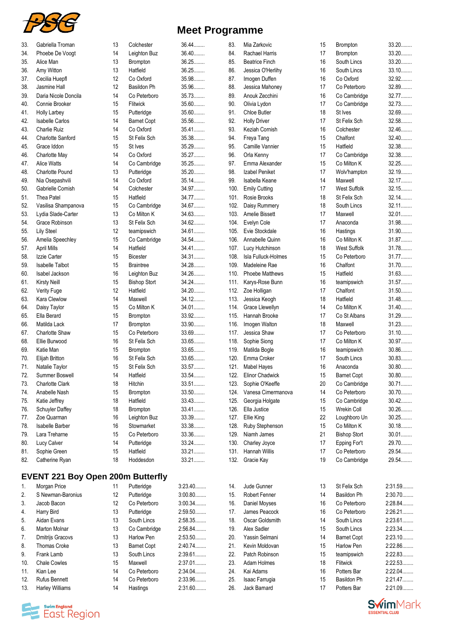

| 33. | Gabriella Troman         | 13 | Colchester          | 36.44   |
|-----|--------------------------|----|---------------------|---------|
| 34. | Phoebe De Voogt          | 14 | Leighton Buz        | 36.40   |
| 35. | Alice Man                | 13 | Brompton            | 36.25   |
| 36. | Amy Witton               | 13 | Hatfield            | 36.25   |
| 37. | Cecilia Huepfl           | 12 | Co Oxford           | 35.98   |
| 38. | Jasmine Hall             | 12 | Basildon Ph         | 35.96   |
| 39. | Daria Nicole Doncila     | 14 | Co Peterboro        | 35.73   |
| 40. | Connie Brooker           | 15 | Flitwick            | 35.60   |
| 41. | Holly Larbey             | 15 | Putteridge          | 35.60   |
| 42. | <b>Isabelle Carlos</b>   | 14 | <b>Barnet Copt</b>  | 35.56   |
| 43. | <b>Charlie Ruiz</b>      | 14 | Co Oxford           | 35.41   |
| 44. | <b>Charlotte Sanford</b> | 15 | St Felix Sch        | 35.38   |
| 45. | Grace Iddon              | 15 | St Ives             | 35.29   |
| 46. | Charlotte May            | 14 | Co Oxford           | 35.27   |
| 47. | <b>Alice Watts</b>       | 14 | Co Cambridge        | 35.25   |
| 48. | <b>Charlotte Pound</b>   | 13 | Putteridge          | $35.20$ |
| 49. | Nia Osepashvili          | 14 | Co Oxford           | 35.14   |
| 50. | Gabrielle Cornish        | 14 | Colchester          | 34.97   |
| 51. | Thea Patel               | 15 | Hatfield            | 34.77   |
| 52. | Vasilisa Shampanova      | 15 | Co Cambridge        | 34.67   |
| 53. | Lydia Slade-Carter       | 13 | Co Milton K         | 34.63   |
| 54. | Grace Robinson           | 13 | St Felix Sch        | 34.62   |
| 55. | Lily Steel               | 12 | teamipswich         | 34.61   |
| 56. | Amelia Speechley         | 15 | Co Cambridge        | 34.54   |
| 57. | April Mills              | 14 | Hatfield            | 34.41   |
| 58. | Izzie Carter             | 15 | <b>Bicester</b>     | 34.31   |
| 59. | <b>Isabelle Talbot</b>   | 15 | <b>Braintree</b>    | 34.28   |
| 60. | Isabel Jackson           | 16 | Leighton Buz        | 34.26   |
| 61. | <b>Kirsty Neill</b>      | 15 | <b>Bishop Stort</b> | 34.24   |
| 62. | Verity Fuge              | 12 | Hatfield            | 34.20   |
| 63. | Kara Clewlow             | 14 | Maxwell             | 34.12   |
| 64. | Daisy Taylor             | 15 | Co Milton K         | 34.01   |
| 65. | Ella Berard              | 15 | Brompton            | 33.92   |
| 66. | Matilda Lack             | 17 | Brompton            | 33.90   |
| 67. | <b>Charlotte Shaw</b>    | 15 | Co Peterboro        | 33.69   |
| 68. | Ellie Burwood            | 16 | St Felix Sch        | 33.65   |
| 69. | Katie Man                | 15 | <b>Brompton</b>     | 33.65   |
| 70. | Elijah Britton           | 16 | St Felix Sch        | 33.65   |
| 71. | Natalie Taylor           | 15 | St Felix Sch        | 33.57   |
| 72. | Summer Boswell           | 14 | Hatfield            | 33.54   |
| 73. | <b>Charlotte Clark</b>   | 18 | Hitchin             | 33.51   |
| 74. | Anabelle Nash            | 15 | <b>Brompton</b>     | 33.50   |
| 75. | Katie Jeffrey            | 18 | Hatfield            | 33.43   |
| 76. | Schuyler Daffey          | 18 | <b>Brompton</b>     | 33.41   |
| 77. | Zoe Quarman              | 16 | Leighton Buz        | 33.39   |
| 78. | <b>Isabelle Barber</b>   | 16 | Stowmarket          | 33.38   |
| 79. | Lara Treharne            | 15 | Co Peterboro        | 33.36   |
| 80. | Lucy Calver              | 14 | Putteridge          | 33.24   |
| 81. | Sophie Green             | 15 | Hatfield            | 33.21   |
| 82. | Catherine Ryan           | 18 | Hoddesdon           | 33.21   |

# **EVENT 221 Boy Open 200m Butterfly**

| 1.  | Morgan Price           | 11                | Putteridge         | 3:23.40   |
|-----|------------------------|-------------------|--------------------|-----------|
| 2.  | S Newman-Baronius      | $12 \overline{ }$ | Putteridge         | $3:00.80$ |
| 3.  | Jacob Bacon            | $12 \overline{ }$ | Co Peterboro       | 3:00.34   |
| 4.  | Harry Bird             | 13                | Putteridge         | $2:59.50$ |
| 5.  | Aidan Evans            | 13                | South Lincs        | 2:58.35   |
| 6.  | <b>Marton Molnar</b>   | 13                | Co Cambridge       | 2:56.84   |
| 7.  | Dmitrijs Gracovs       | 13                | <b>Harlow Pen</b>  | 2:53.50   |
| 8.  | <b>Thomas Croke</b>    | 13                | <b>Barnet Copt</b> | 2:40.74   |
| 9.  | Frank Lamb             | 13                | South Lincs        | $2:39.61$ |
| 10. | <b>Chale Cowles</b>    | 15                | Maxwell            | $2:37.01$ |
| 11. | Kian Lee               | 14                | Co Peterboro       | 2:34.04   |
| 12. | <b>Rufus Bennett</b>   | 14                | Co Peterboro       | 2:33.96   |
| 13. | <b>Harley Williams</b> | 14                | Hastings           | $2:31.60$ |

## **Meet Programme**

| 83.  | Mia Zarkovic           | 15 | Brompton            | 33.20   |
|------|------------------------|----|---------------------|---------|
| 84.  | Rachael Harris         | 17 | <b>Brompton</b>     | 33.20   |
| 85.  | <b>Beatrice Finch</b>  | 16 | South Lincs         | 33.20   |
| 86.  | Jessica O'Herlihy      | 16 | South Lincs         | $33.10$ |
| 87.  | Imogen Duffen          | 16 | Co Oxford           | 32.92   |
| 88.  | Jessica Mahoney        | 17 | Co Peterboro        | 32.89   |
| 89.  | Anouk Zecchini         | 16 | Co Cambridge        | 32.77   |
| 90.  | Olivia Lydon           | 17 | Co Cambridge        | 32.73   |
|      |                        |    |                     | 32.69   |
| 91.  | Chloe Butler           | 18 | St Ives             |         |
| 92.  | <b>Holly Driver</b>    | 17 | St Felix Sch        | 32.58   |
| 93.  | Keziah Cornish         | 16 | Colchester          | 32.46   |
| 94.  | Freya Tang             | 15 | Chalfont            | $32.40$ |
| 95.  | Camille Vannier        | 15 | Hatfield            | 32.38   |
| 96.  | Orla Kenny             | 17 | Co Cambridge        | 32.38   |
| 97.  | Emma Alexander         | 15 | Co Milton K         | 32.25   |
| 98.  | Izabel Peniket         | 17 | Wolv'hampton        | 32.19   |
| 99.  | Isabella Keane         | 14 | Maxwell             | 32.17   |
| 100. | <b>Emily Cutting</b>   | 17 | West Suffolk        | 32.15   |
| 101. | Rosie Brooks           | 18 | St Felix Sch        | 32.14   |
| 102. | Daisy Rummery          | 18 | South Lincs         | 32.11   |
| 103. | Amelie Bissett         | 17 | Maxwell             | 32.01   |
| 104. | Evelyn Cole            | 17 | Anaconda            | 31.98   |
| 105. | Evie Stockdale         | 16 | Hastings            | 31.90   |
| 106. | Annabelle Quinn        | 16 | Co Milton K         | 31.87   |
| 107. | Lucy Hutchinson        | 18 | <b>West Suffolk</b> | 31.78   |
|      |                        |    |                     |         |
| 108. | Isla Fulluck-Holmes    | 15 | Co Peterboro        | 31.77   |
| 109. | Madeleine Rae          | 16 | Chalfont            | $31.70$ |
| 110. | Phoebe Matthews        | 15 | Hatfield            | 31.63   |
| 111. | Karys-Rose Bunn        | 16 | teamipswich         | 31.57   |
| 112. | Zoe Holligan           | 17 | Chalfont            | 31.50   |
| 113. | Jessica Keogh          | 18 | Hatfield            | 31.48   |
| 114. | Grace Llewellyn        | 14 | Co Milton K         | 31.40   |
| 115. | Hannah Brooke          | 17 | Co St Albans        | 31.29   |
| 116. | Imogen Walton          | 18 | Maxwell             | 31.23   |
| 117. | Jessica Shaw           | 17 | Co Peterboro        | $31.10$ |
| 118. | Sophie Siong           | 17 | Co Milton K         | 30.97   |
| 119. | Matilda Bogle          | 16 | teamipswich         | 30.86   |
| 120. | Emma Croker            | 17 | South Lincs         | 30.83   |
| 121. | Mabel Hayes            | 16 | Anaconda            | 30.80   |
| 122. | <b>Elinor Chadwick</b> | 15 | <b>Barnet Copt</b>  | 30.80   |
| 123. | Sophie O'Keeffe        | 20 | Co Cambridge        | $30.71$ |
| 124. | Vanesa Cimermanova     | 14 | Co Peterboro        | $30.70$ |
| 125. | Georgia Holgate        | 15 | Co Cambridge        | 30.42   |
|      |                        |    | <b>Wrekin Coll</b>  | 30.26   |
| 126. | Ella Justice           | 15 |                     |         |
| 127. | Ellie King             | 22 | Loughboro Un        | 30.25   |
| 128. | Ruby Stephenson        | 15 | Co Milton K         | 30.18   |
| 129. | Niamh James            | 21 | <b>Bishop Stort</b> | 30.01   |
| 130. | Charley Joyce          | 17 | Epping For't        | 29.70   |
| 131. | Hannah Willis          | 17 | Co Peterboro        | 29.54   |
| 132. | Gracie Kay             | 19 | Co Cambridge        | 29.54   |
|      |                        |    |                     |         |
|      |                        |    |                     |         |
| 14.  | Jude Gunner            | 13 | St Felix Sch        | 2:31.59 |
| 15.  | Robert Fenner          | 14 | Basildon Ph         | 2:30.70 |
| 16.  | Daniel Moyses          | 16 | Co Peterboro        | 2:28.84 |
| 17.  | James Peacock          | 16 | Co Peterboro        | 2:26.21 |
| 18.  | Oscar Goldsmith        | 14 | South Lincs         | 2:23.61 |
| 19.  | Alex Sadler            | 15 | South Lincs         | 2:23.34 |
| 20.  | Yassin Selmani         | 14 | <b>Barnet Copt</b>  | 2:23.10 |
| 21.  | Kevin Moldovan         | 15 | Harlow Pen          | 2:22.86 |
| 22.  | Patch Robinson         | 15 | teamipswich         | 2:22.83 |
| 23.  | Adam Holmes            | 18 | Flitwick            | 2:22.53 |
| 24.  | Kai Adams              | 16 | Potters Bar         | 2:22.04 |
| 25.  | Isaac Farrugia         | 15 | Basildon Ph         | 2:21.47 |
| 26.  | Jack Barnard           | 17 | Potters Bar         | 2:21.09 |
|      |                        |    |                     |         |
|      |                        |    |                     |         |



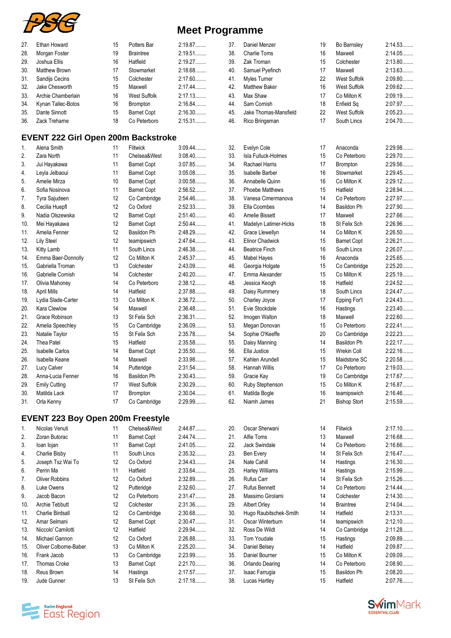

| 27. | Ethan Howard         | 15 | Potters Bar         | 2:19.87   |
|-----|----------------------|----|---------------------|-----------|
| 28. | Morgan Foster        | 19 | <b>Braintree</b>    | $2:19.51$ |
| 29. | Joshua Ellis         | 16 | Hatfield            | 2:19.27   |
| 30. | <b>Matthew Brown</b> | 17 | Stowmarket          | 2:18.68   |
| 31. | Sandijs Cecins       | 15 | Colchester          | $2:17.60$ |
| 32. | Jake Chesworth       | 15 | Maxwell             | $2:17.44$ |
| 33. | Archie Chamberlain   | 16 | <b>West Suffolk</b> | 2:17.13   |
| 34. | Kynan Tallec-Botos   | 16 | <b>Brompton</b>     | 2:16.84   |
| 35. | Dante Sinnott        | 15 | <b>Barnet Copt</b>  | 2:16.30   |
| 36. | Zack Treharne        | 18 | Co Peterboro        | $2:15.31$ |

## **EVENT 222 Girl Open 200m Backstroke**

| 1.  | Alena Smith            | 11 | Flitwick            | $3:09.44$ |
|-----|------------------------|----|---------------------|-----------|
| 2.  | Zara North             | 11 | Chelsea&West        | 3:08.40   |
| 3.  | Jui Hayakawa           | 11 | <b>Barnet Copt</b>  | 3:07.85   |
| 4.  | Leyla Jelbaoui         | 11 | <b>Barnet Copt</b>  | 3:05.08   |
| 5.  | Amelie Mirza           | 10 | <b>Barnet Copt</b>  | 3:00.58   |
| 6.  | Sofia Nosinova         | 11 | <b>Barnet Copt</b>  | 2:56.52   |
| 7.  | Tyra Sajudeen          | 12 | Co Cambridge        | 2:54.46   |
| 8.  | Cecilia Huepfl         | 12 | Co Oxford           | 2:52.33   |
| 9.  | Nadia Olszewska        | 12 | <b>Barnet Copt</b>  | 2:51.40   |
| 10. | Mei Hayakawa           | 12 | <b>Barnet Copt</b>  | 2:50.44   |
| 11. | Amelia Fenner          | 12 | Basildon Ph         | 2:48.29   |
| 12. | <b>Lily Steel</b>      | 12 | teamipswich         | 2:47.64   |
| 13. | Kitty Lamb             | 11 | South Lincs         | 2:46.38   |
| 14. | Emma Baer-Donnolly     | 12 | Co Milton K         | 2:45.37   |
| 15. | Gabriella Troman       | 13 | Colchester          | 2:43.09   |
| 16. | Gabrielle Cornish      | 14 | Colchester          | $2:40.20$ |
| 17. | Olivia Mahoney         | 14 | Co Peterboro        | $2:38.12$ |
| 18. | <b>April Mills</b>     | 14 | Hatfield            | 2:37.88   |
| 19. | Lydia Slade-Carter     | 13 | Co Milton K         | 2:36.72   |
| 20. | Kara Clewlow           | 14 | Maxwell             | 2:36.48   |
| 21. | Grace Robinson         | 13 | St Felix Sch        | 2:36.31   |
| 22. | Amelia Speechley       | 15 | Co Cambridge        | 2:36.09   |
| 23. | Natalie Taylor         | 15 | St Felix Sch        | 2:35.78   |
| 24. | Thea Patel             | 15 | Hatfield            | 2:35.58   |
| 25. | <b>Isabelle Carlos</b> | 14 | <b>Barnet Copt</b>  | 2:35.50   |
| 26. | Isabella Keane         | 14 | Maxwell             | 2:33.98   |
| 27. | Lucy Calver            | 14 | Putteridge          | 2:31.54   |
| 28. | Anna-Lucia Fenner      | 16 | Basildon Ph         | 2:30.43   |
| 29. | <b>Emily Cutting</b>   | 17 | <b>West Suffolk</b> | 2:30.29   |
| 30. | Matilda Lack           | 17 | <b>Brompton</b>     | 2:30.04   |
| 31. | Orla Kenny             | 17 | Co Cambridge        | 2:29.99   |

#### **EVENT 223 Boy Open 200m Freestyle**

| 1.  | Nicolas Venuti          | 11              | Chelsea&West       | 2:44.87      |
|-----|-------------------------|-----------------|--------------------|--------------|
| 2.  | Zoran Butorac           | 11              | <b>Barnet Copt</b> | 2.44.74<br>. |
| 3.  | loan lojan              | 11              | <b>Barnet Copt</b> | 2:41.05      |
| 4.  | Charlie Bisby           | 11              | South Lincs        | 2:35.32<br>. |
| 5.  | Joseph Tsz Wai To       | 12              | Co Oxford          | 2:34.43      |
| 6.  | Perrin Ma               | 11              | Hatfield           | 2:33.64      |
| 7.  | <b>Oliver Robbins</b>   | 12              | Co Oxford          | 2:32.89      |
| 8.  | Luke Owens              | 12 <sup>°</sup> | Putteridge         | $2:32.60$    |
| 9.  | Jacob Bacon             | 12              | Co Peterboro       | 2:31.47      |
| 10. | Archie Tebbutt          | 12 <sup>°</sup> | Colchester         | 2:31.36      |
| 11. | <b>Charlie Birdsall</b> | 12 <sup>°</sup> | Co Cambridge       | 2:30.68      |
| 12. | Amar Selmani            | 12 <sup>°</sup> | <b>Barnet Copt</b> | 2:30.47      |
| 13. | Niccolo' Camilotti      | 12 <sup>°</sup> | Hatfield           | 2:29.94      |
| 14. | Michael Gannon          | 12              | Co Oxford          | 2:26.88      |
| 15. | Oliver Colborne-Baber   | 13              | Co Milton K        | 2:25.20      |
| 16. | Frank Jacob             | 13              | Co Cambridge       | 2:23.99      |
| 17. | Thomas Croke            | 13              | <b>Barnet Copt</b> | 2:21.70      |
| 18. | Reus Brown              | 14              | Hastings           | 2:17.57      |
| 19. | Jude Gunner             | 13              | St Felix Sch       | 2:17.18      |

| 37. | Daniel Menzer         | 19 | Bo Barnsley         | 2:14.53 |
|-----|-----------------------|----|---------------------|---------|
| 38. | <b>Charlie Toms</b>   | 16 | Maxwell             | 2:14.05 |
| 39. | Zak Troman            | 15 | Colchester          | 2:13.80 |
| 40. | Samuel Pyefinch       | 17 | Maxwell             | 2:13.63 |
| 41. | Myles Turner          | 22 | <b>West Suffolk</b> | 2:09.80 |
| 42. | <b>Matthew Baker</b>  | 16 | <b>West Suffolk</b> | 2:09.62 |
| 43. | Max Shaw              | 17 | Co Milton K         | 2:09.19 |
| 44. | Sam Cornish           | 18 | Enfield Sq          | 2:07.97 |
| 45. | Jake Thomas-Mansfield | 22 | <b>West Suffolk</b> | 2:05.23 |
| 46. | Rico Bringeman        | 17 | South Lincs         | 2:04.70 |
|     |                       |    |                     |         |

| 32. | Evelyn Cole            | 17 | Anaconda            | 2:29.98 |
|-----|------------------------|----|---------------------|---------|
| 33. | Isla Fulluck-Holmes    | 15 | Co Peterboro        | 2:29.70 |
| 34. | Rachael Harris         | 17 | <b>Brompton</b>     | 2:29.56 |
| 35. | Isabelle Barber        | 16 | Stowmarket          | 2:29.45 |
| 36. | Annabelle Quinn        | 16 | Co Milton K         | 2:29.12 |
| 37. | <b>Phoebe Matthews</b> | 15 | Hatfield            | 2:28.94 |
| 38. | Vanesa Cimermanova     | 14 | Co Peterboro        | 2:27.97 |
| 39. | Ella Coombes           | 14 | <b>Basildon Ph</b>  | 2:27.90 |
| 40. | <b>Amelie Bissett</b>  | 17 | Maxwell             | 2:27.66 |
| 41. | Madelyn Latimer-Hicks  | 18 | St Felix Sch        | 2:26.96 |
| 42. | Grace Llewellyn        | 14 | Co Milton K         | 2:26.50 |
| 43. | <b>Elinor Chadwick</b> | 15 | <b>Barnet Copt</b>  | 2:26.21 |
| 44. | <b>Beatrice Finch</b>  | 16 | South Lincs         | 2:26.07 |
| 45. | <b>Mabel Hayes</b>     | 16 | Anaconda            | 2:25.65 |
| 46. | Georgia Holgate        | 15 | Co Cambridge        | 2:25.20 |
| 47. | Emma Alexander         | 15 | Co Milton K         | 2:25.19 |
| 48. | Jessica Keogh          | 18 | Hatfield            | 2:24.52 |
| 49. | Daisy Rummery          | 18 | South Lincs         | 2:24.47 |
| 50. | Charley Joyce          | 17 | Epping For't        | 2:24.43 |
| 51. | Evie Stockdale         | 16 | Hastings            | 2:23.40 |
| 52. | Imogen Walton          | 18 | Maxwell             | 2:22.60 |
| 53. | Megan Donovan          | 15 | Co Peterboro        | 2:22.41 |
| 54. | Sophie O'Keeffe        | 20 | Co Cambridge        | 2:22.23 |
| 55. | Daisy Manning          | 14 | Basildon Ph         | 2:22.17 |
| 56. | Ella Justice           | 15 | <b>Wrekin Coll</b>  | 2:22.16 |
| 57. | Kahlen Arundell        | 15 | Maidstone SC        | 2:20.58 |
| 58. | Hannah Willis          | 17 | Co Peterboro        | 2:19.03 |
| 59. | Gracie Kay             | 19 | Co Cambridge        | 2:17.67 |
| 60. | Ruby Stephenson        | 15 | Co Milton K         | 2:16.87 |
| 61. | Matilda Bogle          | 16 | teamipswich         | 2:16.46 |
| 62. | Niamh James            | 21 | <b>Bishop Stort</b> | 2:15.59 |
|     |                        |    |                     |         |

| 20. | Oscar Sherwani         | 14 | <b>Flitwick</b>  | 2:17.10 |
|-----|------------------------|----|------------------|---------|
| 21. | Alfie Toms             | 13 | Maxwell          | 2:16.68 |
| 22. | <b>Jack Swindale</b>   | 14 | Co Peterboro     | 2:16.66 |
| 23. | Ben Every              | 14 | St Felix Sch     | 2:16.47 |
| 24. | Nate Cahill            | 14 | Hastings         | 2:16.30 |
| 25. | Harley Williams        | 14 | Hastings         | 2:15.99 |
| 26. | <b>Rufus Carr</b>      | 14 | St Felix Sch     | 2:15.26 |
| 27. | <b>Rufus Bennett</b>   | 14 | Co Peterboro     | 2:14.44 |
| 28. | Massimo Girolami       | 14 | Colchester       | 2:14.30 |
| 29. | <b>Albert Orley</b>    | 14 | <b>Braintree</b> | 2:14.04 |
| 30. | Hugo Raubitschek-Smith | 14 | Hatfield         | 2:13.31 |
| 31. | Oscar Winterburn       | 14 | teamipswich      | 2:12.10 |
| 32. | Ross De Wildt          | 14 | Co Cambridge     | 2:11.28 |
| 33. | <b>Tom Youdale</b>     | 15 | Hastings         | 2:09.89 |
| 34. | Daniel Belsey          | 14 | Hatfield         | 2:09.87 |
| 35. | Daniel Bourner         | 15 | Co Milton K      | 2:09.09 |
| 36. | Orlando Dearing        | 14 | Co Peterboro     | 2:08.90 |
| 37. | Isaac Farrugia         | 15 | Basildon Ph      | 2:08.20 |
| 38. | Lucas Hartley          | 15 | Hatfield         | 2:07.76 |
|     |                        |    |                  |         |



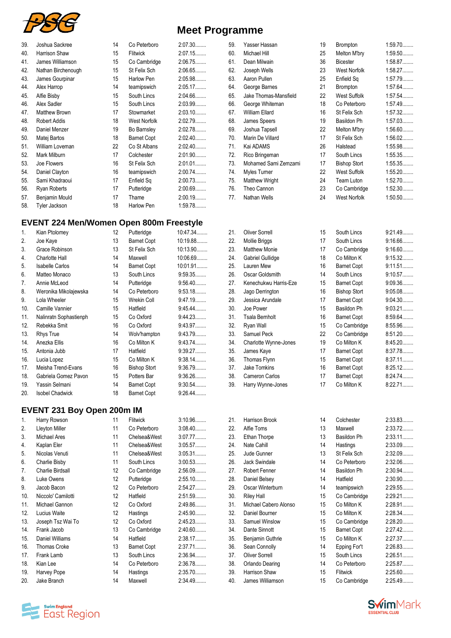

|  | <b>Meet Programme</b> |
|--|-----------------------|
|--|-----------------------|

| 39. | Joshua Sackree       | 14 | Co Peterboro       | 2:07.30 |
|-----|----------------------|----|--------------------|---------|
| 40. | Harrison Shaw        | 15 | Flitwick           | 2:07.15 |
| 41. | James Williamson     | 15 | Co Cambridge       | 2:06.75 |
| 42. | Nathan Birchenough   | 15 | St Felix Sch       | 2:06.65 |
| 43. | James Gourpinar      | 15 | Harlow Pen         | 2:05.98 |
| 44. | Alex Harrop          | 14 | teamipswich        | 2:05.17 |
| 45. | Alfie Bisby          | 15 | South Lincs        | 2:04.66 |
| 46. | Alex Sadler          | 15 | South Lincs        | 2:03.99 |
| 47. | <b>Matthew Brown</b> | 17 | Stowmarket         | 2:03.10 |
| 48. | <b>Robert Addis</b>  | 18 | West Norfolk       | 2:02.79 |
| 49. | Daniel Menzer        | 19 | Bo Barnsley        | 2:02.78 |
| 50. | Matej Bartos         | 18 | <b>Barnet Copt</b> | 2:02.40 |
| 51. | William Loveman      | 22 | Co St Albans       | 2:02.40 |
| 52. | Mark Milburn         | 17 | Colchester         | 2:01.90 |
| 53. | Joe Flowers          | 16 | St Felix Sch       | 2:01.01 |
| 54. | Daniel Clayton       | 16 | teamipswich        | 2:00.74 |
| 55. | Sami Khadraoui       | 17 | Enfield Sq         | 2:00.73 |
| 56. | Ryan Roberts         | 17 | Putteridge         | 2:00.69 |
| 57. | Benjamin Mould       | 17 | Thame              | 2:00.19 |
| 58. | Tyler Jackson        | 18 | Harlow Pen         | 1:59.78 |
|     |                      |    |                    |         |

## **EVENT 224 Men/Women Open 800m Freestyle**

| 1.  | Kian Ptolomey          | 12 | Putteridge          | 10:47.34  |
|-----|------------------------|----|---------------------|-----------|
| 2.  | Joe Kaye               | 13 | <b>Barnet Copt</b>  | 10:19.88  |
| 3.  | Grace Robinson         | 13 | St Felix Sch        | 10:13.90  |
| 4.  | Charlotte Hall         | 14 | Maxwell             | 10:06.69  |
| 5.  | <b>Isabelle Carlos</b> | 14 | <b>Barnet Copt</b>  | 10:01.91  |
| 6.  | Matteo Monaco          | 13 | South Lincs         | 9:59.35   |
| 7.  | Annie McLeod           | 14 | Putteridge          | $9:56.40$ |
| 8.  | Weronika Mikolajewska  | 14 | Co Peterboro        | 9:53.18   |
| 9.  | Lola Wheeler           | 15 | <b>Wrekin Coll</b>  | 9:47.19   |
| 10. | Camille Vannier        | 15 | Hatfield            | $9:45.44$ |
| 11. | Nalinratn Sophastienph | 15 | Co Oxford           | 9:44.23   |
| 12. | Rebekka Smit           | 16 | Co Oxford           | 9:43.97   |
| 13. | Rhys True              | 14 | Wolv'hampton        | 9:43.79   |
| 14. | Anezka Ellis           | 16 | Co Milton K         | 9:43.74   |
| 15. | Antonia Jubb           | 17 | Hatfield            | 9:39.27   |
| 16. | Lucia Lopez            | 15 | Co Milton K         | $9:38.14$ |
| 17. | Meisha Trend-Evans     | 16 | <b>Bishop Stort</b> | 9:36.79   |
| 18. | Gabriela Gomez Pavon   | 15 | Potters Bar         | 9:36.26   |
| 19. | Yassin Selmani         | 14 | Barnet Copt         | 9:30.54   |
| 20. | <b>Isobel Chadwick</b> | 18 | <b>Barnet Copt</b>  | 9:26.44   |

#### **EVENT 231 Boy Open 200m IM**

|     | EVEINT ZJT DUY UPEN ZUUITHIN |    |                    |           |     |                       |    |                    |           |
|-----|------------------------------|----|--------------------|-----------|-----|-----------------------|----|--------------------|-----------|
| 1.  | Harry Rowson                 | 11 | Flitwick           | 3:10.96   | 21. | <b>Harrison Brook</b> | 14 | Colchester         | 2:33.83   |
| 2.  | Lleyton Miller               | 11 | Co Peterboro       | $3:08.40$ | 22. | Alfie Toms            | 13 | Maxwell            | 2:33.72   |
| 3.  | Michael Ares                 | 11 | Chelsea&West       | 3:07.77   | 23. | Ethan Thorpe          | 13 | Basildon Ph        | $2:33.11$ |
| 4.  | Kaplan Eler                  | 11 | Chelsea&West       | 3:05.57   | 24. | Nate Cahill           | 14 | Hastings           | 2:33.09   |
| 5.  | Nicolas Venuti               | 11 | Chelsea&West       | 3:05.31   | 25. | Jude Gunner           | 13 | St Felix Sch       | 2:32.09   |
| 6.  | Charlie Bisby                | 11 | South Lincs        | 3:00.53   | 26. | Jack Swindale         | 14 | Co Peterboro       | 2:32.06   |
| 7.  | <b>Charlie Birdsall</b>      | 12 | Co Cambridge       | 2:56.09   | 27. | Robert Fenner         | 14 | Basildon Ph        | 2:30.94   |
| 8.  | Luke Owens                   | 12 | Putteridge         | $2:55.10$ | 28. | Daniel Belsey         | 14 | Hatfield           | 2:30.90   |
| 9.  | Jacob Bacon                  | 12 | Co Peterboro       | 2:54.27   | 29. | Oscar Winterburn      | 14 | teamipswich        | 2:29.55   |
| 10. | Niccolo' Camilotti           | 12 | Hatfield           | 2:51.59   | 30. | <b>Riley Hall</b>     | 15 | Co Cambridge       | 2:29.21   |
| 11. | Michael Gannon               | 12 | Co Oxford          | 2:49.86   | 31. | Michael Cabero Alonso | 15 | Co Milton K        | 2:28.91   |
| 12. | Lucius Waite                 | 12 | Hastings           | 2:45.90   | 32. | Daniel Bourner        | 15 | Co Milton K        | 2:28.34   |
| 13. | Joseph Tsz Wai To            | 12 | Co Oxford          | 2:45.23   | 33. | Samuel Winslow        | 15 | Co Cambridge       | 2:28.20   |
| 14. | Frank Jacob                  | 13 | Co Cambridge       | 2:40.60   | 34. | Dante Sinnott         | 15 | <b>Barnet Copt</b> | 2:27.42   |
| 15. | Daniel Williams              | 14 | Hatfield           | 2:38.17   | 35. | Benjamin Guthrie      | 15 | Co Milton K        | 2:27.37   |
| 16. | <b>Thomas Croke</b>          | 13 | <b>Barnet Copt</b> | $2:37.71$ | 36. | Sean Connolly         | 14 | Epping For't       | 2:26.83   |
| 17. | Frank Lamb                   | 13 | South Lincs        | 2:36.94   | 37. | <b>Oliver Sorrell</b> | 15 | South Lincs        | $2:26.51$ |
| 18. | Kian Lee                     | 14 | Co Peterboro       | 2:36.78   | 38. | Orlando Dearing       | 14 | Co Peterboro       | 2:25.87   |
| 19. | Harvey Pope                  | 14 | Hastings           | 2:35.70   | 39. | Harrison Shaw         | 15 | Flitwick           | 2:25.60   |
| 20. | Jake Branch                  | 14 | Maxwell            | 2:34.49   | 40. | James Williamson      | 15 | Co Cambridge       | 2:25.49   |
|     |                              |    |                    |           |     |                       |    |                    |           |



| 59. | Yasser Hassan         | 19 | <b>Brompton</b>     | $1:59.70$ |
|-----|-----------------------|----|---------------------|-----------|
| 60. | Michael Hill          | 25 | Melton M'bry        | $1:59.50$ |
| 61. | Dean Milwain          | 36 | <b>Bicester</b>     | 1:58.87   |
| 62. | Joseph Wells          | 23 | West Norfolk        | 1:58.27   |
| 63. | Aaron Pullen          | 25 | Enfield Sa          | 1:57.79   |
| 64. | George Barnes         | 21 | <b>Brompton</b>     | 1:57.64   |
| 65. | Jake Thomas-Mansfield | 22 | West Suffolk        | 1:57.54   |
| 66. | George Whiteman       | 18 | Co Peterboro        | 1:57.49   |
| 67. | William Ellard        | 16 | St Felix Sch        | 1:57.32   |
| 68. | James Speers          | 19 | Basildon Ph         | 1:57.03   |
| 69. | Joshua Tapsell        | 22 | Melton M'bry        | $1:56.60$ |
| 70. | Marin De Villard      | 17 | St Felix Sch        | $1:56.02$ |
| 71. | Kai ADAMS             | 26 | Halstead            | 1:55.98   |
| 72. | Rico Bringeman        | 17 | South Lincs         | 1:55.35   |
| 73. | Mohamed Sami Zemzami  | 17 | <b>Bishop Stort</b> | 1:55.35   |
| 74. | Myles Turner          | 22 | West Suffolk        | $1:55.20$ |
| 75. | <b>Matthew Wright</b> | 24 | Team Luton          | 1:52.70   |
| 76. | Theo Cannon           | 23 | Co Cambridge        | 1:52.30   |
| 77. | Nathan Wells          | 24 | West Norfolk        | $1:50.50$ |
|     |                       |    |                     |           |

| 21. | <b>Oliver Sorrell</b> | 15 | South Lincs         | 9:21.49. |
|-----|-----------------------|----|---------------------|----------|
| 22. | <b>Mollie Briggs</b>  | 17 | South Lincs         | 9:16.66  |
| 23. | <b>Matthew Monie</b>  | 17 | Co Cambridge        | 9:16.60. |
| 24. | Gabriel Gullidge      | 18 | Co Milton K         | 9:15.32. |
| 25. | Lauren Mew            | 16 | <b>Barnet Copt</b>  | 9:11.51  |
| 26. | Oscar Goldsmith       | 14 | South Lincs         | 9:10.57  |
| 27. | Kenechukwu Harris-Eze | 15 | <b>Barnet Copt</b>  | 9:09.36  |
| 28. | Jago Derrington       | 16 | <b>Bishop Stort</b> | 9:05.08  |
| 29. | Jessica Arundale      | 17 | <b>Barnet Copt</b>  | 9:04.30  |
| 30. | Joe Power             | 15 | Basildon Ph         | 9:03.21  |
| 31. | Tsala Bernholt        | 16 | <b>Barnet Copt</b>  | 8:59.64  |
| 32. | Ryan Wall             | 15 | Co Cambridge        | 8:55.96  |
| 33. | Samuel Peck           | 22 | Co Cambridge        | 8:51.20  |
| 34. | Charlotte Wynne-Jones | 19 | Co Milton K         | 8:45.20  |
| 35. | James Kaye            | 17 | <b>Barnet Copt</b>  | 8:37.78  |
| 36. | Thomas Flynn          | 15 | <b>Barnet Copt</b>  | 8:37.11  |
| 37. | <b>Jake Tomkins</b>   | 16 | <b>Barnet Copt</b>  | 8:25.12  |
| 38. | Cameron Carlos        | 17 | <b>Barnet Copt</b>  | 8:24.74  |
| 39. | Harry Wynne-Jones     | 17 | Co Milton K         | 8:22.71. |

| e Toms             | 13 | Maxwell            | 2:33.72   |
|--------------------|----|--------------------|-----------|
| an Thorpe          | 13 | Basildon Ph        | 2:33.11   |
| te Cahill          | 14 | Hastings           | 2:33.09   |
| le Gunner          | 13 | St Felix Sch       | 2:32.09   |
| ck Swindale        | 14 | Co Peterboro       | 2:32.06   |
| bert Fenner        | 14 | Basildon Ph        | 2:30.94   |
| niel Belsey        | 14 | Hatfield           | 2:30.90   |
| car Winterburn     | 14 | teamipswich        | 2:29.55   |
| ey Hall            | 15 | Co Cambridge       | 2:29.21   |
| hael Cabero Alonso | 15 | Co Milton K        | 2:28.91   |
| niel Bourner       | 15 | Co Milton K        | 2:28.34   |
| muel Winslow       | 15 | Co Cambridge       | $2:28.20$ |
| nte Sinnott        | 15 | <b>Barnet Copt</b> | 2:27.42   |
| njamin Guthrie     | 15 | Co Milton K        | 2:27.37   |
| an Connolly        | 14 | Epping For't       | 2:26.83   |
| ver Sorrell        | 15 | South Lincs        | 2:26.51   |
| ando Dearing       | 14 | Co Peterboro       | 2:25.87   |
| rrison Shaw        | 15 | <b>Flitwick</b>    | 2:25.60   |
| nes Williamson     | 15 | Co Cambridge       | 2:25.49   |
|                    |    |                    |           |

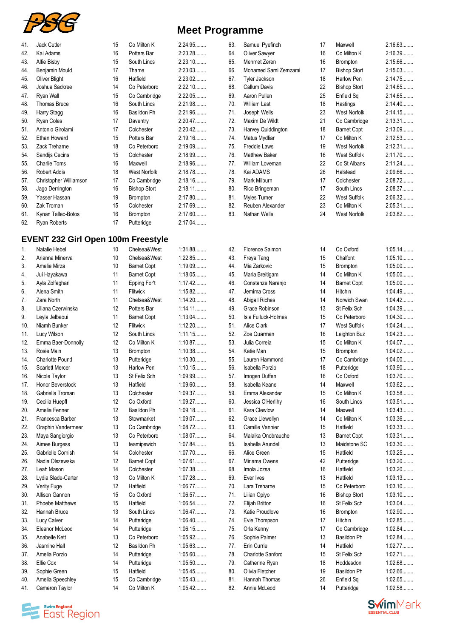

| <b>Meet Programme</b> |  |
|-----------------------|--|
|-----------------------|--|

| 41. | Jack Cutler            | 15 | Co Milton K         | 2:24.95 |
|-----|------------------------|----|---------------------|---------|
| 42. | Kai Adams              | 16 | Potters Bar         | 2:23.28 |
| 43. | Alfie Bisby            | 15 | South Lincs         | 2:23.10 |
| 44. | Benjamin Mould         | 17 | Thame               | 2:23.03 |
| 45. | Oliver Blight          | 16 | Hatfield            | 2:23.02 |
| 46. | Joshua Sackree         | 14 | Co Peterboro        | 2:22.10 |
| 47. | Ryan Wall              | 15 | Co Cambridge        | 2:22.05 |
| 48. | <b>Thomas Bruce</b>    | 16 | South Lincs         | 2:21.98 |
| 49. | Harry Stagg            | 16 | Basildon Ph         | 2:21.96 |
| 50. | Ryan Coles             | 17 | Daventry            | 2:20.47 |
| 51. | Antonio Girolami       | 17 | Colchester          | 2:20.42 |
| 52. | Ethan Howard           | 15 | Potters Bar         | 2:19.16 |
| 53. | Zack Treharne          | 18 | Co Peterboro        | 2:19.09 |
| 54. | Sandijs Cecins         | 15 | Colchester          | 2:18.99 |
| 55. | <b>Charlie Toms</b>    | 16 | Maxwell             | 2:18.96 |
| 56. | <b>Robert Addis</b>    | 18 | West Norfolk        | 2:18.78 |
| 57. | Christopher Williamson | 17 | Co Cambridge        | 2:18.16 |
| 58. | Jago Derrington        | 16 | <b>Bishop Stort</b> | 2:18.11 |
| 59. | Yasser Hassan          | 19 | Brompton            | 2:17.80 |
| 60. | Zak Troman             | 15 | Colchester          | 2:17.69 |
| 61. | Kynan Tallec-Botos     | 16 | Brompton            | 2:17.60 |
| 62. | <b>Ryan Roberts</b>    | 17 | Putteridge          | 2:17.04 |
|     |                        |    |                     |         |

## **EVENT 232 Girl Open 100m Freestyle**

| Arianna Minerva        | 10 | Chelsea&West       | 1:22.85   |
|------------------------|----|--------------------|-----------|
| Amelie Mirza           | 10 | <b>Barnet Copt</b> | 1:19.09   |
| Jui Hayakawa           | 11 | <b>Barnet Copt</b> | 1:18.05   |
| Ayla Zolfaghari        | 11 | Epping For't       | 1:17.42   |
| Alena Smith            | 11 | Flitwick           | 1:15.82   |
| Zara North             | 11 | Chelsea&West       | 1:14.20   |
| Liliana Czerwinska     | 12 | Potters Bar        | $1:14.11$ |
| Leyla Jelbaoui         | 11 | <b>Barnet Copt</b> | 1:13.04   |
| Niamh Bunker           | 12 | Flitwick           | 1:12.20   |
| Lucy Wilson            | 12 | South Lincs        | 1:11.15   |
| Emma Baer-Donnolly     | 12 | Co Milton K        | 1:10.87   |
| Rosie Main             | 13 | Brompton           | 1:10.38   |
| <b>Charlotte Pound</b> | 13 | Putteridge         | 1:10.30   |
| <b>Scarlett Mercer</b> | 13 | Harlow Pen         | 1:10.15   |
| Nicole Taylor          | 13 | St Felix Sch       | 1:09.99   |
| Honor Beverstock       | 13 | Hatfield           | $1:09.60$ |
| Gabriella Troman       | 13 | Colchester         | 1:09.37   |
| Cecilia Huepfl         | 12 | Co Oxford          | 1:09.27   |
| Amelia Fenner          | 12 | Basildon Ph        | 1:09.18   |
| Francesca Barber       | 13 | Stowmarket         | 1:09.07   |
| Oraphin Vandermeer     | 13 | Co Cambridge       | 1:08.72   |
| Maya Sangiorgio        | 13 | Co Peterboro       | 1:08.07   |
| Aimee Burgess          | 13 | teamipswich        | 1:07.84   |
| Gabrielle Cornish      | 14 | Colchester         | 1:07.70   |
| Nadia Olszewska        | 12 | <b>Barnet Copt</b> | 1:07.61   |
| Leah Mason             | 14 | Colchester         | 1:07.38   |
| Lydia Slade-Carter     | 13 | Co Milton K        | 1:07.28   |
| Verity Fuge            | 12 | Hatfield           | 1:06.77   |
| Allison Gannon         | 15 | Co Oxford          | 1:06.57   |
| <b>Phoebe Matthews</b> | 15 | Hatfield           | 1:06.54   |
| Hannah Bruce           | 13 | South Lincs        | 1:06.47   |
| Lucy Calver            | 14 | Putteridge         | 1:06.40   |
| Eleanor McLeod         | 14 | Putteridge         | 1:06.15   |
| Anabelle Kett          | 13 | Co Peterboro       | 1:05.92   |
| Jasmine Hall           | 12 | Basildon Ph        | 1:05.63   |
| Amelia Porzio          | 14 | Putteridge         | 1:05.60   |
| Ellie Cox              | 14 | Putteridge         | 1:05.50   |
| Sophie Green           | 15 | Hatfield           | 1:05.45   |
| Amelia Speechley       | 15 | Co Cambridge       | 1:05.43   |
| Cameron Taylor         | 14 | Co Milton K        | 1:05.42   |
|                        |    |                    |           |

| 63. | Samuel Pyefinch      | 17 | Maxwell             | 2:16.63 |
|-----|----------------------|----|---------------------|---------|
| 64. | Oliver Sawyer        | 16 | Co Milton K         | 2:16.39 |
| 65. | Mehmet Zeren         | 16 | <b>Brompton</b>     | 2:15.66 |
| 66. | Mohamed Sami Zemzami | 17 | <b>Bishop Stort</b> | 2:15.03 |
| 67. | Tyler Jackson        | 18 | Harlow Pen          | 2:14.75 |
| 68. | Callum Davis         | 22 | <b>Bishop Stort</b> | 2:14.65 |
| 69. | Aaron Pullen         | 25 | Enfield Sq          | 2:14.65 |
| 70. | <b>William Last</b>  | 18 | Hastings            | 2:14.40 |
| 71. | Joseph Wells         | 23 | <b>West Norfolk</b> | 2:14.15 |
| 72. | Maxim De Wildt       | 21 | Co Cambridge        | 2:13.31 |
| 73. | Harvey Quiddington   | 18 | <b>Barnet Copt</b>  | 2:13.09 |
| 74. | Matus Mydliar        | 17 | Co Milton K         | 2:12.53 |
| 75. | Freddie Laws         | 19 | West Norfolk        | 2:12.31 |
| 76. | <b>Matthew Baker</b> | 16 | West Suffolk        | 2:11.70 |
| 77. | William Loveman      | 22 | Co St Albans        | 2:11.24 |
| 78. | Kai ADAMS            | 26 | Halstead            | 2:09.66 |
| 79. | Mark Milburn         | 17 | Colchester          | 2:08.72 |
| 80. | Rico Bringeman       | 17 | South Lincs         | 2:08.37 |
| 81. | Myles Turner         | 22 | West Suffolk        | 2:06.32 |
| 82. | Reuben Alexander     | 23 | Co Milton K         | 2:05.31 |
| 83. | Nathan Wells         | 24 | West Norfolk        | 2:03.82 |
|     |                      |    |                     |         |

| 42. | Florence Salmon          |
|-----|--------------------------|
| 43. | Freya Tang               |
| 44. | Mia Zarkovic             |
| 45. | Maria Breitigam          |
| 46. | Constanze Naranjo        |
| 47. | Jemima Cross             |
| 48. | Abigail Riches           |
| 49. | Grace Robinson           |
| 50. | Isla Fulluck-Holmes      |
| 51. | Alice Clark              |
| 52. | Zoe Quarman              |
| 53. | Julia Correia            |
| 54. | Katie Man                |
| 55. | Lauren Hammond           |
| 56. | Isabella Porzio          |
| 57. | Imogen Duffen            |
| 58. | Isabella Keane           |
| 59. | Emma Alexander           |
| 60. | Jessica O'Herlihy        |
| 61. | Kara Clewlow             |
| 62. | Grace Llewellyn          |
| 63. | Camille Vannier          |
| 64. | Malaika Onobrauche       |
| 65. | Isabella Arundell        |
| 66. | Alice Green              |
| 67. | Miriama Owens            |
| 68. | Imola Jozsa              |
| 69. | Ever Ives                |
| 70. | Lara Treharne            |
| 71. | Lilian Opiyo             |
| 72. | Elijah Britton           |
| 73. | Katie Proudlove          |
| 74. | Evie Thompson            |
| 75. | Orla Kenny               |
| 76. | Sophie Palmer            |
| 77. | Erin Currie              |
| 78. | <b>Charlotte Sanford</b> |
| 79. | Catherine Ryan           |
| 80. | Olivia Fletcher          |
| 81. | Hannah Thomas            |
| 82. | Annie McLeod             |
|     |                          |

| 66. | Mohamed Sami Zemzami   | 17 | <b>Bishop Stort</b> | 2:15.03   |
|-----|------------------------|----|---------------------|-----------|
| 67. | Tyler Jackson          | 18 | Harlow Pen          | 2:14.75   |
| 68. | <b>Callum Davis</b>    | 22 | <b>Bishop Stort</b> | 2:14.65   |
| 69. | Aaron Pullen           | 25 | Enfield Sq          | 2:14.65   |
| 70. | <b>William Last</b>    | 18 | Hastings            | 2:14.40   |
| 71. | Joseph Wells           | 23 | <b>West Norfolk</b> | 2:14.15   |
| 72. | Maxim De Wildt         | 21 | Co Cambridge        | 2:13.31   |
| 73. | Harvey Quiddington     | 18 | <b>Barnet Copt</b>  | 2:13.09   |
| 74. | Matus Mydliar          | 17 | Co Milton K         | 2:12.53   |
| 75. | Freddie Laws           | 19 | West Norfolk        | 2:12.31   |
|     |                        | 16 | <b>West Suffolk</b> | 2:11.70   |
| 76. | <b>Matthew Baker</b>   |    |                     |           |
| 77. | William Loveman        | 22 | Co St Albans        | 2:11.24   |
| 78. | Kai ADAMS              | 26 | Halstead            | 2:09.66   |
| 79. | Mark Milburn           | 17 | Colchester          | 2:08.72   |
| 80. | Rico Bringeman         | 17 | South Lincs         | 2:08.37   |
| 81. | Myles Turner           | 22 | <b>West Suffolk</b> | 2:06.32   |
| 82. | Reuben Alexander       | 23 | Co Milton K         | 2:05.31   |
| 83. | Nathan Wells           | 24 | <b>West Norfolk</b> | 2:03.82   |
|     |                        |    |                     |           |
| 42. | Florence Salmon        | 14 | Co Oxford           | 1:05.14   |
| 43. | Freya Tang             | 15 | Chalfont            | $1:05.10$ |
| 44. | Mia Zarkovic           | 15 | <b>Brompton</b>     | $1:05.00$ |
| 45. | Maria Breitigam        | 14 | Co Milton K         | $1:05.00$ |
| 46. | Constanze Naranjo      | 14 | <b>Barnet Copt</b>  | $1:05.00$ |
| 47. | Jemima Cross           | 14 | Hitchin             | 1:04.49   |
| 48. | Abigail Riches         | 14 | Norwich Swan        | 1:04.42   |
| 49. | Grace Robinson         | 13 | St Felix Sch        | 1:04.39   |
| 50. | Isla Fulluck-Holmes    | 15 | Co Peterboro        | 1:04.30   |
| 51. | <b>Alice Clark</b>     | 17 | <b>West Suffolk</b> | 1:04.24   |
| 52. | Zoe Quarman            | 16 | Leighton Buz        | 1:04.23   |
| 53. | Julia Correia          | 15 | Co Milton K         | 1:04.07   |
| 54. | Katie Man              | 15 | Brompton            | 1:04.02   |
| 55. | Lauren Hammond         | 17 | Co Cambridge        | $1:04.00$ |
| 56. | <b>Isabella Porzio</b> | 18 | Putteridge          | 1:03.90   |
| 57. | Imogen Duffen          | 16 | Co Oxford           | 1:03.70   |
| 58. | Isabella Keane         | 14 | Maxwell             | 1:03.62   |
| 59. | Emma Alexander         | 15 | Co Milton K         | 1:03.58   |
| 60. | Jessica O'Herlihy      | 16 | South Lincs         | 1:03.51   |
| 61. | Kara Clewlow           | 14 | Maxwell             | 1:03.43   |
| 62. | Grace Llewellyn        | 14 | Co Milton K         | 1:03.36   |
| 63. | Camille Vannier        | 15 | Hatfield            | 1:03.33   |
|     | Malaika Onobrauche     |    |                     |           |
| 64. |                        | 13 | <b>Barnet Copt</b>  | 1:03.31   |
| 65. | Isabella Arundell      | 13 | Maidstone SC        | 1:03.30   |
| 66. | Alice Green            | 15 | Hatfield            | 1:03.25   |
| 67. | Miriama Owens          | 42 | Putteridge          | $1:03.20$ |
| 68. | Imola Jozsa            | 16 | Hatfield            | 1:03.20   |
| 69. | Ever Ives              | 13 | Hatfield            | 1:03.13   |
| 70. | Lara Treharne          | 15 | Co Peterboro        | 1:03.10   |
| 71. | Lilian Opiyo           | 16 | <b>Bishop Stort</b> | 1:03.10   |
| 72. | Elijah Britton         | 16 | St Felix Sch        | 1:03.04   |
| 73. | Katie Proudlove        | 16 | <b>Brompton</b>     | 1:02.90   |
| 74. | Evie Thompson          | 17 | Hitchin             | 1:02.85   |
| 75. | Orla Kenny             | 17 | Co Cambridge        | 1:02.84   |
| 76. | Sophie Palmer          | 13 | Basildon Ph         | 1:02.84   |
| 77. | Erin Currie            | 14 | Hatfield            | 1:02.77   |
| 78. | Charlotte Sanford      | 15 | St Felix Sch        | 1:02.71   |
| 79. | Catherine Ryan         | 18 | Hoddesdon           | 1:02.68   |
| 80. | Olivia Fletcher        | 19 | Basildon Ph         | 1:02.66   |
| 81. | Hannah Thomas          | 26 | Enfield Sq          | 1:02.65   |
| 82. | Annie McLeod           | 14 | Putteridge          | 1:02.58   |



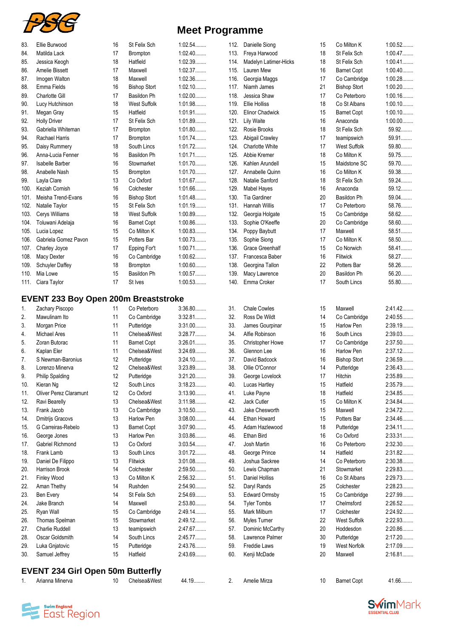

| <b>Meet Programme</b> |
|-----------------------|
|-----------------------|

| 83.  | Ellie Burwood                               | 16 | St Felix Sch        | 1:02.54   | 112. | Danielle Siong          | 15 | Co Milton K         | 1:00.52   |
|------|---------------------------------------------|----|---------------------|-----------|------|-------------------------|----|---------------------|-----------|
| 84.  | Matilda Lack                                | 17 | <b>Brompton</b>     | $1:02.40$ | 113. | Freya Harwood           | 18 | St Felix Sch        | 1:00.47   |
| 85.  | Jessica Keogh                               | 18 | Hatfield            | 1:02.39   | 114. | Madelyn Latimer-Hicks   | 18 | St Felix Sch        | $1:00.41$ |
| 86.  | Amelie Bissett                              | 17 | Maxwell             | 1:02.37   | 115. | Lauren Mew              | 16 | <b>Barnet Copt</b>  | $1:00.40$ |
| 87.  | Imogen Walton                               | 18 | Maxwell             | 1:02.36   | 116. | Georgia Maggs           | 17 | Co Cambridge        | 1:00.28   |
| 88.  | Emma Fields                                 | 16 | <b>Bishop Stort</b> | 1:02.10   | 117. | Niamh James             | 21 | <b>Bishop Stort</b> | $1:00.20$ |
| 89.  | <b>Charlotte Gill</b>                       | 17 | Basildon Ph         | $1:02.00$ | 118. | Jessica Shaw            | 17 | Co Peterboro        | 1:00.16   |
| 90.  | Lucy Hutchinson                             | 18 | <b>West Suffolk</b> | 1:01.98   | 119. | Ellie Holliss           | 18 | Co St Albans        | $1:00.10$ |
| 91.  | Megan Gray                                  | 15 | Hatfield            | 1:01.91   | 120. | <b>Elinor Chadwick</b>  | 15 | <b>Barnet Copt</b>  | $1:00.10$ |
| 92.  | <b>Holly Driver</b>                         | 17 | St Felix Sch        | 1:01.89   | 121. | <b>Lily Waite</b>       | 16 | Anaconda            | $1:00.00$ |
| 93.  | Gabriella Whiteman                          | 17 | <b>Brompton</b>     | 1:01.80   | 122. | Rosie Brooks            | 18 | St Felix Sch        | 59.92     |
| 94.  | Rachael Harris                              | 17 | <b>Brompton</b>     | 1:01.74   | 123. | Abigail Crawley         | 17 | teamipswich         | 59.91     |
| 95.  | Daisy Rummery                               | 18 | South Lincs         | 1:01.72   | 124. | <b>Charlotte White</b>  | 17 | <b>West Suffolk</b> | $59.80$   |
| 96.  | Anna-Lucia Fenner                           | 16 | Basildon Ph         | 1:01.71   | 125. | Abbie Kremer            | 18 | Co Milton K         | 59.75     |
| 97.  | <b>Isabelle Barber</b>                      | 16 | Stowmarket          | 1:01.70   | 126. | Kahlen Arundell         | 15 | Maidstone SC        | 59.70     |
| 98.  | Anabelle Nash                               | 15 | <b>Brompton</b>     | 1:01.70   | 127. | Annabelle Quinn         | 16 | Co Milton K         | 59.38     |
| 99.  | Layla Clare                                 | 13 | Co Oxford           | 1:01.67   | 128. | Natalie Sanford         | 18 | St Felix Sch        | 59.24     |
| 100. | Keziah Cornish                              | 16 | Colchester          | 1:01.66   | 129. | Mabel Hayes             | 16 | Anaconda            | 59.12     |
| 101. | Meisha Trend-Evans                          | 16 | <b>Bishop Stort</b> | 1:01.48   | 130. | Tia Gardiner            | 20 | Basildon Ph         | 59.04     |
| 102. | Natalie Taylor                              | 15 | St Felix Sch        | 1:01.19   | 131. | Hannah Willis           | 17 | Co Peterboro        | 58.76     |
| 103. | Cerys Williams                              | 18 | <b>West Suffolk</b> | 1:00.89   | 132. | Georgia Holgate         | 15 | Co Cambridge        | 58.62     |
| 104. | Toluwani Adelaja                            | 16 | <b>Barnet Copt</b>  | 1:00.86   | 133. | Sophie O'Keeffe         | 20 | Co Cambridge        | 58.60     |
| 105. | Lucia Lopez                                 | 15 | Co Milton K         | 1:00.83   | 134. | Poppy Baybutt           | 17 | Maxwell             | 58.51     |
| 106. | Gabriela Gomez Pavon                        | 15 | Potters Bar         | 1:00.73   | 135. | Sophie Siong            | 17 | Co Milton K         | $58.50$   |
| 107. | Charley Joyce                               | 17 | Epping For't        | $1:00.71$ | 136. | <b>Grace Greenhalf</b>  | 15 | Co Norwich          | 58.41     |
| 108. | Macy Dexter                                 | 16 | Co Cambridge        | 1:00.62   | 137. | Francesca Baber         | 16 | Flitwick            | 58.27     |
| 109. | <b>Schuyler Daffey</b>                      | 18 | Brompton            | $1:00.60$ | 138. | Georgina Tallon         | 22 | Potters Bar         | 58.26     |
| 110. | Mia Lowe                                    | 15 | Basildon Ph         | 1:00.57   | 139. | Macy Lawrence           | 20 | <b>Basildon Ph</b>  | $56.20$   |
| 111. | Ciara Taylor                                | 17 | St Ives             | 1:00.53   | 140. | Emma Croker             | 17 | South Lincs         | 55.80     |
|      |                                             |    |                     |           |      |                         |    |                     |           |
|      | <b>EVENT 233 Boy Open 200m Breaststroke</b> |    |                     |           |      |                         |    |                     |           |
| 1.   | Zachary Piscopo                             | 11 | Co Peterboro        | 3:36.80   | 31.  | <b>Chale Cowles</b>     | 15 | Maxwell             | 2:41.42   |
| 2.   | Mawulinam Ito                               | 11 | Co Cambridge        | 3:32.81   | 32.  | Ross De Wildt           | 14 | Co Cambridge        | 2:40.55   |
| 3.   | Morgan Price                                | 11 | Putteridge          | $3:31.00$ | 33.  | James Gourpinar         | 15 | <b>Harlow Pen</b>   | 2:39.19   |
| 4.   | <b>Michael Ares</b>                         | 11 | Chelsea&West        | 3:28.77   | 34.  | Alfie Robinson          | 16 | South Lincs         | 2:39.03   |
| 5.   | Zoran Butorac                               | 11 | <b>Barnet Copt</b>  | 3:26.01   | 35.  | <b>Christopher Howe</b> | 17 | Co Cambridge        | 2:37.50   |
| 6.   | Kaplan Eler                                 | 11 | Chelsea&West        | 3:24.69   | 36.  | Glennon Lee             | 16 | <b>Harlow Pen</b>   | 2:37.12   |
| 7.   | S Newman-Baronius                           | 12 | Putteridge          | 3:24.10   | 37.  | David Badcock           | 16 | <b>Bishop Stort</b> | 2:36.59   |
| 8.   | Lorenzo Minerva                             | 12 | Chelsea&West        | 3:23.89   | 38.  | Ollie O'Connor          | 14 | Putteridge          | 2:36.43   |
| 9.   | <b>Philip Spalding</b>                      | 12 | Putteridge          | $3:21.20$ | 39.  | George Lovelock         | 17 | Hitchin             | 2:35.89   |
| 10.  | Kieran Ng                                   | 12 | South Lincs         | 3:18.23   | 40.  | Lucas Hartley           | 15 | Hatfield            | 2:35.79   |
| 11.  | Oliver Perez Claramunt                      | 12 | Co Oxford           | 3:13.90   | 41.  | Luke Payne              | 18 | Hatfield            | 2:34.85   |
| 12.  | Ravi Bearelly                               | 13 | Chelsea&West        | 3:11.98   | 42.  | Jack Cutler             | 15 | Co Milton K         | 2:34.84   |
| 13.  | Frank Jacob                                 | 13 | Co Cambridge        | 3:10.50   | 43.  | Jake Chesworth          | 15 | Maxwell             | 2:34.72   |
| 14.  | Dmitrijs Gracovs                            | 13 | Harlow Pen          | $3:08.00$ | 44.  | Ethan Howard            | 15 | Potters Bar         | 2:34.46   |
| 15.  | G Carreiras-Rebelo                          | 13 | <b>Barnet Copt</b>  | 3:07.90   | 45.  | Adam Hazlewood          | 18 | Putteridge          | 2:34.11   |
| 16.  | George Jones                                | 13 | <b>Harlow Pen</b>   | 3:03.86   | 46.  | Ethan Bird              | 16 | Co Oxford           | 2:33.31   |
| 17.  | Gabriel Richmond                            | 13 | Co Oxford           | 3:03.54   | 47.  | Josh Martin             | 16 | Co Peterboro        | 2:32.30   |
| 18.  | Frank Lamb                                  | 13 | South Lincs         | 3:01.72   | 48.  | George Prince           | 14 | Hatfield            | 2:31.82   |
| 19.  | Daniel De Filippo                           | 13 | Flitwick            | 3:01.08   | 49.  | Joshua Sackree          | 14 | Co Peterboro        | 2:30.38   |
| 20.  | Harrison Brook                              | 14 | Colchester          | 2:59.50   | 50.  | Lewis Chapman           | 21 | Stowmarket          | 2:29.83   |
| 21.  | Finley Wood                                 | 13 | Co Milton K         | 2:56.32   | 51.  | Daniel Holliss          | 16 | Co St Albans        | 2:29.73   |
| 22.  | Aman Thethy                                 | 14 | Rushden             | 2:54.90   | 52.  | Daryl Rands             | 25 | Colchester          | 2:28.23   |
| 23.  | Ben Every                                   | 14 | St Felix Sch        | 2:54.69   | 53.  | <b>Edward Ormsby</b>    | 15 | Co Cambridge        | 2:27.99   |
| 24.  | Jake Branch                                 | 14 | Maxwell             | 2:53.80   | 54.  | <b>Tyler Tombs</b>      | 17 | Chelmsford          | 2:26.52   |
| 25.  | Ryan Wall                                   | 15 | Co Cambridge        | 2:49.14   | 55.  | Mark Milburn            | 17 | Colchester          | 2:24.92   |
| 26.  | Thomas Spelman                              | 15 | Stowmarket          | 2:49.12   | 56.  | Myles Turner            | 22 | <b>West Suffolk</b> | 2:22.93   |
| 27.  | Charlie Ruddell                             | 13 | teamipswich         | 2:47.67   | 57.  | Dominic McCarthy        | 20 | Hoddesdon           | 2:20.86   |
| 28.  |                                             |    |                     |           |      | Lawrence Palmer         | 30 | Putteridge          | 2:17.20   |
|      | Oscar Goldsmith                             | 14 | South Lincs         | 2:45.77   | 58.  |                         |    |                     |           |
| 29.  | Luka Gnjatovic                              | 15 | Putteridge          | 2:43.76   | 59.  | Freddie Laws            | 19 | <b>West Norfolk</b> | 2:17.09   |
| 30.  | Samuel Jeffrey                              | 15 | Hatfield            | 2:43.69   | 60.  | Kenji McDade            | 20 | Maxwell             | 2:16.81   |

## **EVENT 234 Girl Open 50m Butterfly**

1. Arianna Minerva 10 Chelsea&West 44.19........ 2. Amelie Mirza 10 Barnet Copt 41.66........



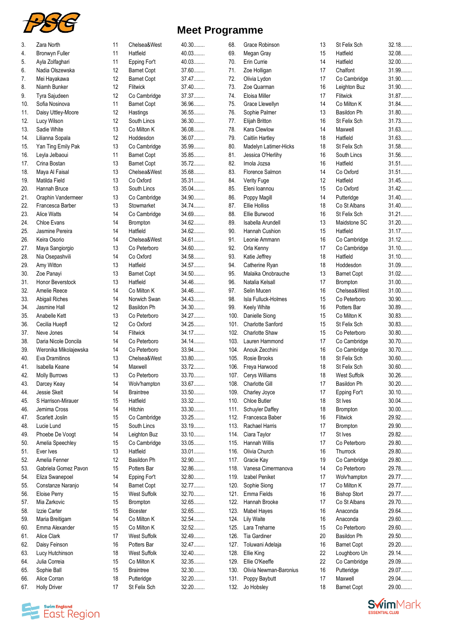

| <b>Meet Programme</b> |  |  |  |
|-----------------------|--|--|--|
|-----------------------|--|--|--|

| 3.         | Zara North            | 11 | Chelsea&West        | $40.30$ | 68.  | Grace Robinson           | 13 | St Felix Sch        | $32.18\dots$ |
|------------|-----------------------|----|---------------------|---------|------|--------------------------|----|---------------------|--------------|
| 4.         | <b>Bronwyn Fuller</b> | 11 | Hatfield            | 40.03   | 69.  | Megan Gray               | 15 | Hatfield            | 32.08        |
| 5.         | Ayla Zolfaghari       | 11 | Epping For't        | 40.03   | 70.  | Erin Currie              | 14 | Hatfield            | $32.00$      |
| 6.         | Nadia Olszewska       | 12 | <b>Barnet Copt</b>  | 37.60   | 71.  | Zoe Holligan             | 17 | Chalfont            | 31.99        |
| 7.         | Mei Hayakawa          | 12 | <b>Barnet Copt</b>  | 37.47   | 72.  | Olivia Lydon             | 17 | Co Cambridge        | 31.90        |
| 8.         | Niamh Bunker          | 12 | <b>Flitwick</b>     | 37.40   | 73.  | Zoe Quarman              | 16 | Leighton Buz        | 31.90        |
| 9.         | Tyra Sajudeen         | 12 | Co Cambridge        | 37.37   | 74.  | Eloisa Miller            | 17 | Flitwick            | 31.87        |
| 10.        | Sofia Nosinova        | 11 | <b>Barnet Copt</b>  | 36.96   | 75.  | Grace Llewellyn          | 14 | Co Milton K         | 31.84        |
|            | Daisy Uttley-Moore    | 12 | Hastings            | 36.55   | 76.  | Sophie Palmer            | 13 | Basildon Ph         | 31.80        |
| 11.        |                       |    |                     |         |      |                          |    |                     | 31.73        |
| 12.        | Lucy Wilson           | 12 | South Lincs         | 36.30   | 77.  | Elijah Britton           | 16 | St Felix Sch        |              |
| 13.        | Sadie White           | 13 | Co Milton K         | 36.08   | 78.  | Kara Clewlow             | 14 | Maxwell             | 31.63        |
| 14.        | Lilianna Sopala       | 12 | Hoddesdon           | 36.07   | 79.  | <b>Caitlin Hartley</b>   | 18 | Hatfield            | 31.63        |
| 15.        | Yan Ting Emily Pak    | 13 | Co Cambridge        | 35.99   | 80.  | Madelyn Latimer-Hicks    | 18 | St Felix Sch        | 31.58        |
| 16.        | Leyla Jelbaoui        | 11 | <b>Barnet Copt</b>  | 35.85   | 81.  | Jessica O'Herlihy        | 16 | South Lincs         | 31.56        |
| 17.        | Crina Bostan          | 13 | <b>Barnet Copt</b>  | 35.72   | 82.  | Imola Jozsa              | 16 | Hatfield            | 31.51        |
| 18.        | Maya Al Faisal        | 13 | Chelsea&West        | 35.68   | 83.  | Florence Salmon          | 14 | Co Oxford           | 31.51        |
| 19.        | Matilda Field         | 13 | Co Oxford           | 35.31   | 84.  | Verity Fuge              | 12 | Hatfield            | 31.45        |
| 20.        | Hannah Bruce          | 13 | South Lincs         | 35.04   | 85.  | Eleni Ioannou            | 15 | Co Oxford           | $31.42$      |
| 21.        | Oraphin Vandermeer    | 13 | Co Cambridge        | 34.90   | 86.  | Poppy Magill             | 14 | Putteridge          | $31.40$      |
| 22.        | Francesca Barber      | 13 | Stowmarket          | 34.74   | 87.  | <b>Ellie Holliss</b>     | 18 | Co St Albans        | 31.40        |
| 23.        | Alice Watts           | 14 | Co Cambridge        | 34.69   | 88.  | Ellie Burwood            | 16 | St Felix Sch        | $31.21$      |
| 24.        | Chloe Evans           | 14 | <b>Brompton</b>     | 34.62   | 89.  | Isabella Arundell        | 13 | Maidstone SC        | $31.20$      |
| 25.        | Jasmine Pereira       | 14 | Hatfield            | 34.62   | 90.  | Hannah Cushion           | 15 | Hatfield            | 31.17        |
| 26.        | Keira Osorio          | 14 | Chelsea&West        | 34.61   | 91.  | Leonie Ammann            | 16 | Co Cambridge        | $31.12$      |
| 27.        | Maya Sangiorgio       | 13 | Co Peterboro        | 34.60   | 92.  | Orla Kenny               | 17 | Co Cambridge        | $31.10$      |
| 28.        | Nia Osepashvili       | 14 | Co Oxford           | 34.58   | 93.  | Katie Jeffrey            | 18 | Hatfield            | $31.10$      |
| 29.        | Amy Witton            | 13 | Hatfield            | 34.57   | 94.  | Catherine Ryan           | 18 | Hoddesdon           | 31.09        |
| 30.        | Zoe Panayi            | 13 | <b>Barnet Copt</b>  | 34.50   | 95.  | Malaika Onobrauche       | 13 | <b>Barnet Copt</b>  | $31.02$      |
| 31.        | Honor Beverstock      | 13 | Hatfield            | 34.46   | 96.  | Natalia Kelsall          | 17 | Brompton            | $31.00$      |
| 32.        | Amelie Reece          | 14 | Co Milton K         | 34.46   | 97.  | Selin Mucen              | 16 | Chelsea&West        | $31.00$      |
| 33.        | Abigail Riches        | 14 | Norwich Swan        | 34.43   | 98.  | Isla Fulluck-Holmes      | 15 | Co Peterboro        | $30.90$      |
| 34.        | Jasmine Hall          | 12 | Basildon Ph         | 34.30   | 99.  | Keely White              | 16 | Potters Bar         | 30.89        |
| 35.        | Anabelle Kett         | 13 | Co Peterboro        | 34.27   | 100. | Danielle Siong           | 15 | Co Milton K         | 30.83        |
| 36.        | Cecilia Huepfl        | 12 | Co Oxford           | 34.25   | 101. | <b>Charlotte Sanford</b> | 15 | St Felix Sch        | 30.83        |
| 37.        | Neve Jones            | 14 | Flitwick            | 34.17   | 102. | Charlotte Shaw           | 15 | Co Peterboro        | $30.80$      |
| 38.        | Daria Nicole Doncila  | 14 | Co Peterboro        | 34.14.  | 103. | Lauren Hammond           | 17 | Co Cambridge        | $30.70$      |
| 39.        | Weronika Mikolajewska | 14 | Co Peterboro        | 33.94   | 104. | Anouk Zecchini           | 16 | Co Cambridge        | $30.70$      |
| 40.        | Eva Dramitinos        | 13 | Chelsea&West        | 33.80   | 105. | Rosie Brooks             | 18 | St Felix Sch        | $30.60$      |
| 41.        | Isabella Keane        | 14 | Maxwell             | 33.72   | 106. | Freya Harwood            | 18 | St Felix Sch        | $30.60$      |
| 42.        | <b>Molly Burrows</b>  | 13 | Co Peterboro        | 33.70   |      | 107. Cerys Williams      | 18 | <b>West Suffolk</b> | $30.26$      |
| 43.        | Darcey Keay           | 14 | Wolv'hampton        | 33.67   | 108. | Charlotte Gill           | 17 | Basildon Ph         | $30.20$      |
|            | Jessie Skelt          | 14 | <b>Braintree</b>    | 33.50   | 109. | Charley Joyce            | 17 | Epping For't        | $30.10$      |
| 44.<br>45. | S Harrison-Mirauer    | 15 | Hatfield            | 33.32   | 110. | Chloe Butler             | 18 | St Ives             | $30.04$      |
|            | Jemima Cross          |    |                     |         |      |                          |    |                     | $30.00$      |
| 46.        |                       | 14 | Hitchin             | 33.30   | 111. | Schuyler Daffey          | 18 | Brompton            |              |
| 47.        | Scarlett Joslin       | 15 | Co Cambridge        | 33.25   | 112. | Francesca Baber          | 16 | Flitwick            | 29.92        |
| 48.        | Lucie Lund            | 15 | South Lincs         | 33.19   | 113. | <b>Rachael Harris</b>    | 17 | <b>Brompton</b>     | 29.90        |
| 49.        | Phoebe De Voogt       | 14 | Leighton Buz        | 33.10   | 114. | Ciara Taylor             | 17 | St Ives             | 29.82        |
| 50.        | Amelia Speechley      | 15 | Co Cambridge        | 33.05   | 115. | Hannah Willis            | 17 | Co Peterboro        | 29.80        |
| 51.        | Ever Ives             | 13 | Hatfield            | 33.01   | 116. | Olivia Church            | 16 | Thurrock            | 29.80        |
| 52.        | Amelia Fenner         | 12 | Basildon Ph         | 32.90   | 117. | Gracie Kay               | 19 | Co Cambridge        | 29.80        |
| 53.        | Gabriela Gomez Pavon  | 15 | Potters Bar         | 32.86   | 118. | Vanesa Cimermanova       | 14 | Co Peterboro        | 29.78        |
| 54.        | Eliza Swanepoel       | 14 | Epping For't        | 32.80   | 119. | Izabel Peniket           | 17 | Wolv'hampton        | 29.77        |
| 55.        | Constanze Naranjo     | 14 | <b>Barnet Copt</b>  | 32.77   | 120. | Sophie Siong             | 17 | Co Milton K         | 29.77        |
| 56.        | Eloise Perry          | 15 | <b>West Suffolk</b> | 32.70   | 121. | Emma Fields              | 16 | <b>Bishop Stort</b> | 29.77        |
| 57.        | Mia Zarkovic          | 15 | Brompton            | 32.65   | 122. | Hannah Brooke            | 17 | Co St Albans        | 29.70        |
| 58.        | Izzie Carter          | 15 | <b>Bicester</b>     | 32.65   | 123. | <b>Mabel Hayes</b>       | 16 | Anaconda            | 29.64        |
| 59.        | Maria Breitigam       | 14 | Co Milton K         | 32.54   | 124. | <b>Lily Waite</b>        | 16 | Anaconda            | 29.60        |
| 60.        | Emma Alexander        | 15 | Co Milton K         | 32.52   | 125. | Lara Treharne            | 15 | Co Peterboro        | 29.60        |
| 61.        | Alice Clark           | 17 | <b>West Suffolk</b> | 32.49   | 126. | Tia Gardiner             | 20 | Basildon Ph         | 29.50        |
| 62.        | Daisy Feinson         | 16 | Potters Bar         | 32.47   | 127. | Toluwani Adelaja         | 16 | <b>Barnet Copt</b>  | 29.20        |
| 63.        | Lucy Hutchinson       | 18 | <b>West Suffolk</b> | 32.40   | 128. | Ellie King               | 22 | Loughboro Un        | 29.14.       |
| 64.        | Julia Correia         | 15 | Co Milton K         | 32.35   | 129. | Ellie O'Keeffe           | 22 | Co Cambridge        | 29.09        |
| 65.        | Sophie Ball           | 15 | <b>Braintree</b>    | 32.30   | 130. | Olivia Newman-Baronius   | 16 | Putteridge          | 29.07        |
| 66.        | Alice Corran          | 18 | Putteridge          | $32.20$ | 131. | Poppy Baybutt            | 17 | Maxwell             | 29.04        |
| 67.        | <b>Holly Driver</b>   | 17 | St Felix Sch        | 32.20   |      | 132. Jo Hobsley          | 18 | <b>Barnet Copt</b>  | 29.00        |



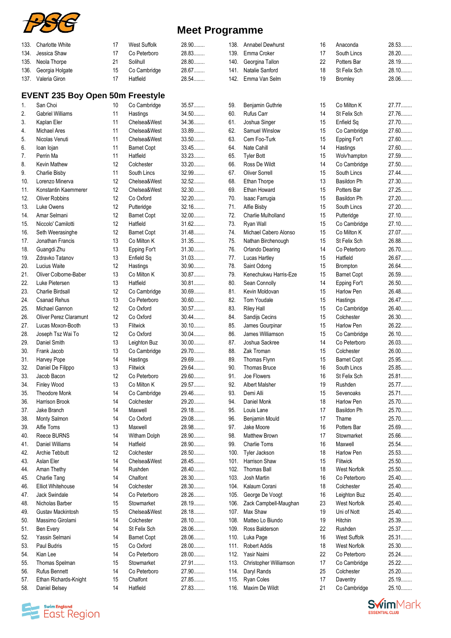

| 133. | <b>Charlotte White</b>                  | 17 | West Suffolk       | 28.90   | 138. | Annabel Dewhurst       | 16 | Anaconda           | 28.53   |
|------|-----------------------------------------|----|--------------------|---------|------|------------------------|----|--------------------|---------|
| 134. | Jessica Shaw                            | 17 | Co Peterboro       | 28.83   | 139. | Emma Croker            | 17 | South Lincs        | 28.20   |
| 135. | Neola Thorpe                            | 21 | Solihull           | 28.80   | 140. | Georgina Tallon        | 22 | Potters Bar        | 28.19.  |
|      |                                         |    |                    |         |      |                        |    |                    |         |
| 136. | Georgia Holgate                         | 15 | Co Cambridge       | 28.67   | 141. | Natalie Sanford        | 18 | St Felix Sch       | 28.10   |
|      | 137. Valeria Giron                      | 17 | Hatfield           | 28.54   |      | 142. Emma Van Selm     | 19 | <b>Bromley</b>     | 28.06   |
|      | <b>EVENT 235 Boy Open 50m Freestyle</b> |    |                    |         |      |                        |    |                    |         |
|      |                                         |    |                    |         |      |                        |    | Co Milton K        |         |
| 1.   | San Choi                                | 10 | Co Cambridge       | 35.57   | 59.  | Benjamin Guthrie       | 15 |                    | 27.77   |
| 2.   | <b>Gabriel Williams</b>                 | 11 | Hastings           | 34.50   | 60.  | Rufus Carr             | 14 | St Felix Sch       | 27.76   |
| 3.   | Kaplan Eler                             | 11 | Chelsea&West       | 34.36   | 61.  | Joshua Singer          | 15 | Enfield Sq         | 27.70   |
| 4.   | Michael Ares                            | 11 | Chelsea&West       | 33.89   | 62.  | Samuel Winslow         | 15 | Co Cambridge       | 27.60   |
| 5.   | Nicolas Venuti                          | 11 | Chelsea&West       | 33.50   | 63.  | Cem Foo-Turk           | 15 | Epping For't       | 27.60   |
| 6.   | loan lojan                              | 11 | <b>Barnet Copt</b> | 33.45   | 64.  | Nate Cahill            | 14 | Hastings           | 27.60   |
| 7.   | Perrin Ma                               | 11 | Hatfield           | 33.23   | 65.  | <b>Tyler Bott</b>      | 15 | Wolv'hampton       | 27.59   |
| 8.   | Kevin Mathew                            | 12 | Colchester         | 33.20   | 66.  | Ross De Wildt          | 14 | Co Cambridge       | 27.50   |
| 9.   | Charlie Bisby                           | 11 | South Lincs        | 32.99   | 67.  | Oliver Sorrell         | 15 | South Lincs        | 27.44   |
| 10.  | Lorenzo Minerva                         | 12 | Chelsea&West       | 32.52   | 68.  | Ethan Thorpe           | 13 | Basildon Ph        | 27.30   |
|      | Konstantin Kaemmerer                    | 12 | Chelsea&West       | 32.30   | 69.  |                        | 15 |                    | 27.25   |
| 11.  |                                         |    |                    |         |      | Ethan Howard           |    | Potters Bar        |         |
| 12.  | <b>Oliver Robbins</b>                   | 12 | Co Oxford          | 32.20   | 70.  | Isaac Farrugia         | 15 | Basildon Ph        | 27.20   |
| 13.  | Luke Owens                              | 12 | Putteridge         | 32.16   | 71.  | Alfie Bisby            | 15 | South Lincs        | 27.20   |
| 14.  | Amar Selmani                            | 12 | <b>Barnet Copt</b> | 32.00   | 72.  | Charlie Mulholland     | 15 | Putteridge         | 27.10   |
| 15.  | Niccolo' Camilotti                      | 12 | Hatfield           | $31.62$ | 73.  | Ryan Wall              | 15 | Co Cambridge       | 27.10   |
| 16.  | Seth Weerasinghe                        | 12 | <b>Barnet Copt</b> | 31.48   | 74.  | Michael Cabero Alonso  | 15 | Co Milton K        | 27.07   |
| 17.  | Jonathan Francis                        | 13 | Co Milton K        | 31.35   | 75.  | Nathan Birchenough     | 15 | St Felix Sch       | 26.88   |
| 18.  | Guangdi Zhu                             | 13 | Epping For't       | $31.30$ | 76.  | Orlando Dearing        | 14 | Co Peterboro       | 26.70   |
| 19.  | Zdravko Tatanov                         | 13 | Enfield Sq         | 31.03   | 77.  | Lucas Hartley          | 15 | Hatfield           | 26.67   |
| 20.  | Lucius Waite                            | 12 | Hastings           | $30.90$ | 78.  | Saint Odong            | 15 | Brompton           | 26.64.  |
| 21.  | Oliver Colborne-Baber                   | 13 | Co Milton K        | 30.87   | 79.  | Kenechukwu Harris-Eze  | 15 | <b>Barnet Copt</b> | 26.59   |
|      |                                         |    |                    | 30.81   |      |                        |    |                    |         |
| 22.  | Luke Pietersen                          | 13 | Hatfield           |         | 80.  | Sean Connolly          | 14 | Epping For't       | 26.50   |
| 23.  | <b>Charlie Birdsall</b>                 | 12 | Co Cambridge       | 30.69   | 81.  | Kevin Moldovan         | 15 | Harlow Pen         | 26.48   |
| 24.  | <b>Csanad Rehus</b>                     | 13 | Co Peterboro       | $30.60$ | 82.  | Tom Youdale            | 15 | Hastings           | 26.47   |
| 25.  | Michael Gannon                          | 12 | Co Oxford          | 30.57   | 83.  | <b>Riley Hall</b>      | 15 | Co Cambridge       | 26.40   |
| 26.  | <b>Oliver Perez Claramunt</b>           | 12 | Co Oxford          | $30.44$ | 84.  | Sandijs Cecins         | 15 | Colchester         | 26.30   |
| 27.  | Lucas Moxon-Booth                       | 13 | Flitwick           | $30.10$ | 85.  | James Gourpinar        | 15 | <b>Harlow Pen</b>  | $26.22$ |
| 28.  | Joseph Tsz Wai To                       | 12 | Co Oxford          | $30.04$ | 86.  | James Williamson       | 15 | Co Cambridge       | 26.10   |
| 29.  | Daniel Smith                            | 13 | Leighton Buz       | $30.00$ | 87.  | Joshua Sackree         | 14 | Co Peterboro       | 26.03   |
| 30.  | Frank Jacob                             | 13 | Co Cambridge       | 29.70   | 88.  | Zak Troman             | 15 | Colchester         | 26.00   |
| 31.  | Harvey Pope                             | 14 | Hastings           | 29.69   | 89.  | Thomas Flynn           | 15 | <b>Barnet Copt</b> | 25.95   |
| 32.  | Daniel De Filippo                       | 13 | Flitwick           | 29.64   | 90.  | <b>Thomas Bruce</b>    | 16 | South Lincs        | 25.85   |
|      |                                         |    |                    | 29.60   | 91.  | Joe Flowers            | 16 |                    | 25.81   |
| 33.  | Jacob Bacon                             | 12 | Co Peterboro       |         |      |                        |    | St Felix Sch       |         |
| 34.  | Finley Wood                             | 13 | Co Milton K        | 29.57   | 92.  | Albert Malsher         | 19 | Rushden            | 25.77   |
| 35.  | Theodore Monk                           | 14 | Co Cambridge       | 29.46   | 93.  | Demi Alli              | 15 | Sevenoaks          | 25.71   |
| 36.  | Harrison Brook                          | 14 | Colchester         | 29.20   | 94.  | Daniel Monk            | 18 | Harlow Pen         | 25.70   |
| 37.  | Jake Branch                             | 14 | Maxwell            | 29.18   | 95.  | Louis Lane             | 17 | Basildon Ph        | 25.70   |
| 38.  | Monty Salmon                            | 14 | Co Oxford          | 29.08   | 96.  | Benjamin Mould         | 17 | Thame              | 25.70   |
| 39.  | Alfie Toms                              | 13 | Maxwell            | 28.98   | 97.  | Jake Moore             | 16 | Potters Bar        | 25.69   |
| 40.  | Reece BURNS                             | 14 | Witham Dolph       | 28.90   | 98.  | <b>Matthew Brown</b>   | 17 | Stowmarket         | 25.66   |
| 41.  | <b>Daniel Williams</b>                  | 14 | Hatfield           | 28.90   | 99.  | Charlie Toms           | 16 | Maxwell            | 25.54   |
| 42.  | Archie Tebbutt                          | 12 | Colchester         | 28.50   | 100. | Tyler Jackson          | 18 | Harlow Pen         | 25.53   |
| 43.  | Aslan Eler                              | 14 | Chelsea&West       | 28.45   | 101. | Harrison Shaw          | 15 | Flitwick           | 25.50   |
|      | Aman Thethy                             | 14 | Rushden            | 28.40   | 102. | <b>Thomas Ball</b>     | 18 | West Norfolk       | 25.50   |
| 44.  |                                         |    | Chalfont           | 28.30   |      | Josh Martin            |    | Co Peterboro       | 25.40   |
| 45.  | Charlie Tang                            | 14 |                    |         | 103. |                        | 16 |                    |         |
| 46.  | <b>Elliot Whitehouse</b>                | 14 | Colchester         | 28.30   | 104. | Kalaum Corani          | 18 | Colchester         | 25.40   |
| 47.  | <b>Jack Swindale</b>                    | 14 | Co Peterboro       | 28.26   | 105. | George De Voogt        | 16 | Leighton Buz       | 25.40   |
| 48.  | Nicholas Barber                         | 15 | Stowmarket         | 28.19   | 106. | Zack Campbell-Maughan  | 23 | West Norfolk       | 25.40   |
| 49.  | Gustav Mackintosh                       | 15 | Chelsea&West       | 28.18   | 107. | Max Shaw               | 19 | Uni of Nott        | 25.40   |
| 50.  | Massimo Girolami                        | 14 | Colchester         | 28.10   | 108. | Matteo Lo Biundo       | 19 | Hitchin            | 25.39   |
| 51.  | Ben Every                               | 14 | St Felix Sch       | 28.06   | 109. | Ross Balderson         | 22 | Rushden            | 25.37   |
| 52.  | Yassin Selmani                          | 14 | <b>Barnet Copt</b> | 28.06   | 110. | Luka Page              | 16 | West Suffolk       | 25.31   |
| 53.  | Paul Budris                             | 15 | Co Oxford          | 28.00   | 111. | <b>Robert Addis</b>    | 18 | West Norfolk       | 25.30   |
| 54.  | Kian Lee                                | 14 | Co Peterboro       | 28.00   | 112. | Yasir Naimi            | 22 | Co Peterboro       | 25.24.  |
|      |                                         |    |                    | 27.91   |      |                        | 17 |                    | 25.22   |
| 55.  | Thomas Spelman                          | 15 | Stowmarket         |         | 113. | Christopher Williamson |    | Co Cambridge       |         |
| 56.  | <b>Rufus Bennett</b>                    | 14 | Co Peterboro       | 27.90   | 114. | Daryl Rands            | 25 | Colchester         | 25.20   |
| 57.  | Ethan Richards-Knight                   | 15 | Chalfont           | 27.85   | 115. | Ryan Coles             | 17 | Daventry           | 25.19   |
| 58.  | Daniel Belsey                           | 14 | Hatfield           | 27.83   |      | 116. Maxim De Wildt    | 21 | Co Cambridge       | 25.10   |